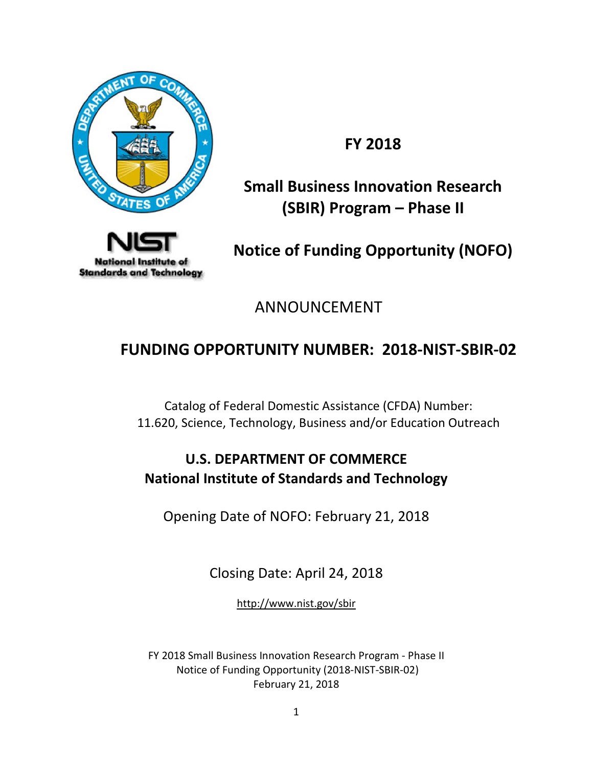

**FY 2018**

# **Small Business Innovation Research (SBIR) Program – Phase II**



**Notice of Funding Opportunity (NOFO)**

ANNOUNCEMENT

# **FUNDING OPPORTUNITY NUMBER: 2018-NIST-SBIR-02**

Catalog of Federal Domestic Assistance (CFDA) Number: 11.620, Science, Technology, Business and/or Education Outreach

# **U.S. DEPARTMENT OF COMMERCE National Institute of Standards and Technology**

Opening Date of NOFO: February 21, 2018

Closing Date: April 24, 2018

<http://www.nist.gov/sbir>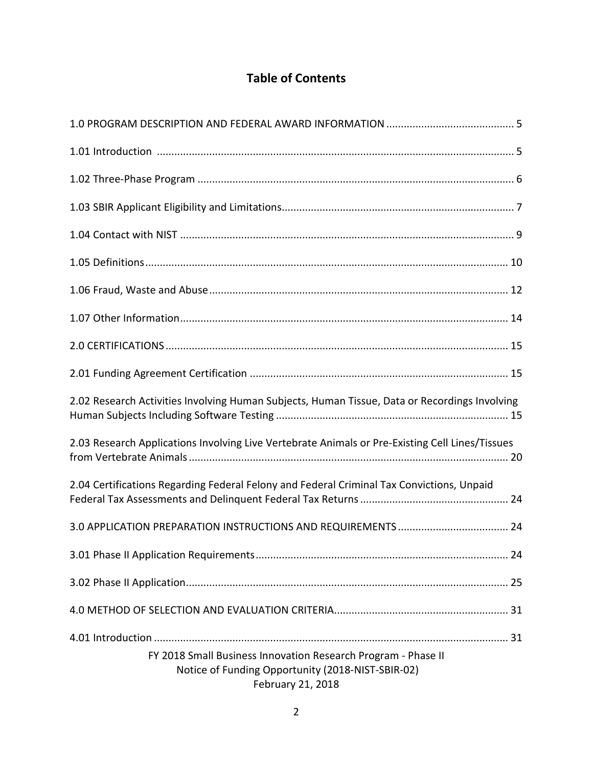# **Table of Contents**

| 2.02 Research Activities Involving Human Subjects, Human Tissue, Data or Recordings Involving                                           |
|-----------------------------------------------------------------------------------------------------------------------------------------|
| 2.03 Research Applications Involving Live Vertebrate Animals or Pre-Existing Cell Lines/Tissues                                         |
| 2.04 Certifications Regarding Federal Felony and Federal Criminal Tax Convictions, Unpaid                                               |
|                                                                                                                                         |
|                                                                                                                                         |
|                                                                                                                                         |
|                                                                                                                                         |
| FY 2018 Small Business Innovation Research Program - Phase II<br>Notice of Funding Opportunity (2018-NIST-SBIR-02)<br>February 21, 2018 |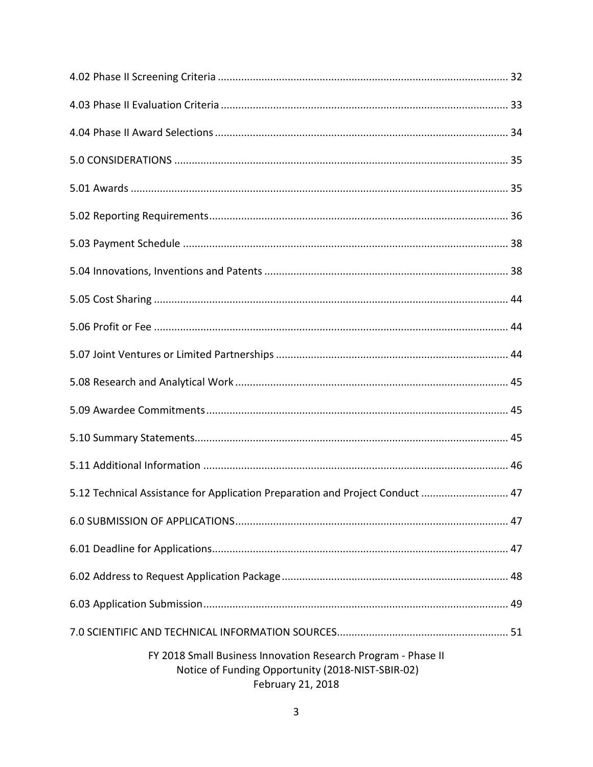| 5.12 Technical Assistance for Application Preparation and Project Conduct  47                                                           |  |
|-----------------------------------------------------------------------------------------------------------------------------------------|--|
|                                                                                                                                         |  |
|                                                                                                                                         |  |
|                                                                                                                                         |  |
|                                                                                                                                         |  |
|                                                                                                                                         |  |
| FY 2018 Small Business Innovation Research Program - Phase II<br>Notice of Funding Opportunity (2018-NIST-SBIR-02)<br>February 21, 2018 |  |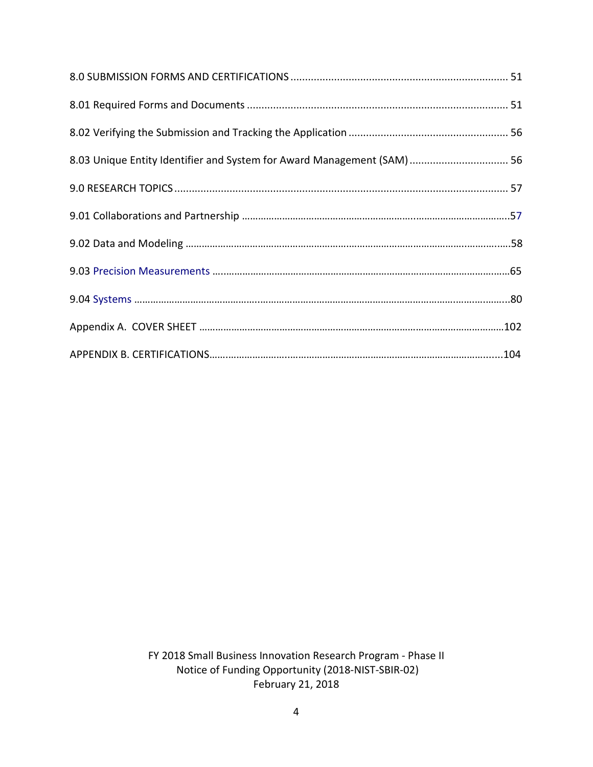| 8.03 Unique Entity Identifier and System for Award Management (SAM)  56 |  |
|-------------------------------------------------------------------------|--|
|                                                                         |  |
|                                                                         |  |
|                                                                         |  |
|                                                                         |  |
|                                                                         |  |
|                                                                         |  |
|                                                                         |  |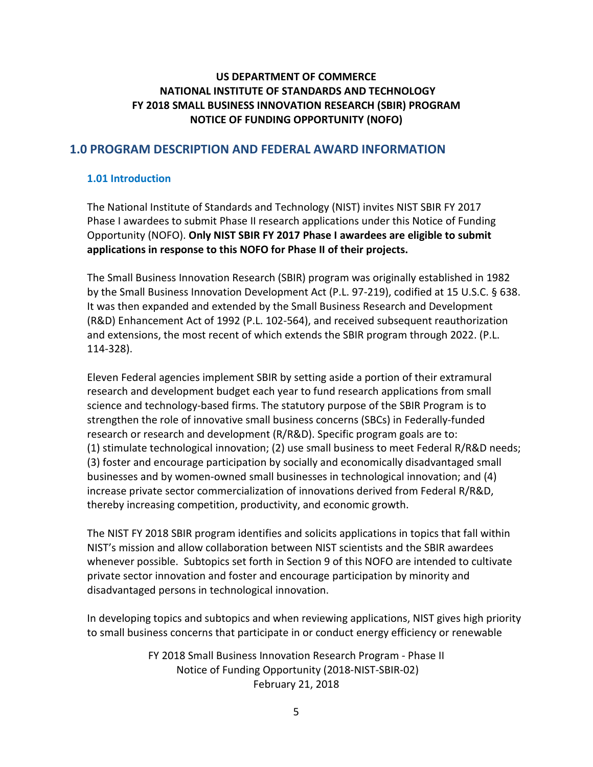## **US DEPARTMENT OF COMMERCE NATIONAL INSTITUTE OF STANDARDS AND TECHNOLOGY FY 2018 SMALL BUSINESS INNOVATION RESEARCH (SBIR) PROGRAM NOTICE OF FUNDING OPPORTUNITY (NOFO)**

#### <span id="page-4-0"></span>**1.0 PROGRAM DESCRIPTION AND FEDERAL AWARD INFORMATION**

#### <span id="page-4-1"></span>**1.01 Introduction**

The National Institute of Standards and Technology (NIST) invites NIST SBIR FY 2017 Phase I awardees to submit Phase II research applications under this Notice of Funding Opportunity (NOFO). **Only NIST SBIR FY 2017 Phase I awardees are eligible to submit applications in response to this NOFO for Phase II of their projects.**

The Small Business Innovation Research (SBIR) program was originally established in 1982 by the Small Business Innovation Development Act (P.L. 97-219), codified at 15 U.S.C. § 638. It was then expanded and extended by the Small Business Research and Development (R&D) Enhancement Act of 1992 (P.L. 102-564), and received subsequent reauthorization and extensions, the most recent of which extends the SBIR program through 2022. (P.L. 114-328).

Eleven Federal agencies implement SBIR by setting aside a portion of their extramural research and development budget each year to fund research applications from small science and technology-based firms. The statutory purpose of the SBIR Program is to strengthen the role of innovative small business concerns (SBCs) in Federally-funded research or research and development (R/R&D). Specific program goals are to: (1) stimulate technological innovation; (2) use small business to meet Federal R/R&D needs; (3) foster and encourage participation by socially and economically disadvantaged small businesses and by women-owned small businesses in technological innovation; and (4) increase private sector commercialization of innovations derived from Federal R/R&D, thereby increasing competition, productivity, and economic growth.

The NIST FY 2018 SBIR program identifies and solicits applications in topics that fall within NIST's mission and allow collaboration between NIST scientists and the SBIR awardees whenever possible. Subtopics set forth in Section 9 of this NOFO are intended to cultivate private sector innovation and foster and encourage participation by minority and disadvantaged persons in technological innovation.

In developing topics and subtopics and when reviewing applications, NIST gives high priority to small business concerns that participate in or conduct energy efficiency or renewable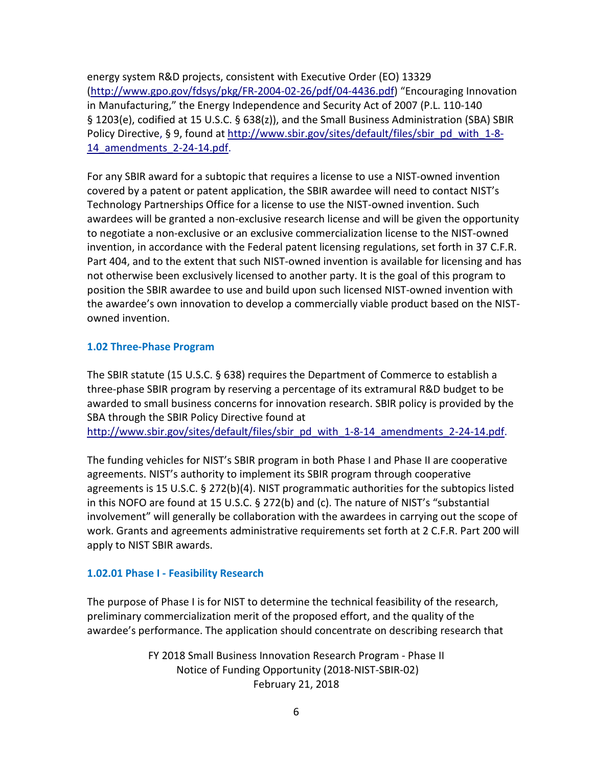energy system R&D projects, consistent with Executive Order (EO) 13329 [\(http://www.gpo.gov/fdsys/pkg/FR-2004-02-26/pdf/04-4436.pdf\)](http://www.gpo.gov/fdsys/pkg/FR-2004-02-26/pdf/04-4436.pdf) "Encouraging Innovation in Manufacturing," the Energy Independence and Security Act of 2007 (P.L. 110-140 § 1203(e), codified at 15 U.S.C. § 638(z)), and the Small Business Administration (SBA) SBIR Policy Directive, § 9, found at [http://www.sbir.gov/sites/default/files/sbir\\_pd\\_with\\_1-8-](http://www.sbir.gov/sites/default/files/sbir_pd_with_1-8-14_amendments_2-24-14.pdf) 14 amendments 2-24-14.pdf.

For any SBIR award for a subtopic that requires a license to use a NIST-owned invention covered by a patent or patent application, the SBIR awardee will need to contact NIST's Technology Partnerships Office for a license to use the NIST-owned invention. Such awardees will be granted a non-exclusive research license and will be given the opportunity to negotiate a non-exclusive or an exclusive commercialization license to the NIST-owned invention, in accordance with the Federal patent licensing regulations, set forth in 37 C.F.R. Part 404, and to the extent that such NIST-owned invention is available for licensing and has not otherwise been exclusively licensed to another party. It is the goal of this program to position the SBIR awardee to use and build upon such licensed NIST-owned invention with the awardee's own innovation to develop a commercially viable product based on the NISTowned invention.

## <span id="page-5-0"></span>**1.02 Three-Phase Program**

The SBIR statute (15 U.S.C. § 638) requires the Department of Commerce to establish a three-phase SBIR program by reserving a percentage of its extramural R&D budget to be awarded to small business concerns for innovation research. SBIR policy is provided by the SBA through the SBIR Policy Directive found at [http://www.sbir.gov/sites/default/files/sbir\\_pd\\_with\\_1-8-14\\_amendments\\_2-24-14.pdf.](http://www.sbir.gov/sites/default/files/sbir_pd_with_1-8-14_amendments_2-24-14.pdf)

The funding vehicles for NIST's SBIR program in both Phase I and Phase II are cooperative agreements. NIST's authority to implement its SBIR program through cooperative agreements is 15 U.S.C. § 272(b)(4). NIST programmatic authorities for the subtopics listed in this NOFO are found at 15 U.S.C. § 272(b) and (c). The nature of NIST's "substantial involvement" will generally be collaboration with the awardees in carrying out the scope of work. Grants and agreements administrative requirements set forth at 2 C.F.R. Part 200 will apply to NIST SBIR awards.

#### **1.02.01 Phase I - Feasibility Research**

The purpose of Phase I is for NIST to determine the technical feasibility of the research, preliminary commercialization merit of the proposed effort, and the quality of the awardee's performance. The application should concentrate on describing research that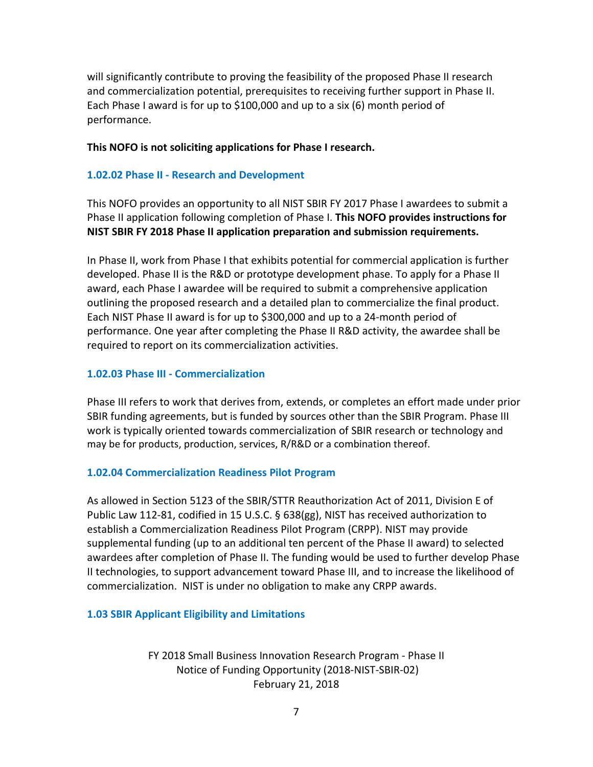will significantly contribute to proving the feasibility of the proposed Phase II research and commercialization potential, prerequisites to receiving further support in Phase II. Each Phase I award is for up to \$100,000 and up to a six (6) month period of performance.

#### **This NOFO is not soliciting applications for Phase I research.**

#### **1.02.02 Phase II - Research and Development**

This NOFO provides an opportunity to all NIST SBIR FY 2017 Phase I awardees to submit a Phase II application following completion of Phase I. **This NOFO provides instructions for NIST SBIR FY 2018 Phase II application preparation and submission requirements.**

In Phase II, work from Phase I that exhibits potential for commercial application is further developed. Phase II is the R&D or prototype development phase. To apply for a Phase II award, each Phase I awardee will be required to submit a comprehensive application outlining the proposed research and a detailed plan to commercialize the final product. Each NIST Phase II award is for up to \$300,000 and up to a 24-month period of performance. One year after completing the Phase II R&D activity, the awardee shall be required to report on its commercialization activities.

#### **1.02.03 Phase III - Commercialization**

Phase III refers to work that derives from, extends, or completes an effort made under prior SBIR funding agreements, but is funded by sources other than the SBIR Program. Phase III work is typically oriented towards commercialization of SBIR research or technology and may be for products, production, services, R/R&D or a combination thereof.

#### **1.02.04 Commercialization Readiness Pilot Program**

As allowed in Section 5123 of the SBIR/STTR Reauthorization Act of 2011, Division E of Public Law 112-81, codified in 15 U.S.C. § 638(gg), NIST has received authorization to establish a Commercialization Readiness Pilot Program (CRPP). NIST may provide supplemental funding (up to an additional ten percent of the Phase II award) to selected awardees after completion of Phase II. The funding would be used to further develop Phase II technologies, to support advancement toward Phase III, and to increase the likelihood of commercialization. NIST is under no obligation to make any CRPP awards.

#### <span id="page-6-0"></span>**1.03 SBIR Applicant Eligibility and Limitations**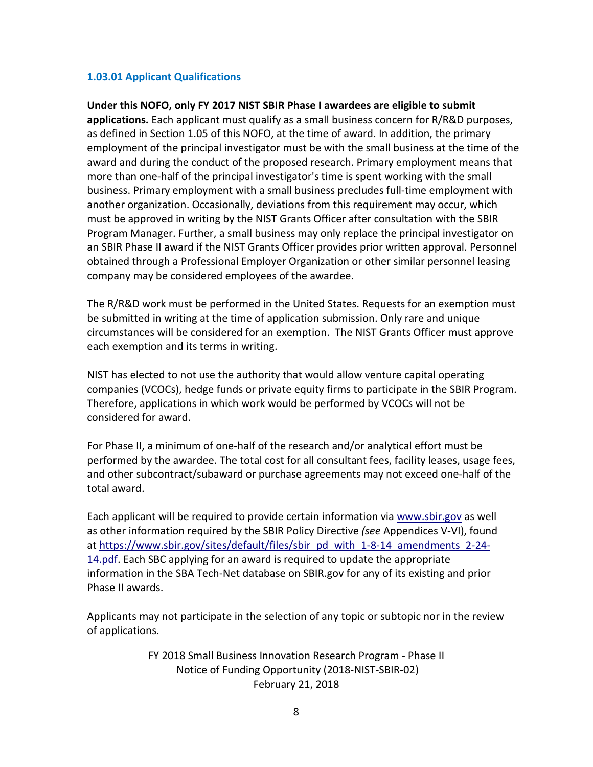#### **1.03.01 Applicant Qualifications**

#### **Under this NOFO, only FY 2017 NIST SBIR Phase I awardees are eligible to submit**

**applications.** Each applicant must qualify as a small business concern for R/R&D purposes, as defined in Section 1.05 of this NOFO, at the time of award. In addition, the primary employment of the principal investigator must be with the small business at the time of the award and during the conduct of the proposed research. Primary employment means that more than one-half of the principal investigator's time is spent working with the small business. Primary employment with a small business precludes full-time employment with another organization. Occasionally, deviations from this requirement may occur, which must be approved in writing by the NIST Grants Officer after consultation with the SBIR Program Manager. Further, a small business may only replace the principal investigator on an SBIR Phase II award if the NIST Grants Officer provides prior written approval. Personnel obtained through a Professional Employer Organization or other similar personnel leasing company may be considered employees of the awardee.

The R/R&D work must be performed in the United States. Requests for an exemption must be submitted in writing at the time of application submission. Only rare and unique circumstances will be considered for an exemption. The NIST Grants Officer must approve each exemption and its terms in writing.

NIST has elected to not use the authority that would allow venture capital operating companies (VCOCs), hedge funds or private equity firms to participate in the SBIR Program. Therefore, applications in which work would be performed by VCOCs will not be considered for award.

For Phase II, a minimum of one-half of the research and/or analytical effort must be performed by the awardee. The total cost for all consultant fees, facility leases, usage fees, and other subcontract/subaward or purchase agreements may not exceed one-half of the total award.

Each applicant will be required to provide certain information via [www.sbir.gov](http://www.sbir.gov/) as well as other information required by the SBIR Policy Directive *(see* Appendices V-VI), found at [https://www.sbir.gov/sites/default/files/sbir\\_pd\\_with\\_1-8-14\\_amendments\\_2-24-](https://www.sbir.gov/sites/default/files/sbir_pd_with_1-8-14_amendments_2-24-14.pdf) [14.pdf.](https://www.sbir.gov/sites/default/files/sbir_pd_with_1-8-14_amendments_2-24-14.pdf) Each SBC applying for an award is required to update the appropriate information in the SBA Tech-Net database on SBIR.gov for any of its existing and prior Phase II awards.

Applicants may not participate in the selection of any topic or subtopic nor in the review of applications.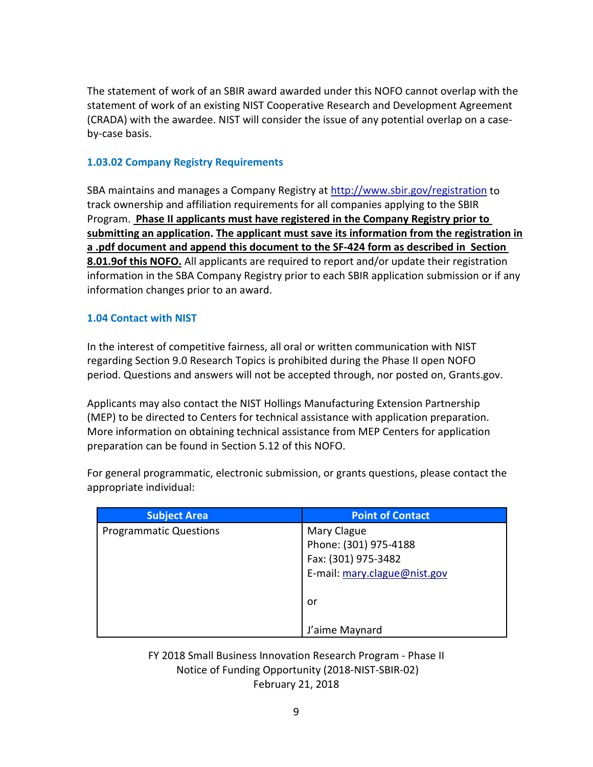The statement of work of an SBIR award awarded under this NOFO cannot overlap with the statement of work of an existing NIST Cooperative Research and Development Agreement (CRADA) with the awardee. NIST will consider the issue of any potential overlap on a caseby-case basis.

#### **1.03.02 Company Registry Requirements**

SBA maintains and manages a Company Registry at<http://www.sbir.gov/registration> to track ownership and affiliation requirements for all companies applying to the SBIR Program. **Phase II applicants must have registered in the Company Registry prior to submitting an application. The applicant must save its information from the registration in a .pdf document and append this document to the SF-424 form as described in Section 8.01.9of this NOFO.** All applicants are required to report and/or update their registration information in the SBA Company Registry prior to each SBIR application submission or if any information changes prior to an award.

#### <span id="page-8-0"></span>**1.04 Contact with NIST**

In the interest of competitive fairness, all oral or written communication with NIST regarding Section 9.0 Research Topics is prohibited during the Phase II open NOFO period. Questions and answers will not be accepted through, nor posted on, Grants.gov.

Applicants may also contact the NIST Hollings Manufacturing Extension Partnership (MEP) to be directed to Centers for technical assistance with application preparation. More information on obtaining technical assistance from MEP Centers for application preparation can be found in Section 5.12 of this NOFO.

For general programmatic, electronic submission, or grants questions, please contact the appropriate individual:

| <b>Subject Area</b>           | <b>Point of Contact</b>      |
|-------------------------------|------------------------------|
| <b>Programmatic Questions</b> | Mary Clague                  |
|                               | Phone: (301) 975-4188        |
|                               | Fax: (301) 975-3482          |
|                               | E-mail: mary.clague@nist.gov |
|                               | .or                          |
|                               | J'aime Maynard               |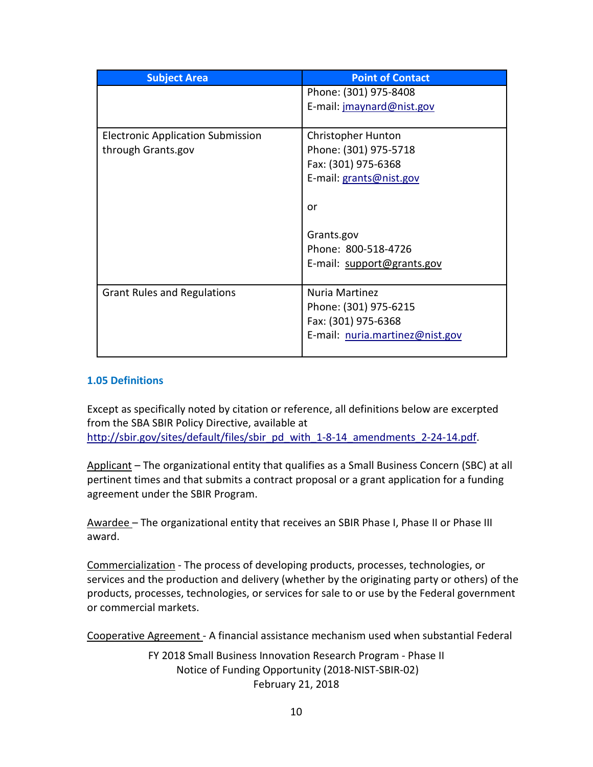| <b>Subject Area</b>                      | <b>Point of Contact</b>         |
|------------------------------------------|---------------------------------|
|                                          | Phone: (301) 975-8408           |
|                                          | E-mail: jmaynard@nist.gov       |
|                                          |                                 |
| <b>Electronic Application Submission</b> | Christopher Hunton              |
| through Grants.gov                       | Phone: (301) 975-5718           |
|                                          | Fax: (301) 975-6368             |
|                                          | E-mail: grants@nist.gov         |
|                                          |                                 |
|                                          | or                              |
|                                          |                                 |
|                                          | Grants.gov                      |
|                                          | Phone: 800-518-4726             |
|                                          | E-mail: support@grants.gov      |
|                                          |                                 |
| <b>Grant Rules and Regulations</b>       | <b>Nuria Martinez</b>           |
|                                          | Phone: (301) 975-6215           |
|                                          | Fax: (301) 975-6368             |
|                                          | E-mail: nuria.martinez@nist.gov |
|                                          |                                 |

## <span id="page-9-0"></span>**1.05 Definitions**

Except as specifically noted by citation or reference, all definitions below are excerpted from the SBA SBIR Policy Directive, available at [http://sbir.gov/sites/default/files/sbir\\_pd\\_with\\_1-8-14\\_amendments\\_2-24-14.pdf.](http://sbir.gov/sites/default/files/sbir_pd_with_1-8-14_amendments_2-24-14.pdf)

Applicant – The organizational entity that qualifies as a Small Business Concern (SBC) at all pertinent times and that submits a contract proposal or a grant application for a funding agreement under the SBIR Program.

Awardee – The organizational entity that receives an SBIR Phase I, Phase II or Phase III award.

Commercialization - The process of developing products, processes, technologies, or services and the production and delivery (whether by the originating party or others) of the products, processes, technologies, or services for sale to or use by the Federal government or commercial markets.

Cooperative Agreement - A financial assistance mechanism used when substantial Federal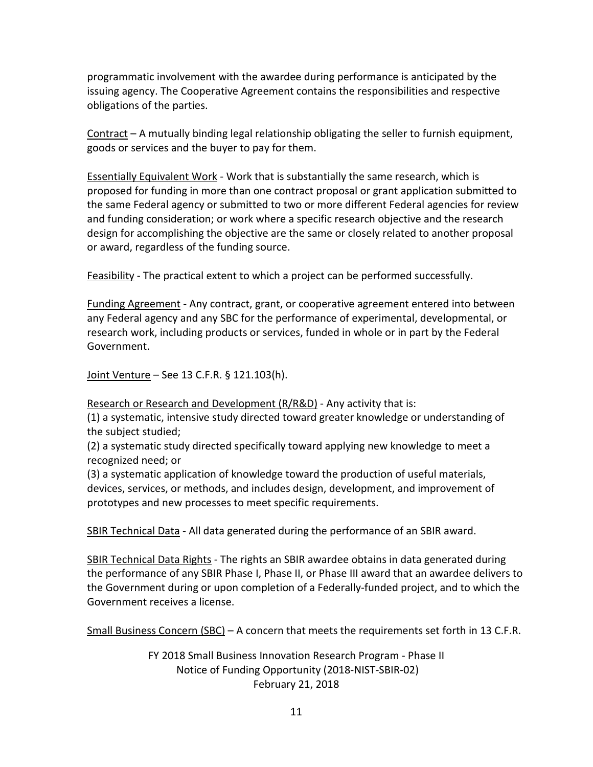programmatic involvement with the awardee during performance is anticipated by the issuing agency. The Cooperative Agreement contains the responsibilities and respective obligations of the parties.

Contract – A mutually binding legal relationship obligating the seller to furnish equipment, goods or services and the buyer to pay for them.

Essentially Equivalent Work - Work that is substantially the same research, which is proposed for funding in more than one contract proposal or grant application submitted to the same Federal agency or submitted to two or more different Federal agencies for review and funding consideration; or work where a specific research objective and the research design for accomplishing the objective are the same or closely related to another proposal or award, regardless of the funding source.

Feasibility - The practical extent to which a project can be performed successfully.

Funding Agreement - Any contract, grant, or cooperative agreement entered into between any Federal agency and any SBC for the performance of experimental, developmental, or research work, including products or services, funded in whole or in part by the Federal Government.

Joint Venture – [See 13 C.F.R.](http://www.law.cornell.edu/cfr/text/13/121.103) § 121.103(h).

Research or Research and Development (R/R&D) - Any activity that is:

(1) a systematic, intensive study directed toward greater knowledge or understanding of the subject studied;

(2) a systematic study directed specifically toward applying new knowledge to meet a recognized need; or

(3) a systematic application of knowledge toward the production of useful materials, devices, services, or methods, and includes design, development, and improvement of prototypes and new processes to meet specific requirements.

SBIR Technical Data - All data generated during the performance of an SBIR award.

SBIR Technical Data Rights - The rights an SBIR awardee obtains in data generated during the performance of any SBIR Phase I, Phase II, or Phase III award that an awardee delivers to the Government during or upon completion of a Federally-funded project, and to which the Government receives a license.

Small Business Concern (SBC) – A concern that meets the requirements set forth in 13 C.F.R.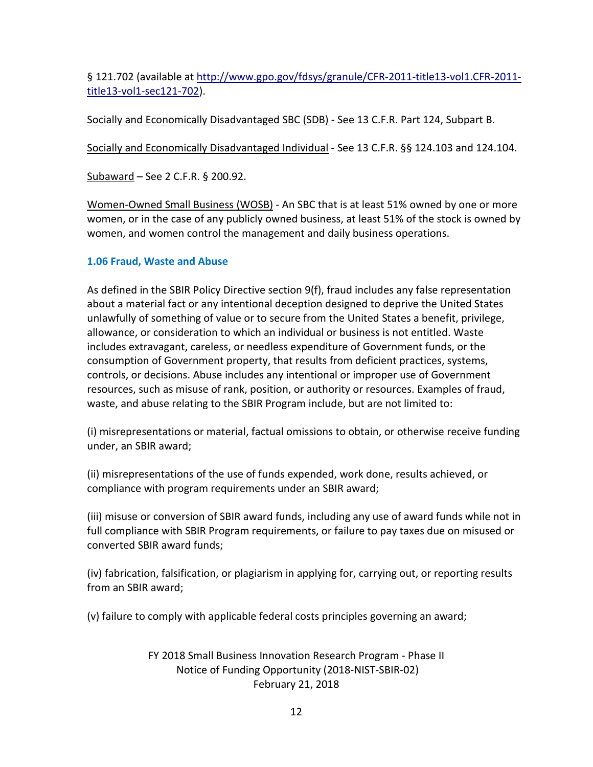§ 121.702 (available at [http://www.gpo.gov/fdsys/granule/CFR-2011-title13-vol1.CFR-2011](http://www.gpo.gov/fdsys/pkg/CFR-2011-title13-vol1/pdf/CFR-2011-title13-vol1-sec121-801.pdf) [title13-vol1-sec121-702\)](http://www.gpo.gov/fdsys/pkg/CFR-2011-title13-vol1/pdf/CFR-2011-title13-vol1-sec121-801.pdf).

Socially and Economically Disadvantaged SBC (SDB) - Se[e 13 C.F.R.](https://www.federalregister.gov/select-citation/2012/08/06/13-CFR-124) Part 124, Subpart B.

Socially and Economically Disadvantaged Individual - See 13 C.F.R. [§§ 124.103](https://www.federalregister.gov/select-citation/2012/08/06/13-CFR-124.103) and 124.104.

Subaward – See 2 C.F.R. § 200.92.

Women-Owned Small Business (WOSB) - An SBC that is at least 51% owned by one or more women, or in the case of any publicly owned business, at least 51% of the stock is owned by women, and women control the management and daily business operations.

# <span id="page-11-0"></span>**1.06 Fraud, Waste and Abuse**

As defined in the SBIR Policy Directive section 9(f), fraud includes any false representation about a material fact or any intentional deception designed to deprive the United States unlawfully of something of value or to secure from the United States a benefit, privilege, allowance, or consideration to which an individual or business is not entitled. Waste includes extravagant, careless, or needless expenditure of Government funds, or the consumption of Government property, that results from deficient practices, systems, controls, or decisions. Abuse includes any intentional or improper use of Government resources, such as misuse of rank, position, or authority or resources. Examples of fraud, waste, and abuse relating to the SBIR Program include, but are not limited to:

(i) misrepresentations or material, factual omissions to obtain, or otherwise receive funding under, an SBIR award;

(ii) misrepresentations of the use of funds expended, work done, results achieved, or compliance with program requirements under an SBIR award;

(iii) misuse or conversion of SBIR award funds, including any use of award funds while not in full compliance with SBIR Program requirements, or failure to pay taxes due on misused or converted SBIR award funds;

(iv) fabrication, falsification, or plagiarism in applying for, carrying out, or reporting results from an SBIR award;

(v) failure to comply with applicable federal costs principles governing an award;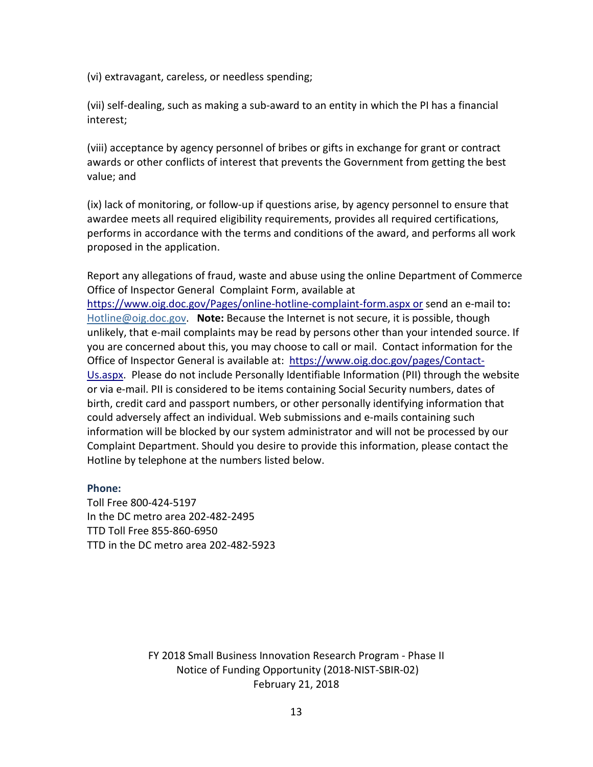(vi) extravagant, careless, or needless spending;

(vii) self-dealing, such as making a sub-award to an entity in which the PI has a financial interest;

(viii) acceptance by agency personnel of bribes or gifts in exchange for grant or contract awards or other conflicts of interest that prevents the Government from getting the best value; and

(ix) lack of monitoring, or follow-up if questions arise, by agency personnel to ensure that awardee meets all required eligibility requirements, provides all required certifications, performs in accordance with the terms and conditions of the award, and performs all work proposed in the application.

Report any allegations of fraud, waste and abuse using the online Department of Commerce Office of Inspector General [Complaint Form,](https://www.oig.doc.gov/Pages/online-hotline-complaint-form.aspx) available at <https://www.oig.doc.gov/Pages/online-hotline-complaint-form.aspx> or send an e-mail to**:**  [Hotline@oig.doc.gov.](mailto:Hotline@oig.doc.gov) **Note:** Because the Internet is not secure, it is possible, though unlikely, that e-mail complaints may be read by persons other than your intended source. If you are concerned about this, you may choose to call or mail. Contact information for the Office of Inspector General is available at: [https://www.oig.doc.gov/pages/Contact-](https://www.oig.doc.gov/pages/Contact-Us.aspx)[Us.aspx.](https://www.oig.doc.gov/pages/Contact-Us.aspx) Please do not include Personally Identifiable Information (PII) through the website or via e-mail. PII is considered to be items containing Social Security numbers, dates of birth, credit card and passport numbers, or other personally identifying information that could adversely affect an individual. Web submissions and e-mails containing such information will be blocked by our system administrator and will not be processed by our Complaint Department. Should you desire to provide this information, please contact the Hotline by telephone at the numbers listed below.

#### **Phone:**

Toll Free 800-424-5197 In the DC metro area 202-482-2495 TTD Toll Free 855-860-6950 TTD in the DC metro area 202-482-5923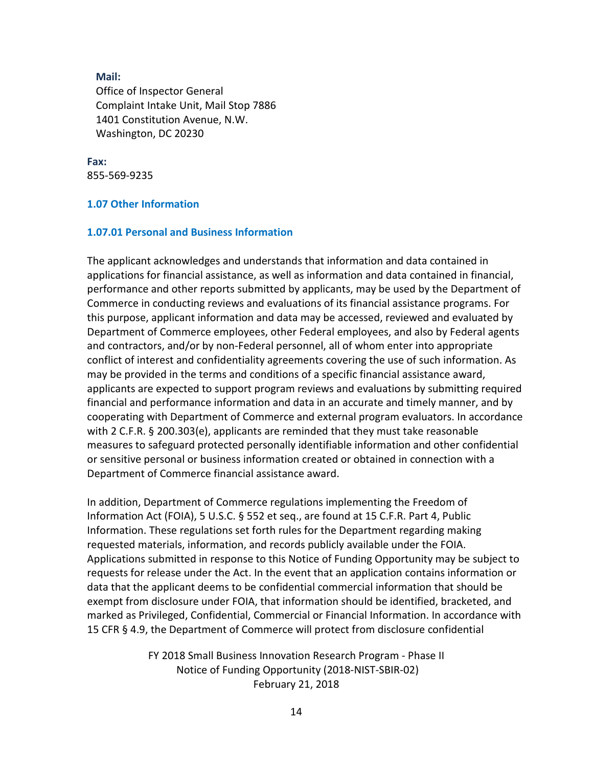#### **Mail:**

Office of Inspector General Complaint Intake Unit, Mail Stop 7886 1401 Constitution Avenue, N.W. Washington, DC 20230

**Fax:** 855-569-9235

#### <span id="page-13-0"></span>**1.07 Other Information**

#### **1.07.01 Personal and Business Information**

The applicant acknowledges and understands that information and data contained in applications for financial assistance, as well as information and data contained in financial, performance and other reports submitted by applicants, may be used by the Department of Commerce in conducting reviews and evaluations of its financial assistance programs. For this purpose, applicant information and data may be accessed, reviewed and evaluated by Department of Commerce employees, other Federal employees, and also by Federal agents and contractors, and/or by non-Federal personnel, all of whom enter into appropriate conflict of interest and confidentiality agreements covering the use of such information. As may be provided in the terms and conditions of a specific financial assistance award, applicants are expected to support program reviews and evaluations by submitting required financial and performance information and data in an accurate and timely manner, and by cooperating with Department of Commerce and external program evaluators. In accordance with 2 C.F.R. § 200.303(e), applicants are reminded that they must take reasonable measures to safeguard protected personally identifiable information and other confidential or sensitive personal or business information created or obtained in connection with a Department of Commerce financial assistance award.

In addition, Department of Commerce regulations implementing the Freedom of Information Act (FOIA), 5 U.S.C. § 552 et seq., are found at 15 C.F.R. Part 4, Public Information. These regulations set forth rules for the Department regarding making requested materials, information, and records publicly available under the FOIA. Applications submitted in response to this Notice of Funding Opportunity may be subject to requests for release under the Act. In the event that an application contains information or data that the applicant deems to be confidential commercial information that should be exempt from disclosure under FOIA, that information should be identified, bracketed, and marked as Privileged, Confidential, Commercial or Financial Information. In accordance with 15 CFR § 4.9, the Department of Commerce will protect from disclosure confidential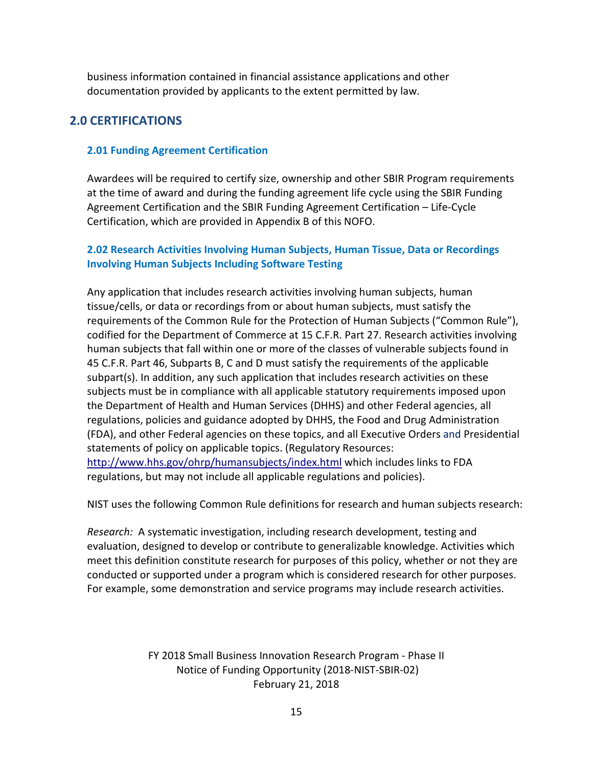business information contained in financial assistance applications and other documentation provided by applicants to the extent permitted by law.

# <span id="page-14-0"></span>**2.0 CERTIFICATIONS**

#### <span id="page-14-1"></span>**2.01 Funding Agreement Certification**

Awardees will be required to certify size, ownership and other SBIR Program requirements at the time of award and during the funding agreement life cycle using the SBIR Funding Agreement Certification and the SBIR Funding Agreement Certification – Life-Cycle Certification, which are provided in Appendix B of this NOFO.

#### <span id="page-14-2"></span>**2.02 Research Activities Involving Human Subjects, Human Tissue, Data or Recordings Involving Human Subjects Including Software Testing**

Any application that includes research activities involving human subjects, human tissue/cells, or data or recordings from or about human subjects, must satisfy the requirements of the Common Rule for the Protection of Human Subjects ("Common Rule"), codified for the Department of Commerce at 15 C.F.R. Part 27. Research activities involving human subjects that fall within one or more of the classes of vulnerable subjects found in 45 C.F.R. Part 46, Subparts B, C and D must satisfy the requirements of the applicable subpart(s). In addition, any such application that includes research activities on these subjects must be in compliance with all applicable statutory requirements imposed upon the Department of Health and Human Services (DHHS) and other Federal agencies, all regulations, policies and guidance adopted by DHHS, the Food and Drug Administration (FDA), and other Federal agencies on these topics, and all Executive Orders and Presidential statements of policy on applicable topics. (Regulatory Resources: <http://www.hhs.gov/ohrp/humansubjects/index.html> which includes links to FDA regulations, but may not include all applicable regulations and policies).

NIST uses the following Common Rule definitions for research and human subjects research:

*Research:* A systematic investigation, including research development, testing and evaluation, designed to develop or contribute to generalizable knowledge. Activities which meet this definition constitute research for purposes of this policy, whether or not they are conducted or supported under a program which is considered research for other purposes. For example, some demonstration and service programs may include research activities.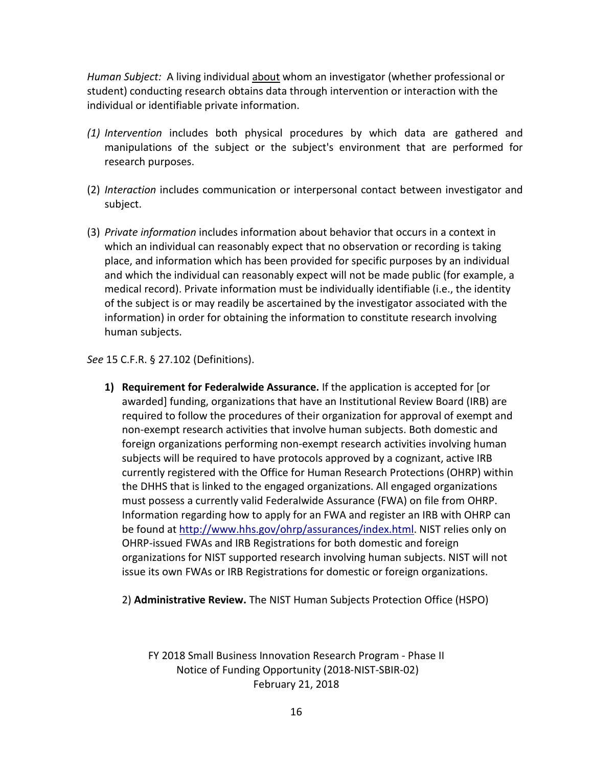*Human Subject:* A living individual about whom an investigator (whether professional or student) conducting research obtains data through intervention or interaction with the individual or identifiable private information.

- *(1) Intervention* includes both physical procedures by which data are gathered and manipulations of the subject or the subject's environment that are performed for research purposes.
- (2) *Interaction* includes communication or interpersonal contact between investigator and subject.
- (3) *Private information* includes information about behavior that occurs in a context in which an individual can reasonably expect that no observation or recording is taking place, and information which has been provided for specific purposes by an individual and which the individual can reasonably expect will not be made public (for example, a medical record). Private information must be individually identifiable (i.e., the identity of the subject is or may readily be ascertained by the investigator associated with the information) in order for obtaining the information to constitute research involving human subjects.

*See* 15 C.F.R. § 27.102 (Definitions).

- **1) Requirement for Federalwide Assurance.** If the application is accepted for [or awarded] funding, organizations that have an Institutional Review Board (IRB) are required to follow the procedures of their organization for approval of exempt and non-exempt research activities that involve human subjects. Both domestic and foreign organizations performing non-exempt research activities involving human subjects will be required to have protocols approved by a cognizant, active IRB currently registered with the Office for Human Research Protections (OHRP) within the DHHS that is linked to the engaged organizations. All engaged organizations must possess a currently valid Federalwide Assurance (FWA) on file from OHRP. Information regarding how to apply for an FWA and register an IRB with OHRP can be found at [http://www.hhs.gov/ohrp/assurances/index.html.](http://www.hhs.gov/ohrp/assurances/index.html) NIST relies only on OHRP-issued FWAs and IRB Registrations for both domestic and foreign organizations for NIST supported research involving human subjects. NIST will not issue its own FWAs or IRB Registrations for domestic or foreign organizations.
	- 2) **Administrative Review.** The NIST Human Subjects Protection Office (HSPO)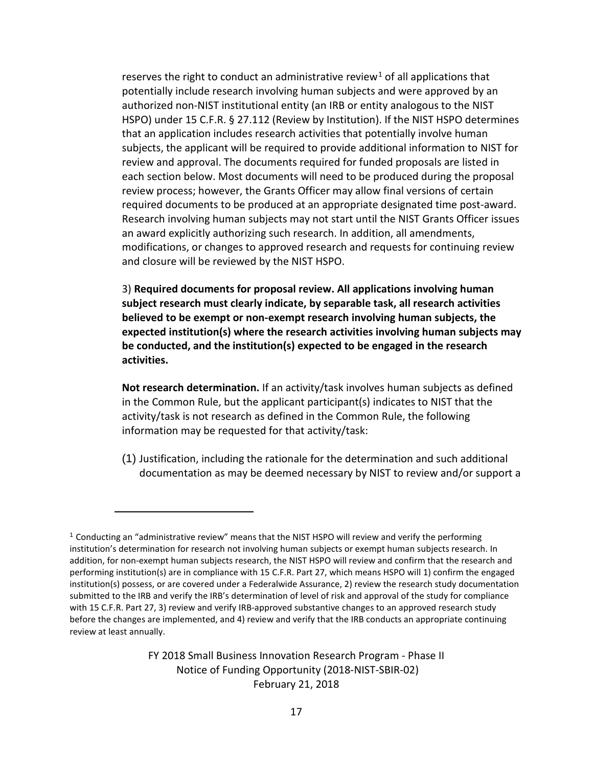reserves the right to conduct an administrative review<sup>[1](#page-16-0)</sup> of all applications that potentially include research involving human subjects and were approved by an authorized non-NIST institutional entity (an IRB or entity analogous to the NIST HSPO) under 15 C.F.R. § 27.112 (Review by Institution). If the NIST HSPO determines that an application includes research activities that potentially involve human subjects, the applicant will be required to provide additional information to NIST for review and approval. The documents required for funded proposals are listed in each section below. Most documents will need to be produced during the proposal review process; however, the Grants Officer may allow final versions of certain required documents to be produced at an appropriate designated time post-award. Research involving human subjects may not start until the NIST Grants Officer issues an award explicitly authorizing such research. In addition, all amendments, modifications, or changes to approved research and requests for continuing review and closure will be reviewed by the NIST HSPO.

3) **Required documents for proposal review. All applications involving human subject research must clearly indicate, by separable task, all research activities believed to be exempt or non-exempt research involving human subjects, the expected institution(s) where the research activities involving human subjects may be conducted, and the institution(s) expected to be engaged in the research activities.**

**Not research determination.** If an activity/task involves human subjects as defined in the Common Rule, but the applicant participant(s) indicates to NIST that the activity/task is not research as defined in the Common Rule, the following information may be requested for that activity/task:

(1) Justification, including the rationale for the determination and such additional documentation as may be deemed necessary by NIST to review and/or support a

 $\overline{a}$ 

<span id="page-16-0"></span><sup>1</sup> Conducting an "administrative review" means that the NIST HSPO will review and verify the performing institution's determination for research not involving human subjects or exempt human subjects research. In addition, for non-exempt human subjects research, the NIST HSPO will review and confirm that the research and performing institution(s) are in compliance with 15 C.F.R. Part 27, which means HSPO will 1) confirm the engaged institution(s) possess, or are covered under a Federalwide Assurance, 2) review the research study documentation submitted to the IRB and verify the IRB's determination of level of risk and approval of the study for compliance with 15 C.F.R. Part 27, 3) review and verify IRB-approved substantive changes to an approved research study before the changes are implemented, and 4) review and verify that the IRB conducts an appropriate continuing review at least annually.

FY 2018 Small Business Innovation Research Program - Phase II Notice of Funding Opportunity (2018-NIST-SBIR-02) February 21, 2018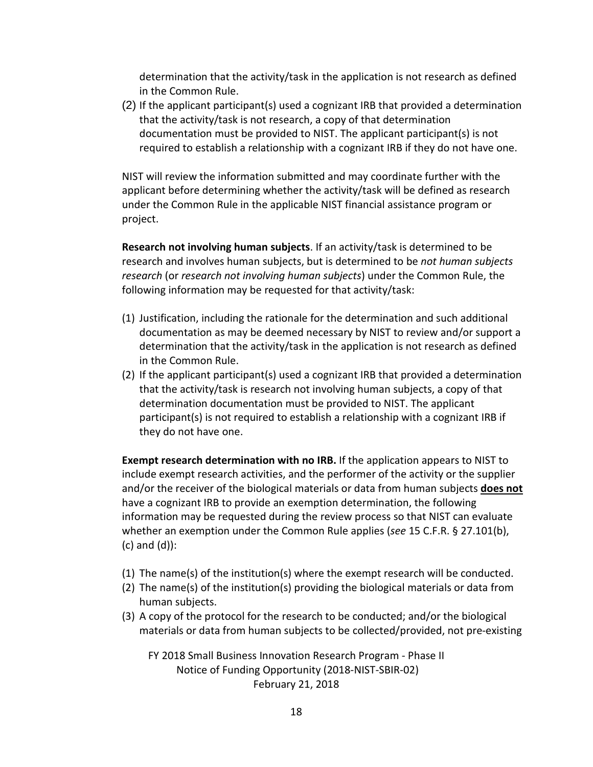determination that the activity/task in the application is not research as defined in the Common Rule.

(2) If the applicant participant(s) used a cognizant IRB that provided a determination that the activity/task is not research, a copy of that determination documentation must be provided to NIST. The applicant participant(s) is not required to establish a relationship with a cognizant IRB if they do not have one.

NIST will review the information submitted and may coordinate further with the applicant before determining whether the activity/task will be defined as research under the Common Rule in the applicable NIST financial assistance program or project.

**Research not involving human subjects**. If an activity/task is determined to be research and involves human subjects, but is determined to be *not human subjects research* (or *research not involving human subjects*) under the Common Rule, the following information may be requested for that activity/task:

- (1) Justification, including the rationale for the determination and such additional documentation as may be deemed necessary by NIST to review and/or support a determination that the activity/task in the application is not research as defined in the Common Rule.
- (2) If the applicant participant(s) used a cognizant IRB that provided a determination that the activity/task is research not involving human subjects, a copy of that determination documentation must be provided to NIST. The applicant participant(s) is not required to establish a relationship with a cognizant IRB if they do not have one.

**Exempt research determination with no IRB.** If the application appears to NIST to include exempt research activities, and the performer of the activity or the supplier and/or the receiver of the biological materials or data from human subjects **does not** have a cognizant IRB to provide an exemption determination, the following information may be requested during the review process so that NIST can evaluate whether an exemption under the Common Rule applies (*see* 15 C.F.R. § 27.101(b), (c) and (d)):

- (1) The name(s) of the institution(s) where the exempt research will be conducted.
- (2) The name(s) of the institution(s) providing the biological materials or data from human subjects.
- (3) A copy of the protocol for the research to be conducted; and/or the biological materials or data from human subjects to be collected/provided, not pre-existing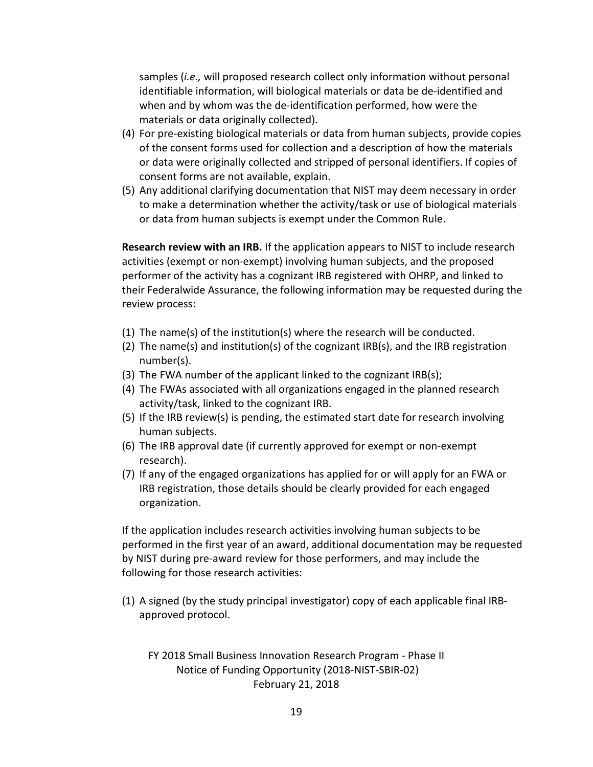samples (*i.e.,* will proposed research collect only information without personal identifiable information, will biological materials or data be de-identified and when and by whom was the de-identification performed, how were the materials or data originally collected).

- (4) For pre-existing biological materials or data from human subjects, provide copies of the consent forms used for collection and a description of how the materials or data were originally collected and stripped of personal identifiers. If copies of consent forms are not available, explain.
- (5) Any additional clarifying documentation that NIST may deem necessary in order to make a determination whether the activity/task or use of biological materials or data from human subjects is exempt under the Common Rule.

**Research review with an IRB.** If the application appears to NIST to include research activities (exempt or non-exempt) involving human subjects, and the proposed performer of the activity has a cognizant IRB registered with OHRP, and linked to their Federalwide Assurance, the following information may be requested during the review process:

- (1) The name(s) of the institution(s) where the research will be conducted.
- (2) The name(s) and institution(s) of the cognizant IRB(s), and the IRB registration number(s).
- (3) The FWA number of the applicant linked to the cognizant IRB(s);
- (4) The FWAs associated with all organizations engaged in the planned research activity/task, linked to the cognizant IRB.
- (5) If the IRB review(s) is pending, the estimated start date for research involving human subjects.
- (6) The IRB approval date (if currently approved for exempt or non-exempt research).
- (7) If any of the engaged organizations has applied for or will apply for an FWA or IRB registration, those details should be clearly provided for each engaged organization.

If the application includes research activities involving human subjects to be performed in the first year of an award, additional documentation may be requested by NIST during pre-award review for those performers, and may include the following for those research activities:

(1) A signed (by the study principal investigator) copy of each applicable final IRBapproved protocol.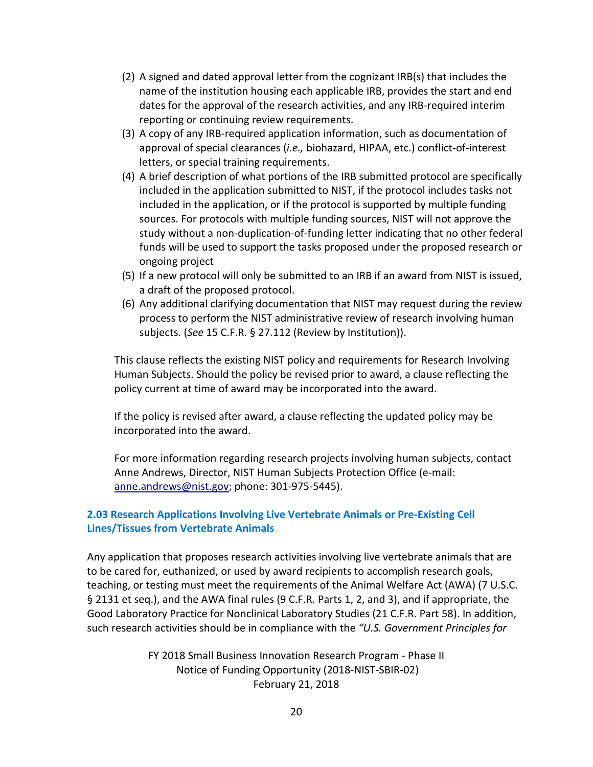- (2) A signed and dated approval letter from the cognizant IRB(s) that includes the name of the institution housing each applicable IRB, provides the start and end dates for the approval of the research activities, and any IRB-required interim reporting or continuing review requirements.
- (3) A copy of any IRB-required application information, such as documentation of approval of special clearances (*i.e.,* biohazard, HIPAA, etc.) conflict-of-interest letters, or special training requirements.
- (4) A brief description of what portions of the IRB submitted protocol are specifically included in the application submitted to NIST, if the protocol includes tasks not included in the application, or if the protocol is supported by multiple funding sources. For protocols with multiple funding sources, NIST will not approve the study without a non-duplication-of-funding letter indicating that no other federal funds will be used to support the tasks proposed under the proposed research or ongoing project
- (5) If a new protocol will only be submitted to an IRB if an award from NIST is issued, a draft of the proposed protocol.
- (6) Any additional clarifying documentation that NIST may request during the review process to perform the NIST administrative review of research involving human subjects. (*See* 15 C.F.R. § 27.112 (Review by Institution)).

This clause reflects the existing NIST policy and requirements for Research Involving Human Subjects. Should the policy be revised prior to award, a clause reflecting the policy current at time of award may be incorporated into the award.

If the policy is revised after award, a clause reflecting the updated policy may be incorporated into the award.

For more information regarding research projects involving human subjects, contact Anne Andrews, Director, NIST Human Subjects Protection Office (e-mail: [anne.andrews@nist.gov;](mailto:anne.andrews@nist.gov) phone: 301-975-5445).

# <span id="page-19-0"></span>**2.03 Research Applications Involving Live Vertebrate Animals or Pre-Existing Cell Lines/Tissues from Vertebrate Animals**

Any application that proposes research activities involving live vertebrate animals that are to be cared for, euthanized, or used by award recipients to accomplish research goals, teaching, or testing must meet the requirements of the Animal Welfare Act (AWA) (7 U.S.C. § 2131 et seq.), and the AWA final rules (9 C.F.R. Parts 1, 2, and 3), and if appropriate, the Good Laboratory Practice for Nonclinical Laboratory Studies (21 C.F.R. Part 58). In addition, such research activities should be in compliance with the *"U.S. Government Principles for*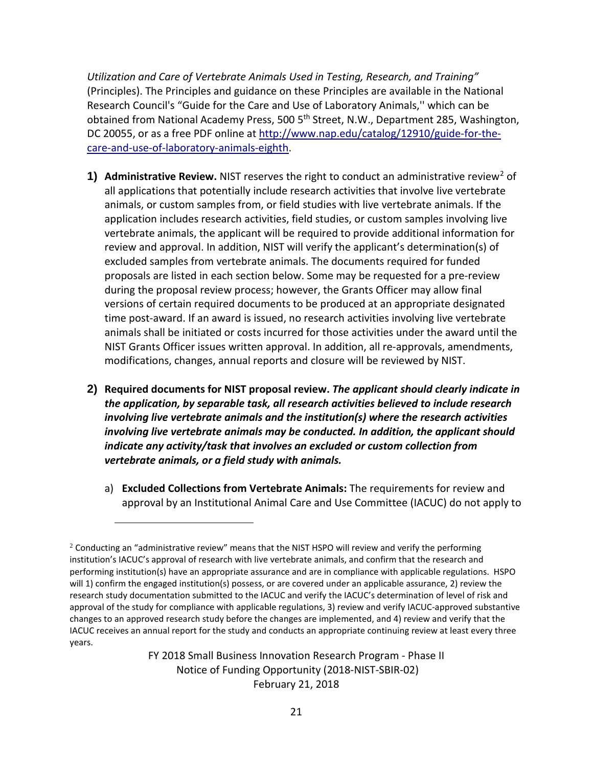*Utilization and Care of Vertebrate Animals Used in Testing, Research, and Training"*  (Principles). The Principles and guidance on these Principles are available in the National Research Council's "Guide for the Care and Use of Laboratory Animals,'' which can be obtained from National Academy Press, 500 5<sup>th</sup> Street, N.W., Department 285, Washington, DC 20055, or as a free PDF online at [http://www.nap.edu/catalog/12910/guide-for-the](http://www.nap.edu/catalog/12910/guide-for-the-care-and-use-of-laboratory-animals-eighth)[care-and-use-of-laboratory-animals-eighth.](http://www.nap.edu/catalog/12910/guide-for-the-care-and-use-of-laboratory-animals-eighth)

- **1) Administrative Review.** NIST reserves the right to conduct an administrative review<sup>2</sup> of all applications that potentially include research activities that involve live vertebrate animals, or custom samples from, or field studies with live vertebrate animals. If the application includes research activities, field studies, or custom samples involving live vertebrate animals, the applicant will be required to provide additional information for review and approval. In addition, NIST will verify the applicant's determination(s) of excluded samples from vertebrate animals. The documents required for funded proposals are listed in each section below. Some may be requested for a pre-review during the proposal review process; however, the Grants Officer may allow final versions of certain required documents to be produced at an appropriate designated time post-award. If an award is issued, no research activities involving live vertebrate animals shall be initiated or costs incurred for those activities under the award until the NIST Grants Officer issues written approval. In addition, all re-approvals, amendments, modifications, changes, annual reports and closure will be reviewed by NIST.
- **2) Required documents for NIST proposal review.** *The applicant should clearly indicate in the application, by separable task, all research activities believed to include research involving live vertebrate animals and the institution(s) where the research activities involving live vertebrate animals may be conducted. In addition, the applicant should indicate any activity/task that involves an excluded or custom collection from vertebrate animals, or a field study with animals.*
	- a) **Excluded Collections from Vertebrate Animals:** The requirements for review and approval by an Institutional Animal Care and Use Committee (IACUC) do not apply to

 $\overline{a}$ 

<span id="page-20-0"></span> $2$  Conducting an "administrative review" means that the NIST HSPO will review and verify the performing institution's IACUC's approval of research with live vertebrate animals, and confirm that the research and performing institution(s) have an appropriate assurance and are in compliance with applicable regulations. HSPO will 1) confirm the engaged institution(s) possess, or are covered under an applicable assurance, 2) review the research study documentation submitted to the IACUC and verify the IACUC's determination of level of risk and approval of the study for compliance with applicable regulations, 3) review and verify IACUC-approved substantive changes to an approved research study before the changes are implemented, and 4) review and verify that the IACUC receives an annual report for the study and conducts an appropriate continuing review at least every three years.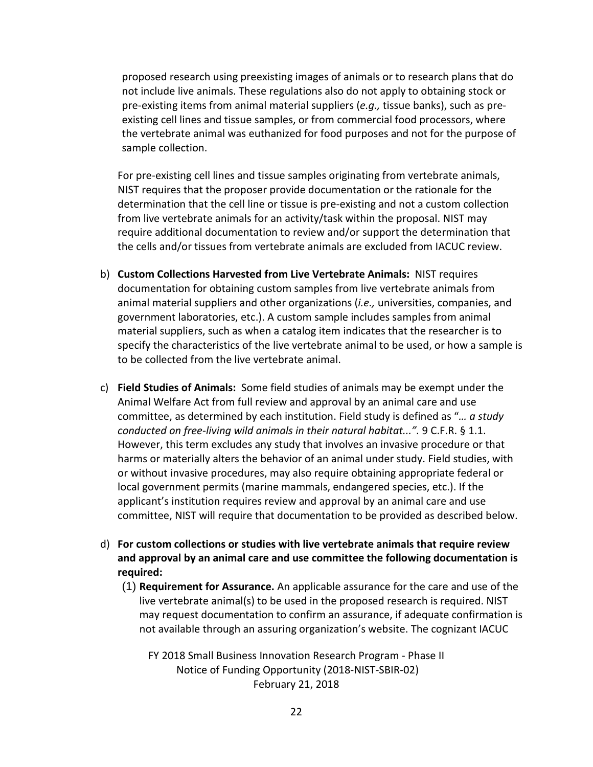proposed research using preexisting images of animals or to research plans that do not include live animals. These regulations also do not apply to obtaining stock or pre-existing items from animal material suppliers (*e.g.,* tissue banks), such as preexisting cell lines and tissue samples, or from commercial food processors, where the vertebrate animal was euthanized for food purposes and not for the purpose of sample collection.

For pre-existing cell lines and tissue samples originating from vertebrate animals, NIST requires that the proposer provide documentation or the rationale for the determination that the cell line or tissue is pre-existing and not a custom collection from live vertebrate animals for an activity/task within the proposal. NIST may require additional documentation to review and/or support the determination that the cells and/or tissues from vertebrate animals are excluded from IACUC review.

- b) **Custom Collections Harvested from Live Vertebrate Animals:** NIST requires documentation for obtaining custom samples from live vertebrate animals from animal material suppliers and other organizations (*i.e.,* universities, companies, and government laboratories, etc.). A custom sample includes samples from animal material suppliers, such as when a catalog item indicates that the researcher is to specify the characteristics of the live vertebrate animal to be used, or how a sample is to be collected from the live vertebrate animal.
- c) **Field Studies of Animals:** Some field studies of animals may be exempt under the Animal Welfare Act from full review and approval by an animal care and use committee, as determined by each institution. Field study is defined as "*… a study conducted on free-living wild animals in their natural habitat...".* 9 C.F.R. § 1.1. However, this term excludes any study that involves an invasive procedure or that harms or materially alters the behavior of an animal under study. Field studies, with or without invasive procedures, may also require obtaining appropriate federal or local government permits (marine mammals, endangered species, etc.). If the applicant's institution requires review and approval by an animal care and use committee, NIST will require that documentation to be provided as described below.
- d) **For custom collections or studies with live vertebrate animals that require review and approval by an animal care and use committee the following documentation is required:**
	- (1) **Requirement for Assurance.** An applicable assurance for the care and use of the live vertebrate animal(s) to be used in the proposed research is required. NIST may request documentation to confirm an assurance, if adequate confirmation is not available through an assuring organization's website. The cognizant IACUC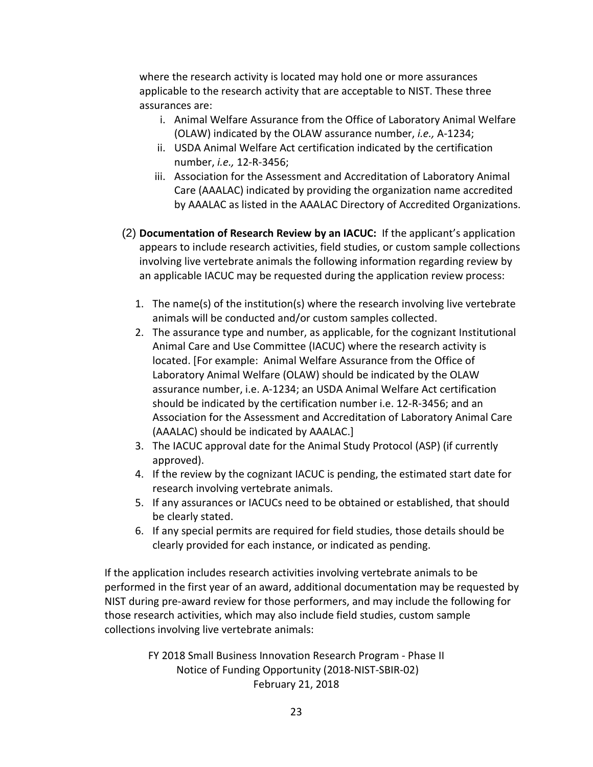where the research activity is located may hold one or more assurances applicable to the research activity that are acceptable to NIST. These three assurances are:

- i. Animal Welfare Assurance from the Office of Laboratory Animal Welfare (OLAW) indicated by the OLAW assurance number, *i.e.,* A-1234;
- ii. USDA Animal Welfare Act certification indicated by the certification number, *i.e.,* 12-R-3456;
- iii. Association for the Assessment and Accreditation of Laboratory Animal Care (AAALAC) indicated by providing the organization name accredited by AAALAC as listed in the AAALAC Directory of Accredited Organizations.
- (2) **Documentation of Research Review by an IACUC:** If the applicant's application appears to include research activities, field studies, or custom sample collections involving live vertebrate animals the following information regarding review by an applicable IACUC may be requested during the application review process:
	- 1. The name(s) of the institution(s) where the research involving live vertebrate animals will be conducted and/or custom samples collected.
	- 2. The assurance type and number, as applicable, for the cognizant Institutional Animal Care and Use Committee (IACUC) where the research activity is located. [For example: Animal Welfare Assurance from the Office of Laboratory Animal Welfare (OLAW) should be indicated by the OLAW assurance number, i.e. A-1234; an USDA Animal Welfare Act certification should be indicated by the certification number i.e. 12-R-3456; and an Association for the Assessment and Accreditation of Laboratory Animal Care (AAALAC) should be indicated by AAALAC.]
	- 3. The IACUC approval date for the Animal Study Protocol (ASP) (if currently approved).
	- 4. If the review by the cognizant IACUC is pending, the estimated start date for research involving vertebrate animals.
	- 5. If any assurances or IACUCs need to be obtained or established, that should be clearly stated.
	- 6. If any special permits are required for field studies, those details should be clearly provided for each instance, or indicated as pending.

If the application includes research activities involving vertebrate animals to be performed in the first year of an award, additional documentation may be requested by NIST during pre-award review for those performers, and may include the following for those research activities, which may also include field studies, custom sample collections involving live vertebrate animals: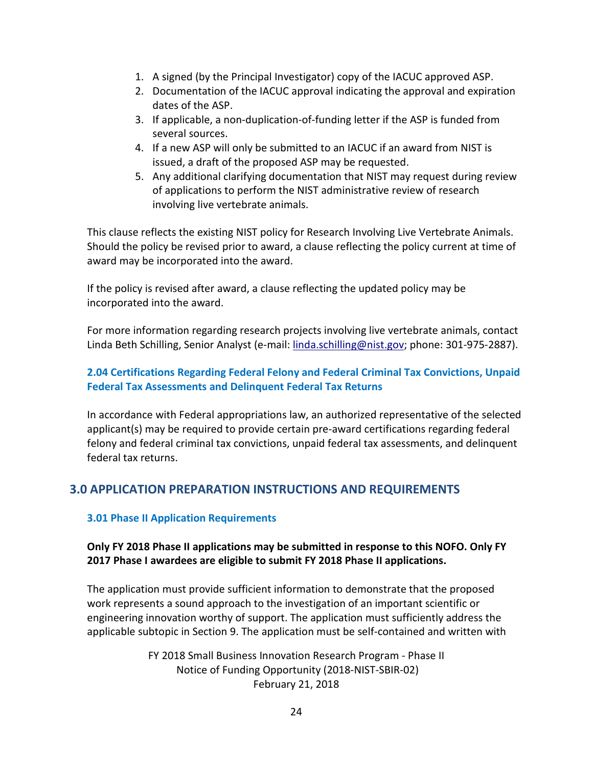- 1. A signed (by the Principal Investigator) copy of the IACUC approved ASP.
- 2. Documentation of the IACUC approval indicating the approval and expiration dates of the ASP.
- 3. If applicable, a non-duplication-of-funding letter if the ASP is funded from several sources.
- 4. If a new ASP will only be submitted to an IACUC if an award from NIST is issued, a draft of the proposed ASP may be requested.
- 5. Any additional clarifying documentation that NIST may request during review of applications to perform the NIST administrative review of research involving live vertebrate animals.

This clause reflects the existing NIST policy for Research Involving Live Vertebrate Animals. Should the policy be revised prior to award, a clause reflecting the policy current at time of award may be incorporated into the award.

If the policy is revised after award, a clause reflecting the updated policy may be incorporated into the award.

For more information regarding research projects involving live vertebrate animals, contact Linda Beth Schilling, Senior Analyst (e-mail: [linda.schilling@nist.gov;](mailto:linda.schilling@nist.gov) phone: 301-975-2887).

## <span id="page-23-0"></span>**2.04 Certifications Regarding Federal Felony and Federal Criminal Tax Convictions, Unpaid Federal Tax Assessments and Delinquent Federal Tax Returns**

In accordance with Federal appropriations law, an authorized representative of the selected applicant(s) may be required to provide certain pre-award certifications regarding federal felony and federal criminal tax convictions, unpaid federal tax assessments, and delinquent federal tax returns.

# <span id="page-23-1"></span>**3.0 APPLICATION PREPARATION INSTRUCTIONS AND REQUIREMENTS**

## <span id="page-23-2"></span>**3.01 Phase II Application Requirements**

## **Only FY 2018 Phase II applications may be submitted in response to this NOFO. Only FY 2017 Phase I awardees are eligible to submit FY 2018 Phase II applications.**

The application must provide sufficient information to demonstrate that the proposed work represents a sound approach to the investigation of an important scientific or engineering innovation worthy of support. The application must sufficiently address the applicable subtopic in Section 9. The application must be self-contained and written with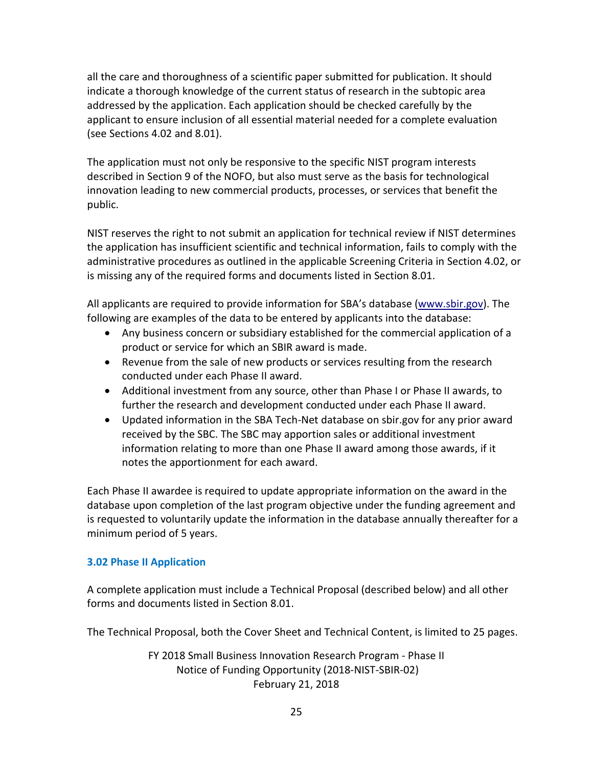all the care and thoroughness of a scientific paper submitted for publication. It should indicate a thorough knowledge of the current status of research in the subtopic area addressed by the application. Each application should be checked carefully by the applicant to ensure inclusion of all essential material needed for a complete evaluation (see Sections 4.02 and 8.01).

The application must not only be responsive to the specific NIST program interests described in Section 9 of the NOFO, but also must serve as the basis for technological innovation leading to new commercial products, processes, or services that benefit the public.

NIST reserves the right to not submit an application for technical review if NIST determines the application has insufficient scientific and technical information, fails to comply with the administrative procedures as outlined in the applicable Screening Criteria in Section 4.02, or is missing any of the required forms and documents listed in Section 8.01.

All applicants are required to provide information for SBA's database [\(www.sbir.gov\)](http://www.sbir.gov/). The following are examples of the data to be entered by applicants into the database:

- Any business concern or subsidiary established for the commercial application of a product or service for which an SBIR award is made.
- Revenue from the sale of new products or services resulting from the research conducted under each Phase II award.
- Additional investment from any source, other than Phase I or Phase II awards, to further the research and development conducted under each Phase II award.
- Updated information in the SBA Tech-Net database on sbir.gov for any prior award received by the SBC. The SBC may apportion sales or additional investment information relating to more than one Phase II award among those awards, if it notes the apportionment for each award.

Each Phase II awardee is required to update appropriate information on the award in the database upon completion of the last program objective under the funding agreement and is requested to voluntarily update the information in the database annually thereafter for a minimum period of 5 years.

# <span id="page-24-0"></span>**3.02 Phase II Application**

A complete application must include a Technical Proposal (described below) and all other forms and documents listed in Section 8.01.

The Technical Proposal, both the Cover Sheet and Technical Content, is limited to 25 pages.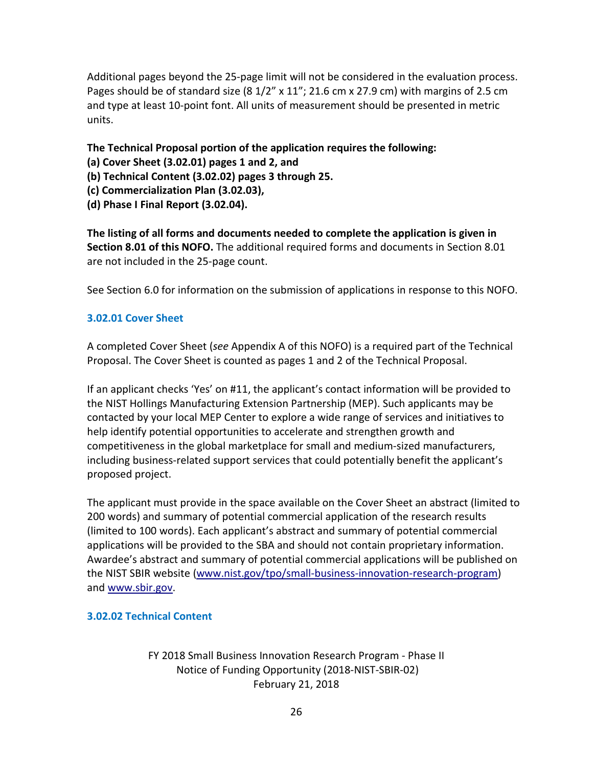Additional pages beyond the 25-page limit will not be considered in the evaluation process. Pages should be of standard size (8 1/2" x 11"; 21.6 cm x 27.9 cm) with margins of 2.5 cm and type at least 10-point font. All units of measurement should be presented in metric units.

**The Technical Proposal portion of the application requires the following:**

- **(a) Cover Sheet (3.02.01) pages 1 and 2, and**
- **(b) Technical Content (3.02.02) pages 3 through 25.**
- **(c) Commercialization Plan (3.02.03),**
- **(d) Phase I Final Report (3.02.04).**

**The listing of all forms and documents needed to complete the application is given in Section 8.01 of this NOFO.** The additional required forms and documents in Section 8.01 are not included in the 25-page count.

See Section 6.0 for information on the submission of applications in response to this NOFO.

## **3.02.01 Cover Sheet**

A completed Cover Sheet (*see* Appendix A of this NOFO) is a required part of the Technical Proposal. The Cover Sheet is counted as pages 1 and 2 of the Technical Proposal.

If an applicant checks 'Yes' on #11, the applicant's contact information will be provided to the NIST Hollings Manufacturing Extension Partnership (MEP). Such applicants may be contacted by your local MEP Center to explore a wide range of services and initiatives to help identify potential opportunities to accelerate and strengthen growth and competitiveness in the global marketplace for small and medium-sized manufacturers, including business-related support services that could potentially benefit the applicant's proposed project.

The applicant must provide in the space available on the Cover Sheet an abstract (limited to 200 words) and summary of potential commercial application of the research results (limited to 100 words). Each applicant's abstract and summary of potential commercial applications will be provided to the SBA and should not contain proprietary information. Awardee's abstract and summary of potential commercial applications will be published on the NIST SBIR website [\(www.nist.gov/tpo/small-business-innovation-research-program\)](http://www.nist.gov/tpo/small-business-innovation-research-program) and [www.sbir.gov.](http://www.sbir.gov/)

## **3.02.02 Technical Content**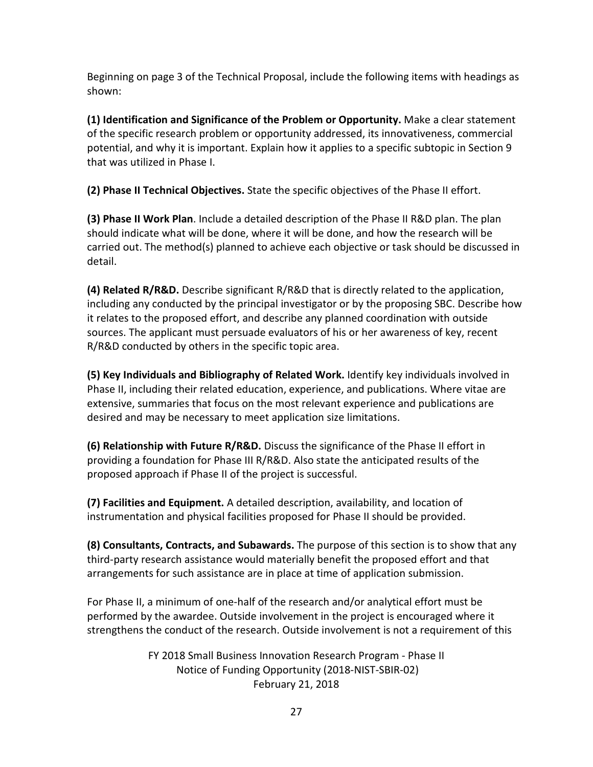Beginning on page 3 of the Technical Proposal, include the following items with headings as shown:

**(1) Identification and Significance of the Problem or Opportunity.** Make a clear statement of the specific research problem or opportunity addressed, its innovativeness, commercial potential, and why it is important. Explain how it applies to a specific subtopic in Section 9 that was utilized in Phase I.

**(2) Phase II Technical Objectives.** State the specific objectives of the Phase II effort.

**(3) Phase II Work Plan**. Include a detailed description of the Phase II R&D plan. The plan should indicate what will be done, where it will be done, and how the research will be carried out. The method(s) planned to achieve each objective or task should be discussed in detail.

**(4) Related R/R&D.** Describe significant R/R&D that is directly related to the application, including any conducted by the principal investigator or by the proposing SBC. Describe how it relates to the proposed effort, and describe any planned coordination with outside sources. The applicant must persuade evaluators of his or her awareness of key, recent R/R&D conducted by others in the specific topic area.

**(5) Key Individuals and Bibliography of Related Work.** Identify key individuals involved in Phase II, including their related education, experience, and publications. Where vitae are extensive, summaries that focus on the most relevant experience and publications are desired and may be necessary to meet application size limitations.

**(6) Relationship with Future R/R&D.** Discuss the significance of the Phase II effort in providing a foundation for Phase III R/R&D. Also state the anticipated results of the proposed approach if Phase II of the project is successful.

**(7) Facilities and Equipment.** A detailed description, availability, and location of instrumentation and physical facilities proposed for Phase II should be provided.

**(8) Consultants, Contracts, and Subawards.** The purpose of this section is to show that any third-party research assistance would materially benefit the proposed effort and that arrangements for such assistance are in place at time of application submission.

For Phase II, a minimum of one-half of the research and/or analytical effort must be performed by the awardee. Outside involvement in the project is encouraged where it strengthens the conduct of the research. Outside involvement is not a requirement of this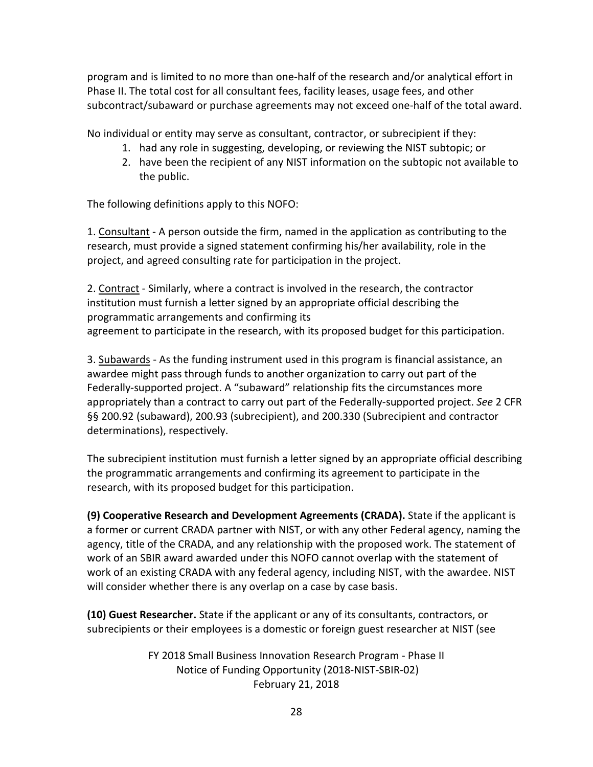program and is limited to no more than one-half of the research and/or analytical effort in Phase II. The total cost for all consultant fees, facility leases, usage fees, and other subcontract/subaward or purchase agreements may not exceed one-half of the total award.

No individual or entity may serve as consultant, contractor, or subrecipient if they:

- 1. had any role in suggesting, developing, or reviewing the NIST subtopic; or
- 2. have been the recipient of any NIST information on the subtopic not available to the public.

The following definitions apply to this NOFO:

1. Consultant - A person outside the firm, named in the application as contributing to the research, must provide a signed statement confirming his/her availability, role in the project, and agreed consulting rate for participation in the project.

2. Contract - Similarly, where a contract is involved in the research, the contractor institution must furnish a letter signed by an appropriate official describing the programmatic arrangements and confirming its agreement to participate in the research, with its proposed budget for this participation.

3. Subawards - As the funding instrument used in this program is financial assistance, an awardee might pass through funds to another organization to carry out part of the Federally-supported project. A "subaward" relationship fits the circumstances more appropriately than a contract to carry out part of the Federally-supported project. *See* 2 CFR §§ 200.92 (subaward), 200.93 (subrecipient), and 200.330 (Subrecipient and contractor determinations), respectively.

The subrecipient institution must furnish a letter signed by an appropriate official describing the programmatic arrangements and confirming its agreement to participate in the research, with its proposed budget for this participation.

**(9) Cooperative Research and Development Agreements (CRADA).** State if the applicant is a former or current CRADA partner with NIST, or with any other Federal agency, naming the agency, title of the CRADA, and any relationship with the proposed work. The statement of work of an SBIR award awarded under this NOFO cannot overlap with the statement of work of an existing CRADA with any federal agency, including NIST, with the awardee. NIST will consider whether there is any overlap on a case by case basis.

**(10) Guest Researcher.** State if the applicant or any of its consultants, contractors, or subrecipients or their employees is a domestic or foreign guest researcher at NIST (see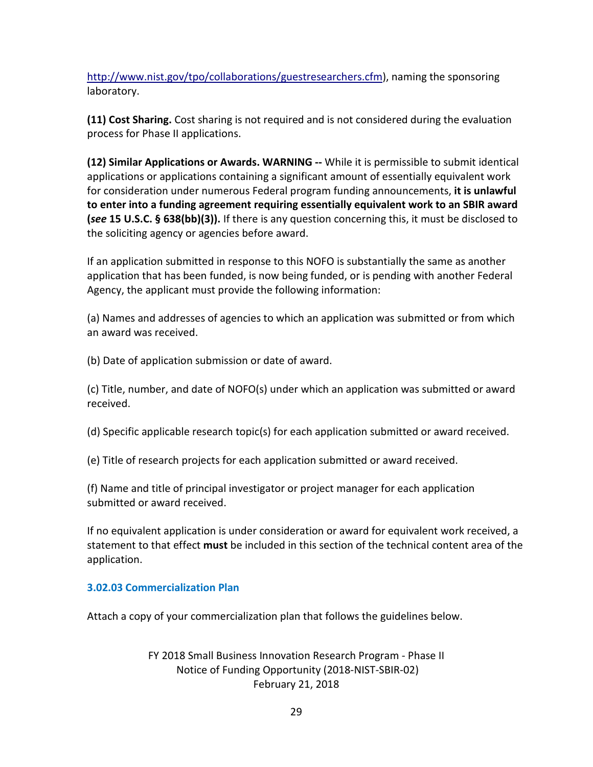[http://www.nist.gov/tpo/collaborations/guestresearchers.cfm\)](http://www.nist.gov/tpo/collaborations/guestresearchers.cfm), naming the sponsoring laboratory.

**(11) Cost Sharing.** Cost sharing is not required and is not considered during the evaluation process for Phase II applications.

**(12) Similar Applications or Awards. WARNING --** While it is permissible to submit identical applications or applications containing a significant amount of essentially equivalent work for consideration under numerous Federal program funding announcements, **it is unlawful to enter into a funding agreement requiring essentially equivalent work to an SBIR award (***see* **15 U.S.C. § 638(bb)(3)).** If there is any question concerning this, it must be disclosed to the soliciting agency or agencies before award.

If an application submitted in response to this NOFO is substantially the same as another application that has been funded, is now being funded, or is pending with another Federal Agency, the applicant must provide the following information:

(a) Names and addresses of agencies to which an application was submitted or from which an award was received.

(b) Date of application submission or date of award.

(c) Title, number, and date of NOFO(s) under which an application was submitted or award received.

(d) Specific applicable research topic(s) for each application submitted or award received.

(e) Title of research projects for each application submitted or award received.

(f) Name and title of principal investigator or project manager for each application submitted or award received.

If no equivalent application is under consideration or award for equivalent work received, a statement to that effect **must** be included in this section of the technical content area of the application.

#### **3.02.03 Commercialization Plan**

Attach a copy of your commercialization plan that follows the guidelines below.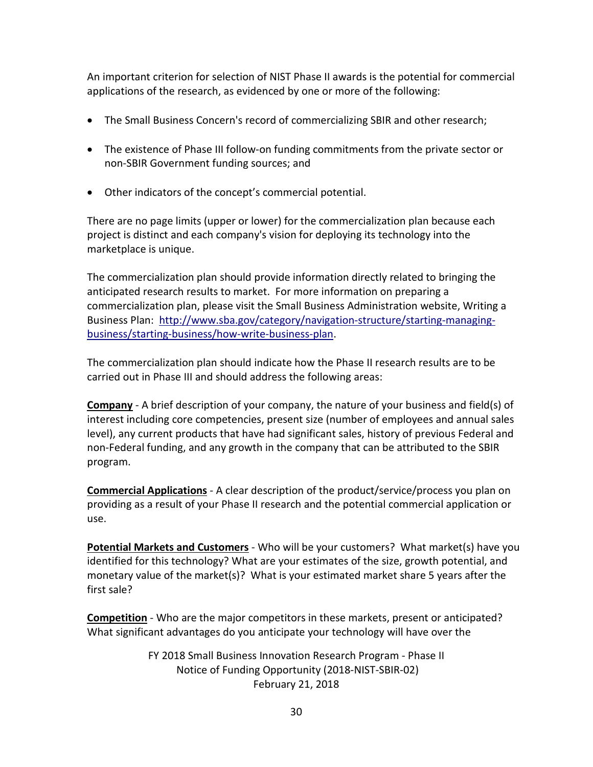An important criterion for selection of NIST Phase II awards is the potential for commercial applications of the research, as evidenced by one or more of the following:

- The Small Business Concern's record of commercializing SBIR and other research;
- The existence of Phase III follow-on funding commitments from the private sector or non-SBIR Government funding sources; and
- Other indicators of the concept's commercial potential.

There are no page limits (upper or lower) for the commercialization plan because each project is distinct and each company's vision for deploying its technology into the marketplace is unique.

The commercialization plan should provide information directly related to bringing the anticipated research results to market. For more information on preparing a commercialization plan, please visit the Small Business Administration website, Writing a Business Plan: [http://www.sba.gov/category/navigation-structure/starting-managing](http://www.sba.gov/category/navigation-structure/starting-managing-business/starting-business/how-write-business-plan)[business/starting-business/how-write-business-plan.](http://www.sba.gov/category/navigation-structure/starting-managing-business/starting-business/how-write-business-plan)

The commercialization plan should indicate how the Phase II research results are to be carried out in Phase III and should address the following areas:

**Company** - A brief description of your company, the nature of your business and field(s) of interest including core competencies, present size (number of employees and annual sales level), any current products that have had significant sales, history of previous Federal and non-Federal funding, and any growth in the company that can be attributed to the SBIR program.

**Commercial Applications** - A clear description of the product/service/process you plan on providing as a result of your Phase II research and the potential commercial application or use.

**Potential Markets and Customers** - Who will be your customers? What market(s) have you identified for this technology? What are your estimates of the size, growth potential, and monetary value of the market(s)? What is your estimated market share 5 years after the first sale?

**Competition** - Who are the major competitors in these markets, present or anticipated? What significant advantages do you anticipate your technology will have over the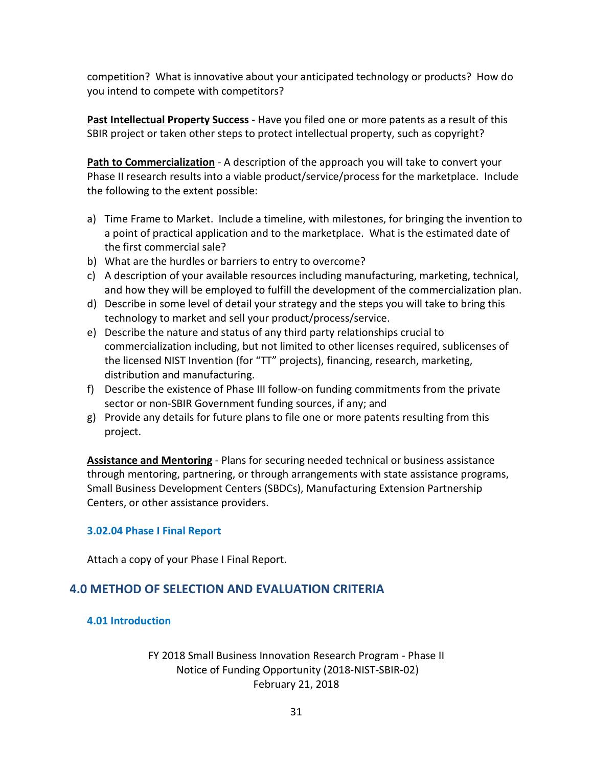competition? What is innovative about your anticipated technology or products? How do you intend to compete with competitors?

**Past Intellectual Property Success** - Have you filed one or more patents as a result of this SBIR project or taken other steps to protect intellectual property, such as copyright?

**Path to Commercialization** - A description of the approach you will take to convert your Phase II research results into a viable product/service/process for the marketplace. Include the following to the extent possible:

- a) Time Frame to Market. Include a timeline, with milestones, for bringing the invention to a point of practical application and to the marketplace. What is the estimated date of the first commercial sale?
- b) What are the hurdles or barriers to entry to overcome?
- c) A description of your available resources including manufacturing, marketing, technical, and how they will be employed to fulfill the development of the commercialization plan.
- d) Describe in some level of detail your strategy and the steps you will take to bring this technology to market and sell your product/process/service.
- e) Describe the nature and status of any third party relationships crucial to commercialization including, but not limited to other licenses required, sublicenses of the licensed NIST Invention (for "TT" projects), financing, research, marketing, distribution and manufacturing.
- f) Describe the existence of Phase III follow-on funding commitments from the private sector or non-SBIR Government funding sources, if any; and
- g) Provide any details for future plans to file one or more patents resulting from this project.

**Assistance and Mentoring** - Plans for securing needed technical or business assistance through mentoring, partnering, or through arrangements with state assistance programs, Small Business Development Centers (SBDCs), Manufacturing Extension Partnership Centers, or other assistance providers.

## **3.02.04 Phase I Final Report**

Attach a copy of your Phase I Final Report.

# <span id="page-30-0"></span>**4.0 METHOD OF SELECTION AND EVALUATION CRITERIA**

## <span id="page-30-1"></span>**4.01 Introduction**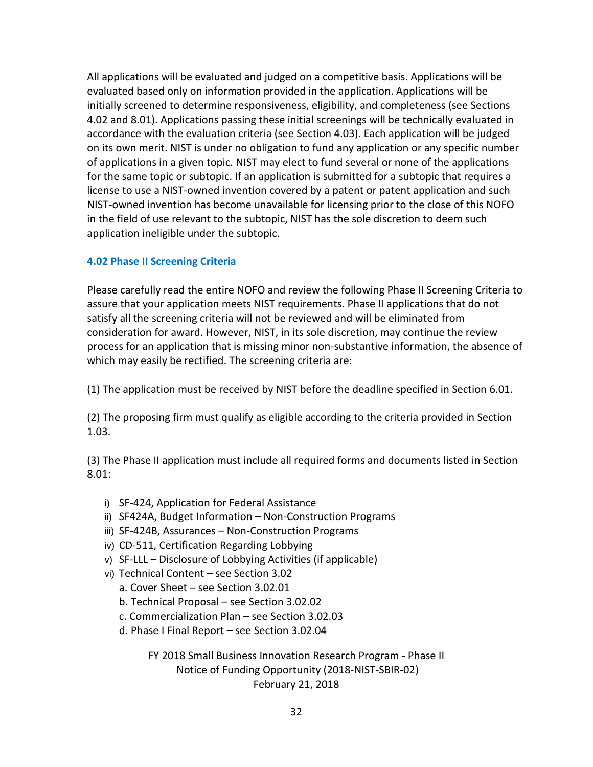All applications will be evaluated and judged on a competitive basis. Applications will be evaluated based only on information provided in the application. Applications will be initially screened to determine responsiveness, eligibility, and completeness (see Sections 4.02 and 8.01). Applications passing these initial screenings will be technically evaluated in accordance with the evaluation criteria (see Section 4.03). Each application will be judged on its own merit. NIST is under no obligation to fund any application or any specific number of applications in a given topic. NIST may elect to fund several or none of the applications for the same topic or subtopic. If an application is submitted for a subtopic that requires a license to use a NIST-owned invention covered by a patent or patent application and such NIST-owned invention has become unavailable for licensing prior to the close of this NOFO in the field of use relevant to the subtopic, NIST has the sole discretion to deem such application ineligible under the subtopic.

#### <span id="page-31-0"></span>**4.02 Phase II Screening Criteria**

Please carefully read the entire NOFO and review the following Phase II Screening Criteria to assure that your application meets NIST requirements. Phase II applications that do not satisfy all the screening criteria will not be reviewed and will be eliminated from consideration for award. However, NIST, in its sole discretion, may continue the review process for an application that is missing minor non-substantive information, the absence of which may easily be rectified. The screening criteria are:

(1) The application must be received by NIST before the deadline specified in Section 6.01.

(2) The proposing firm must qualify as eligible according to the criteria provided in Section 1.03.

(3) The Phase II application must include all required forms and documents listed in Section 8.01:

- i) SF-424, Application for Federal Assistance
- ii) SF424A, Budget Information Non-Construction Programs
- iii) SF-424B, Assurances Non-Construction Programs
- iv) CD-511, Certification Regarding Lobbying
- v) SF-LLL Disclosure of Lobbying Activities (if applicable)
- vi) Technical Content see Section 3.02
	- a. Cover Sheet see Section 3.02.01
	- b. Technical Proposal see Section 3.02.02
	- c. Commercialization Plan see Section 3.02.03
	- d. Phase I Final Report see Section 3.02.04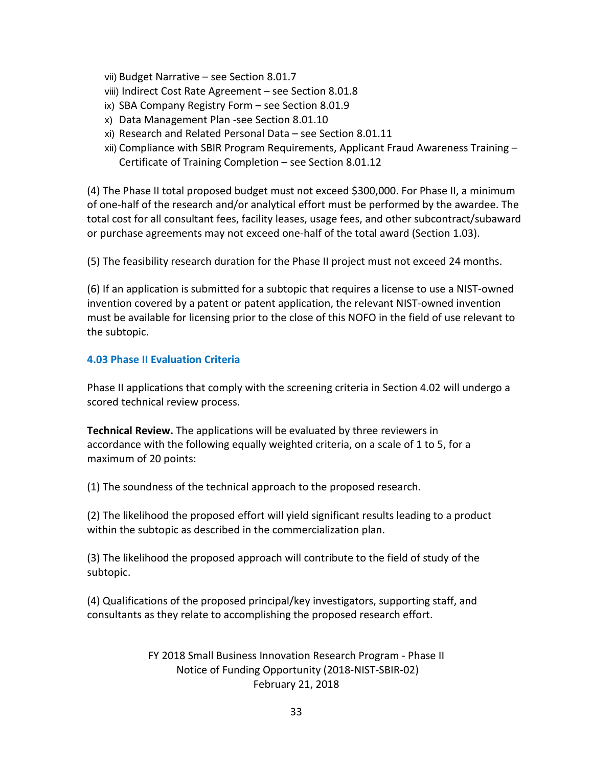- vii) Budget Narrative see Section 8.01.7
- viii) Indirect Cost Rate Agreement see Section 8.01.8
- ix) SBA Company Registry Form see Section 8.01.9
- x) Data Management Plan -see Section 8.01.10
- xi) Research and Related Personal Data see Section 8.01.11
- xii) Compliance with SBIR Program Requirements, Applicant Fraud Awareness Training Certificate of Training Completion – see Section 8.01.12

(4) The Phase II total proposed budget must not exceed \$300,000. For Phase II, a minimum of one-half of the research and/or analytical effort must be performed by the awardee. The total cost for all consultant fees, facility leases, usage fees, and other subcontract/subaward or purchase agreements may not exceed one-half of the total award (Section 1.03).

(5) The feasibility research duration for the Phase II project must not exceed 24 months.

(6) If an application is submitted for a subtopic that requires a license to use a NIST-owned invention covered by a patent or patent application, the relevant NIST-owned invention must be available for licensing prior to the close of this NOFO in the field of use relevant to the subtopic.

#### <span id="page-32-0"></span>**4.03 Phase II Evaluation Criteria**

Phase II applications that comply with the screening criteria in Section 4.02 will undergo a scored technical review process.

**Technical Review.** The applications will be evaluated by three reviewers in accordance with the following equally weighted criteria, on a scale of 1 to 5, for a maximum of 20 points:

(1) The soundness of the technical approach to the proposed research.

(2) The likelihood the proposed effort will yield significant results leading to a product within the subtopic as described in the commercialization plan.

(3) The likelihood the proposed approach will contribute to the field of study of the subtopic.

(4) Qualifications of the proposed principal/key investigators, supporting staff, and consultants as they relate to accomplishing the proposed research effort.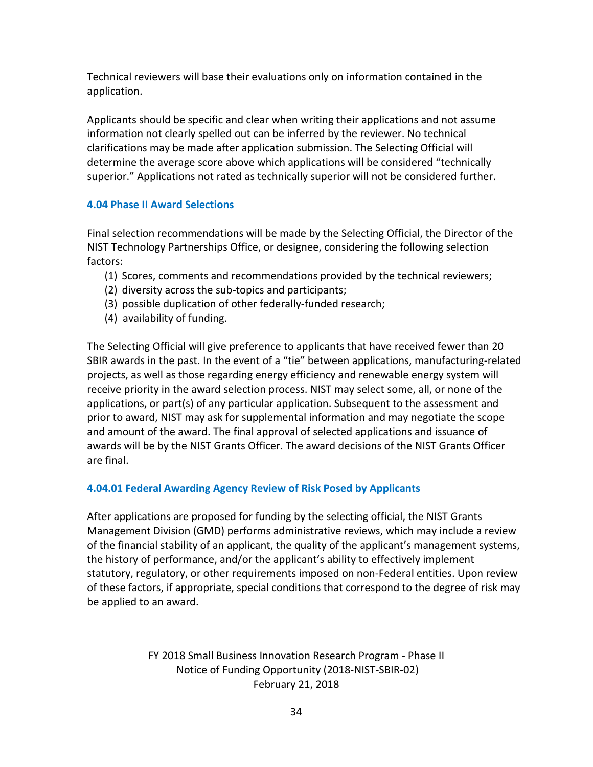Technical reviewers will base their evaluations only on information contained in the application.

Applicants should be specific and clear when writing their applications and not assume information not clearly spelled out can be inferred by the reviewer. No technical clarifications may be made after application submission. The Selecting Official will determine the average score above which applications will be considered "technically superior." Applications not rated as technically superior will not be considered further.

## <span id="page-33-0"></span>**4.04 Phase II Award Selections**

Final selection recommendations will be made by the Selecting Official, the Director of the NIST Technology Partnerships Office, or designee, considering the following selection factors:

- (1) Scores, comments and recommendations provided by the technical reviewers;
- (2) diversity across the sub-topics and participants;
- (3) possible duplication of other federally-funded research;
- (4) availability of funding.

The Selecting Official will give preference to applicants that have received fewer than 20 SBIR awards in the past. In the event of a "tie" between applications, manufacturing-related projects, as well as those regarding energy efficiency and renewable energy system will receive priority in the award selection process. NIST may select some, all, or none of the applications, or part(s) of any particular application. Subsequent to the assessment and prior to award, NIST may ask for supplemental information and may negotiate the scope and amount of the award. The final approval of selected applications and issuance of awards will be by the NIST Grants Officer. The award decisions of the NIST Grants Officer are final.

## **4.04.01 Federal Awarding Agency Review of Risk Posed by Applicants**

After applications are proposed for funding by the selecting official, the NIST Grants Management Division (GMD) performs administrative reviews, which may include a review of the financial stability of an applicant, the quality of the applicant's management systems, the history of performance, and/or the applicant's ability to effectively implement statutory, regulatory, or other requirements imposed on non-Federal entities. Upon review of these factors, if appropriate, special conditions that correspond to the degree of risk may be applied to an award.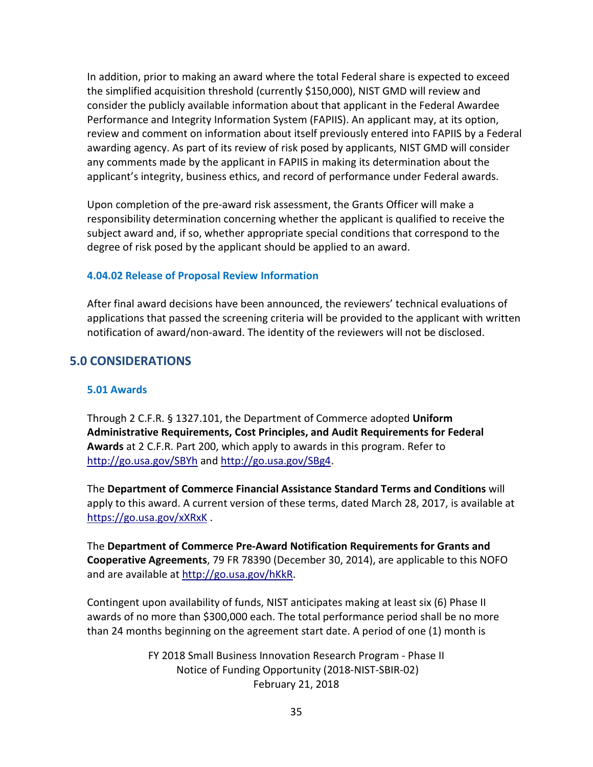In addition, prior to making an award where the total Federal share is expected to exceed the simplified acquisition threshold (currently \$150,000), NIST GMD will review and consider the publicly available information about that applicant in the Federal Awardee Performance and Integrity Information System (FAPIIS). An applicant may, at its option, review and comment on information about itself previously entered into FAPIIS by a Federal awarding agency. As part of its review of risk posed by applicants, NIST GMD will consider any comments made by the applicant in FAPIIS in making its determination about the applicant's integrity, business ethics, and record of performance under Federal awards.

Upon completion of the pre-award risk assessment, the Grants Officer will make a responsibility determination concerning whether the applicant is qualified to receive the subject award and, if so, whether appropriate special conditions that correspond to the degree of risk posed by the applicant should be applied to an award.

#### **4.04.02 Release of Proposal Review Information**

After final award decisions have been announced, the reviewers' technical evaluations of applications that passed the screening criteria will be provided to the applicant with written notification of award/non-award. The identity of the reviewers will not be disclosed.

# <span id="page-34-0"></span>**5.0 CONSIDERATIONS**

#### <span id="page-34-1"></span>**5.01 Awards**

Through 2 C.F.R. § 1327.101, the Department of Commerce adopted **Uniform Administrative Requirements, Cost Principles, and Audit Requirements for Federal Awards** at 2 C.F.R. Part 200, which apply to awards in this program. Refer to <http://go.usa.gov/SBYh> and<http://go.usa.gov/SBg4>.

The **Department of Commerce Financial Assistance Standard Terms and Conditions** will apply to this award. A current version of these terms, dated March 28, 2017, is available at <https://go.usa.gov/xXRxK> .

The **Department of Commerce Pre-Award Notification Requirements for Grants and Cooperative Agreements**, 79 FR 78390 (December 30, 2014), are applicable to this NOFO and are available at [http://go.usa.gov/hKkR.](http://go.usa.gov/hKkR)

Contingent upon availability of funds, NIST anticipates making at least six (6) Phase II awards of no more than \$300,000 each. The total performance period shall be no more than 24 months beginning on the agreement start date. A period of one (1) month is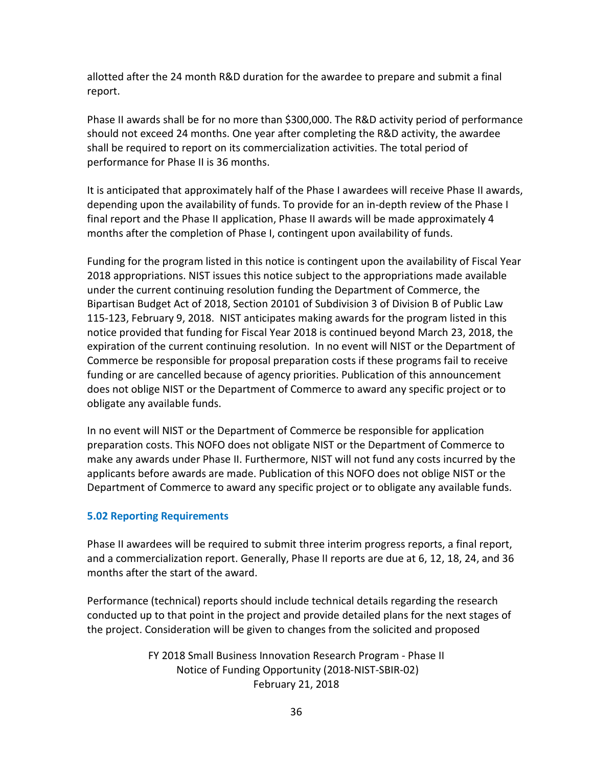allotted after the 24 month R&D duration for the awardee to prepare and submit a final report.

Phase II awards shall be for no more than \$300,000. The R&D activity period of performance should not exceed 24 months. One year after completing the R&D activity, the awardee shall be required to report on its commercialization activities. The total period of performance for Phase II is 36 months.

It is anticipated that approximately half of the Phase I awardees will receive Phase II awards, depending upon the availability of funds. To provide for an in-depth review of the Phase I final report and the Phase II application, Phase II awards will be made approximately 4 months after the completion of Phase I, contingent upon availability of funds.

Funding for the program listed in this notice is contingent upon the availability of Fiscal Year 2018 appropriations. NIST issues this notice subject to the appropriations made available under the current continuing resolution funding the Department of Commerce, the Bipartisan Budget Act of 2018, Section 20101 of Subdivision 3 of Division B of Public Law 115-123, February 9, 2018. NIST anticipates making awards for the program listed in this notice provided that funding for Fiscal Year 2018 is continued beyond March 23, 2018, the expiration of the current continuing resolution. In no event will NIST or the Department of Commerce be responsible for proposal preparation costs if these programs fail to receive funding or are cancelled because of agency priorities. Publication of this announcement does not oblige NIST or the Department of Commerce to award any specific project or to obligate any available funds.

In no event will NIST or the Department of Commerce be responsible for application preparation costs. This NOFO does not obligate NIST or the Department of Commerce to make any awards under Phase II. Furthermore, NIST will not fund any costs incurred by the applicants before awards are made. Publication of this NOFO does not oblige NIST or the Department of Commerce to award any specific project or to obligate any available funds.

#### <span id="page-35-0"></span>**5.02 Reporting Requirements**

Phase II awardees will be required to submit three interim progress reports, a final report, and a commercialization report. Generally, Phase II reports are due at 6, 12, 18, 24, and 36 months after the start of the award.

Performance (technical) reports should include technical details regarding the research conducted up to that point in the project and provide detailed plans for the next stages of the project. Consideration will be given to changes from the solicited and proposed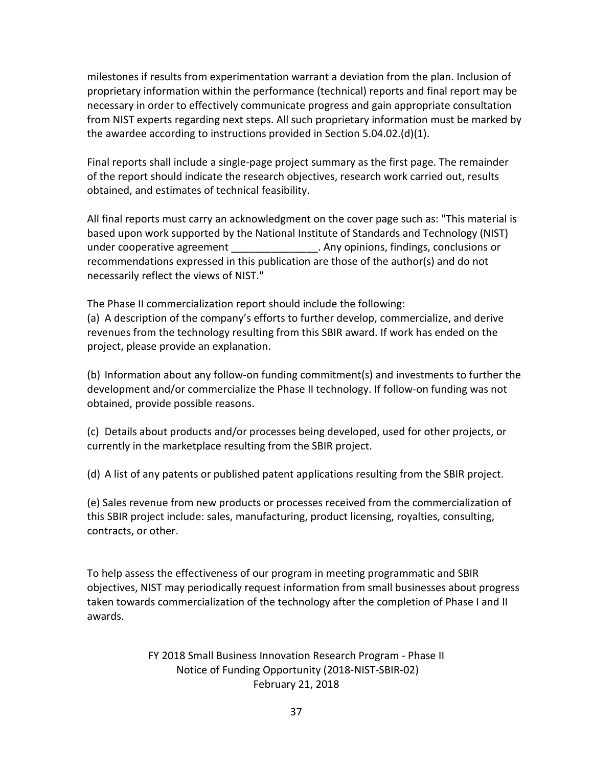milestones if results from experimentation warrant a deviation from the plan. Inclusion of proprietary information within the performance (technical) reports and final report may be necessary in order to effectively communicate progress and gain appropriate consultation from NIST experts regarding next steps. All such proprietary information must be marked by the awardee according to instructions provided in Section 5.04.02.(d)(1).

Final reports shall include a single-page project summary as the first page. The remainder of the report should indicate the research objectives, research work carried out, results obtained, and estimates of technical feasibility.

All final reports must carry an acknowledgment on the cover page such as: "This material is based upon work supported by the National Institute of Standards and Technology (NIST) under cooperative agreement \_\_\_\_\_\_\_\_\_\_\_\_\_\_\_. Any opinions, findings, conclusions or recommendations expressed in this publication are those of the author(s) and do not necessarily reflect the views of NIST."

The Phase II commercialization report should include the following: (a) A description of the company's efforts to further develop, commercialize, and derive revenues from the technology resulting from this SBIR award. If work has ended on the project, please provide an explanation.

(b) Information about any follow-on funding commitment(s) and investments to further the development and/or commercialize the Phase II technology. If follow-on funding was not obtained, provide possible reasons.

(c) Details about products and/or processes being developed, used for other projects, or currently in the marketplace resulting from the SBIR project.

(d) A list of any patents or published patent applications resulting from the SBIR project.

(e) Sales revenue from new products or processes received from the commercialization of this SBIR project include: sales, manufacturing, product licensing, royalties, consulting, contracts, or other.

To help assess the effectiveness of our program in meeting programmatic and SBIR objectives, NIST may periodically request information from small businesses about progress taken towards commercialization of the technology after the completion of Phase I and II awards.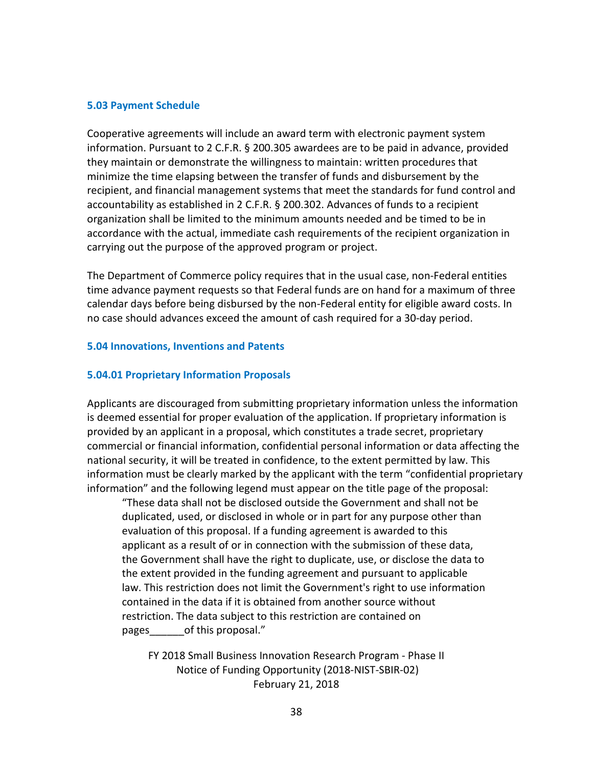#### **5.03 Payment Schedule**

Cooperative agreements will include an award term with electronic payment system information. Pursuant to 2 C.F.R. § 200.305 awardees are to be paid in advance, provided they maintain or demonstrate the willingness to maintain: written procedures that minimize the time elapsing between the transfer of funds and disbursement by the recipient, and financial management systems that meet the standards for fund control and accountability as established in 2 C.F.R. § 200.302. Advances of funds to a recipient organization shall be limited to the minimum amounts needed and be timed to be in accordance with the actual, immediate cash requirements of the recipient organization in carrying out the purpose of the approved program or project.

The Department of Commerce policy requires that in the usual case, non-Federal entities time advance payment requests so that Federal funds are on hand for a maximum of three calendar days before being disbursed by the non-Federal entity for eligible award costs. In no case should advances exceed the amount of cash required for a 30-day period.

#### **5.04 Innovations, Inventions and Patents**

#### **5.04.01 Proprietary Information Proposals**

Applicants are discouraged from submitting proprietary information unless the information is deemed essential for proper evaluation of the application. If proprietary information is provided by an applicant in a proposal, which constitutes a trade secret, proprietary commercial or financial information, confidential personal information or data affecting the national security, it will be treated in confidence, to the extent permitted by law. This information must be clearly marked by the applicant with the term "confidential proprietary information" and the following legend must appear on the title page of the proposal:

"These data shall not be disclosed outside the Government and shall not be duplicated, used, or disclosed in whole or in part for any purpose other than evaluation of this proposal. If a funding agreement is awarded to this applicant as a result of or in connection with the submission of these data, the Government shall have the right to duplicate, use, or disclose the data to the extent provided in the funding agreement and pursuant to applicable law. This restriction does not limit the Government's right to use information contained in the data if it is obtained from another source without restriction. The data subject to this restriction are contained on pages of this proposal."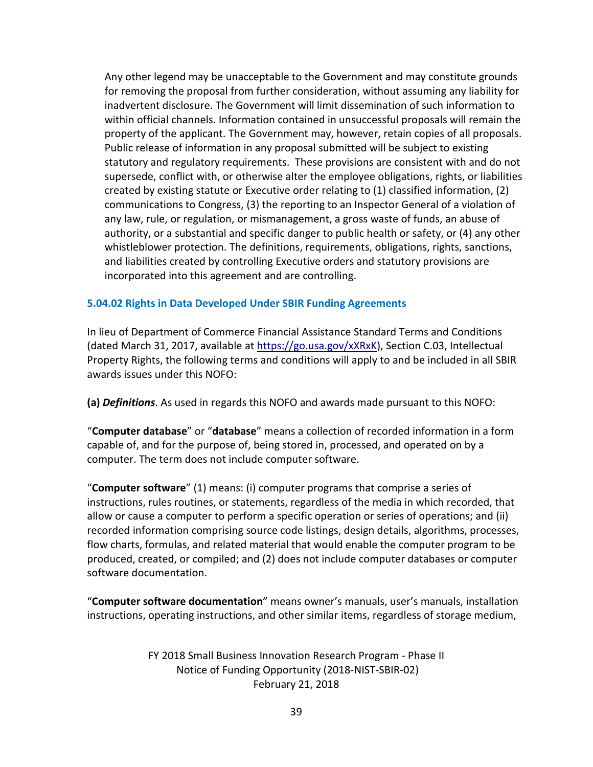Any other legend may be unacceptable to the Government and may constitute grounds for removing the proposal from further consideration, without assuming any liability for inadvertent disclosure. The Government will limit dissemination of such information to within official channels. Information contained in unsuccessful proposals will remain the property of the applicant. The Government may, however, retain copies of all proposals. Public release of information in any proposal submitted will be subject to existing statutory and regulatory requirements. These provisions are consistent with and do not supersede, conflict with, or otherwise alter the employee obligations, rights, or liabilities created by existing statute or Executive order relating to (1) classified information, (2) communications to Congress, (3) the reporting to an Inspector General of a violation of any law, rule, or regulation, or mismanagement, a gross waste of funds, an abuse of authority, or a substantial and specific danger to public health or safety, or (4) any other whistleblower protection. The definitions, requirements, obligations, rights, sanctions, and liabilities created by controlling Executive orders and statutory provisions are incorporated into this agreement and are controlling.

### **5.04.02 Rights in Data Developed Under SBIR Funding Agreements**

In lieu of Department of Commerce Financial Assistance Standard Terms and Conditions (dated March 31, 2017, available at [https://go.usa.gov/xXRxK\)](https://go.usa.gov/xXRxK), Section C.03, Intellectual Property Rights, the following terms and conditions will apply to and be included in all SBIR awards issues under this NOFO:

**(a)** *Definitions*. As used in regards this NOFO and awards made pursuant to this NOFO:

"**Computer database**" or "**database**" means a collection of recorded information in a form capable of, and for the purpose of, being stored in, processed, and operated on by a computer. The term does not include computer software.

"**Computer software**" (1) means: (i) computer programs that comprise a series of instructions, rules routines, or statements, regardless of the media in which recorded, that allow or cause a computer to perform a specific operation or series of operations; and (ii) recorded information comprising source code listings, design details, algorithms, processes, flow charts, formulas, and related material that would enable the computer program to be produced, created, or compiled; and (2) does not include computer databases or computer software documentation.

"**Computer software documentation**" means owner's manuals, user's manuals, installation instructions, operating instructions, and other similar items, regardless of storage medium,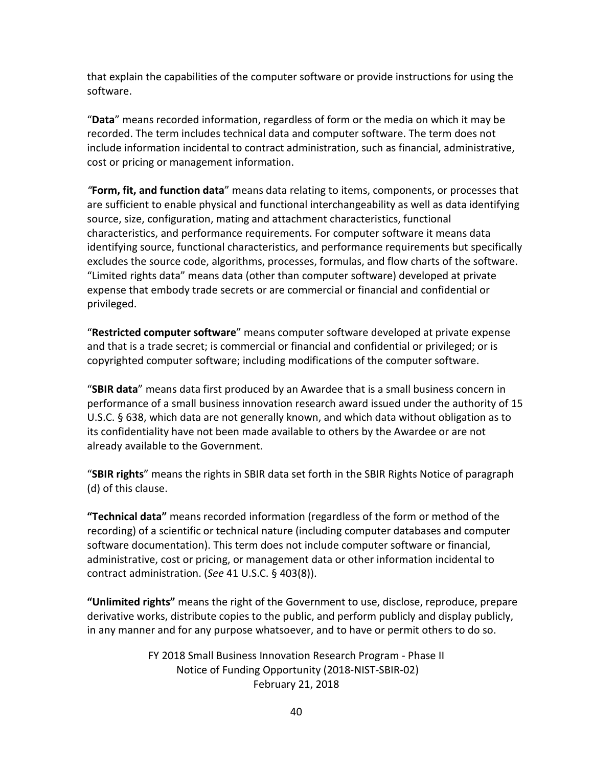that explain the capabilities of the computer software or provide instructions for using the software.

"**Data**" means recorded information, regardless of form or the media on which it may be recorded. The term includes technical data and computer software. The term does not include information incidental to contract administration, such as financial, administrative, cost or pricing or management information.

*"***Form, fit, and function data**" means data relating to items, components, or processes that are sufficient to enable physical and functional interchangeability as well as data identifying source, size, configuration, mating and attachment characteristics, functional characteristics, and performance requirements. For computer software it means data identifying source, functional characteristics, and performance requirements but specifically excludes the source code, algorithms, processes, formulas, and flow charts of the software. "Limited rights data" means data (other than computer software) developed at private expense that embody trade secrets or are commercial or financial and confidential or privileged.

"**Restricted computer software**" means computer software developed at private expense and that is a trade secret; is commercial or financial and confidential or privileged; or is copyrighted computer software; including modifications of the computer software.

"**SBIR data**" means data first produced by an Awardee that is a small business concern in performance of a small business innovation research award issued under the authority of 15 U.S.C. § 638, which data are not generally known, and which data without obligation as to its confidentiality have not been made available to others by the Awardee or are not already available to the Government.

"**SBIR rights**" means the rights in SBIR data set forth in the SBIR Rights Notice of paragraph (d) of this clause.

**"Technical data"** means recorded information (regardless of the form or method of the recording) of a scientific or technical nature (including computer databases and computer software documentation). This term does not include computer software or financial, administrative, cost or pricing, or management data or other information incidental to contract administration. (*See* 41 U.S.C. § 403(8)).

**"Unlimited rights"** means the right of the Government to use, disclose, reproduce, prepare derivative works, distribute copies to the public, and perform publicly and display publicly, in any manner and for any purpose whatsoever, and to have or permit others to do so.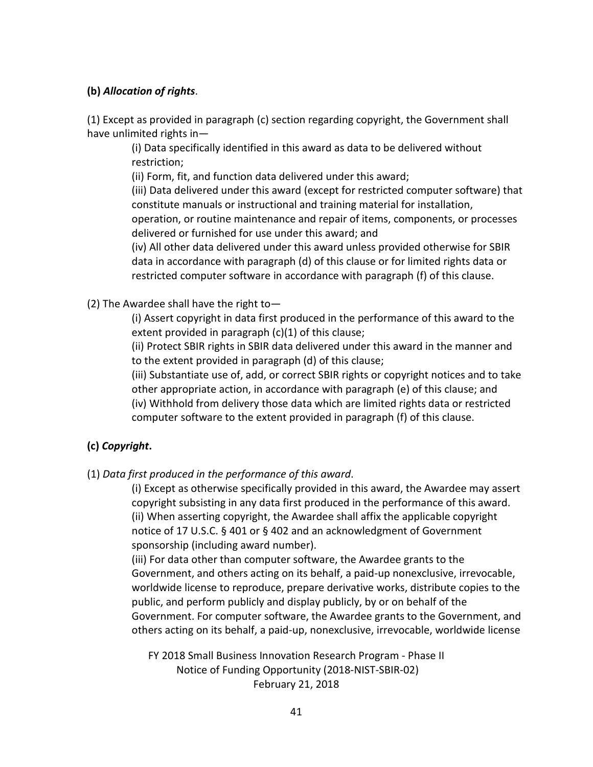# **(b)** *Allocation of rights*.

(1) Except as provided in paragraph (c) section regarding copyright, the Government shall have unlimited rights in—

> (i) Data specifically identified in this award as data to be delivered without restriction;

(ii) Form, fit, and function data delivered under this award;

(iii) Data delivered under this award (except for restricted computer software) that constitute manuals or instructional and training material for installation, operation, or routine maintenance and repair of items, components, or processes

delivered or furnished for use under this award; and

(iv) All other data delivered under this award unless provided otherwise for SBIR data in accordance with paragraph (d) of this clause or for limited rights data or restricted computer software in accordance with paragraph (f) of this clause.

(2) The Awardee shall have the right to  $-$ 

(i) Assert copyright in data first produced in the performance of this award to the extent provided in paragraph (c)(1) of this clause;

(ii) Protect SBIR rights in SBIR data delivered under this award in the manner and to the extent provided in paragraph (d) of this clause;

(iii) Substantiate use of, add, or correct SBIR rights or copyright notices and to take other appropriate action, in accordance with paragraph (e) of this clause; and (iv) Withhold from delivery those data which are limited rights data or restricted computer software to the extent provided in paragraph (f) of this clause.

# **(c)** *Copyright***.**

(1) *Data first produced in the performance of this award*.

(i) Except as otherwise specifically provided in this award, the Awardee may assert copyright subsisting in any data first produced in the performance of this award. (ii) When asserting copyright, the Awardee shall affix the applicable copyright notice of 17 U.S.C. § 401 or § 402 and an acknowledgment of Government sponsorship (including award number).

(iii) For data other than computer software, the Awardee grants to the Government, and others acting on its behalf, a paid-up nonexclusive, irrevocable, worldwide license to reproduce, prepare derivative works, distribute copies to the public, and perform publicly and display publicly, by or on behalf of the Government. For computer software, the Awardee grants to the Government, and others acting on its behalf, a paid-up, nonexclusive, irrevocable, worldwide license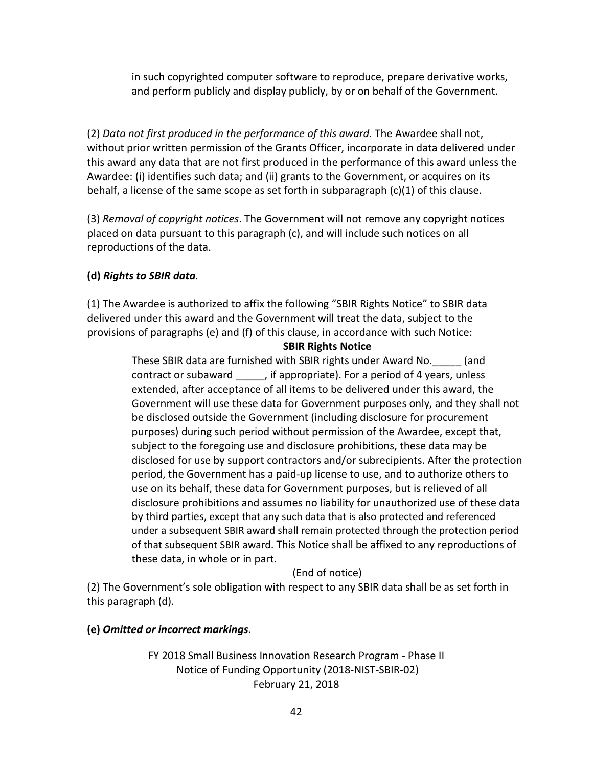in such copyrighted computer software to reproduce, prepare derivative works, and perform publicly and display publicly, by or on behalf of the Government.

(2) *Data not first produced in the performance of this award.* The Awardee shall not, without prior written permission of the Grants Officer, incorporate in data delivered under this award any data that are not first produced in the performance of this award unless the Awardee: (i) identifies such data; and (ii) grants to the Government, or acquires on its behalf, a license of the same scope as set forth in subparagraph  $(c)(1)$  of this clause.

(3) *Removal of copyright notices*. The Government will not remove any copyright notices placed on data pursuant to this paragraph (c), and will include such notices on all reproductions of the data.

## **(d)** *Rights to SBIR data.*

(1) The Awardee is authorized to affix the following "SBIR Rights Notice" to SBIR data delivered under this award and the Government will treat the data, subject to the provisions of paragraphs (e) and (f) of this clause, in accordance with such Notice:

#### **SBIR Rights Notice**

These SBIR data are furnished with SBIR rights under Award No.\_\_\_\_\_ (and contract or subaward \_\_\_\_\_, if appropriate). For a period of 4 years, unless extended, after acceptance of all items to be delivered under this award, the Government will use these data for Government purposes only, and they shall not be disclosed outside the Government (including disclosure for procurement purposes) during such period without permission of the Awardee, except that, subject to the foregoing use and disclosure prohibitions, these data may be disclosed for use by support contractors and/or subrecipients. After the protection period, the Government has a paid-up license to use, and to authorize others to use on its behalf, these data for Government purposes, but is relieved of all disclosure prohibitions and assumes no liability for unauthorized use of these data by third parties, except that any such data that is also protected and referenced under a subsequent SBIR award shall remain protected through the protection period of that subsequent SBIR award. This Notice shall be affixed to any reproductions of these data, in whole or in part.

## (End of notice)

(2) The Government's sole obligation with respect to any SBIR data shall be as set forth in this paragraph (d).

## **(e)** *Omitted or incorrect markings*.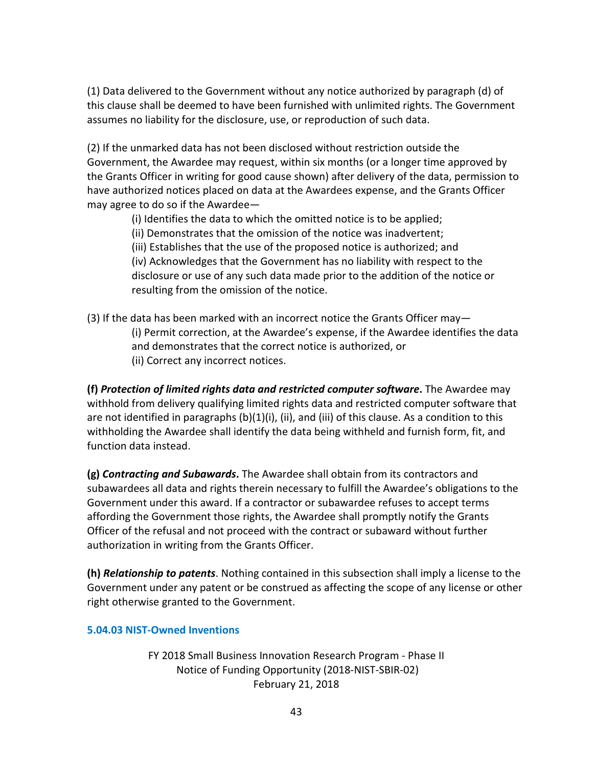(1) Data delivered to the Government without any notice authorized by paragraph (d) of this clause shall be deemed to have been furnished with unlimited rights. The Government assumes no liability for the disclosure, use, or reproduction of such data.

(2) If the unmarked data has not been disclosed without restriction outside the Government, the Awardee may request, within six months (or a longer time approved by the Grants Officer in writing for good cause shown) after delivery of the data, permission to have authorized notices placed on data at the Awardees expense, and the Grants Officer may agree to do so if the Awardee—

- (i) Identifies the data to which the omitted notice is to be applied;
- (ii) Demonstrates that the omission of the notice was inadvertent;
- (iii) Establishes that the use of the proposed notice is authorized; and
- (iv) Acknowledges that the Government has no liability with respect to the disclosure or use of any such data made prior to the addition of the notice or resulting from the omission of the notice.
- (3) If the data has been marked with an incorrect notice the Grants Officer may— (i) Permit correction, at the Awardee's expense, if the Awardee identifies the data and demonstrates that the correct notice is authorized, or (ii) Correct any incorrect notices.

**(f)** *Protection of limited rights data and restricted computer software***.** The Awardee may withhold from delivery qualifying limited rights data and restricted computer software that are not identified in paragraphs  $(b)(1)(i)$ , (ii), and (iii) of this clause. As a condition to this withholding the Awardee shall identify the data being withheld and furnish form, fit, and function data instead.

**(g)** *Contracting and Subawards***.** The Awardee shall obtain from its contractors and subawardees all data and rights therein necessary to fulfill the Awardee's obligations to the Government under this award. If a contractor or subawardee refuses to accept terms affording the Government those rights, the Awardee shall promptly notify the Grants Officer of the refusal and not proceed with the contract or subaward without further authorization in writing from the Grants Officer.

**(h)** *Relationship to patents*. Nothing contained in this subsection shall imply a license to the Government under any patent or be construed as affecting the scope of any license or other right otherwise granted to the Government.

## **5.04.03 NIST-Owned Inventions**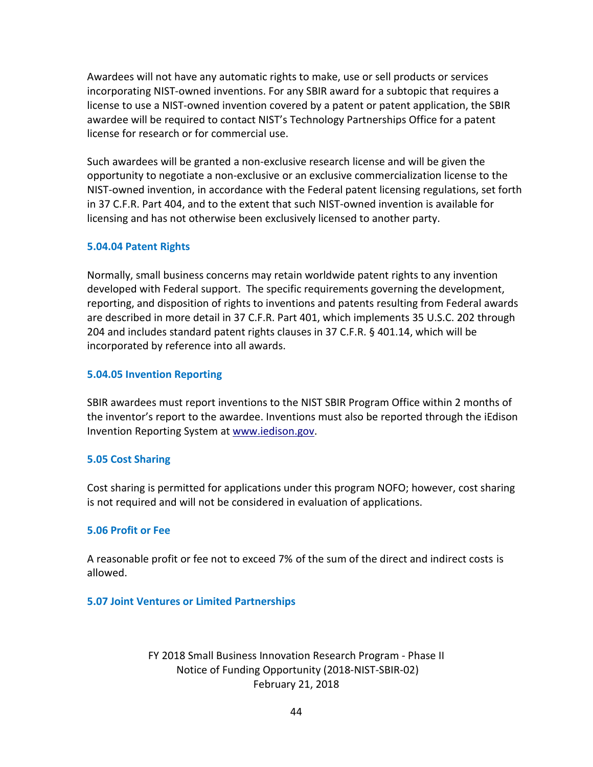Awardees will not have any automatic rights to make, use or sell products or services incorporating NIST-owned inventions. For any SBIR award for a subtopic that requires a license to use a NIST-owned invention covered by a patent or patent application, the SBIR awardee will be required to contact NIST's Technology Partnerships Office for a patent license for research or for commercial use.

Such awardees will be granted a non-exclusive research license and will be given the opportunity to negotiate a non-exclusive or an exclusive commercialization license to the NIST-owned invention, in accordance with the Federal patent licensing regulations, set forth in 37 C.F.R. Part 404, and to the extent that such NIST-owned invention is available for licensing and has not otherwise been exclusively licensed to another party.

### **5.04.04 Patent Rights**

Normally, small business concerns may retain worldwide patent rights to any invention developed with Federal support. The specific requirements governing the development, reporting, and disposition of rights to inventions and patents resulting from Federal awards are described in more detail in 37 C.F.R. Part 401, which implements 35 U.S.C. 202 through 204 and includes standard patent rights clauses in 37 C.F.R. § 401.14, which will be incorporated by reference into all awards.

#### **5.04.05 Invention Reporting**

SBIR awardees must report inventions to the NIST SBIR Program Office within 2 months of the inventor's report to the awardee. Inventions must also be reported through the iEdison Invention Reporting System at [www.iedison.gov.](http://www.iedison.gov/)

### **5.05 Cost Sharing**

Cost sharing is permitted for applications under this program NOFO; however, cost sharing is not required and will not be considered in evaluation of applications.

### **5.06 Profit or Fee**

A reasonable profit or fee not to exceed 7% of the sum of the direct and indirect costs is allowed.

### **5.07 Joint Ventures or Limited Partnerships**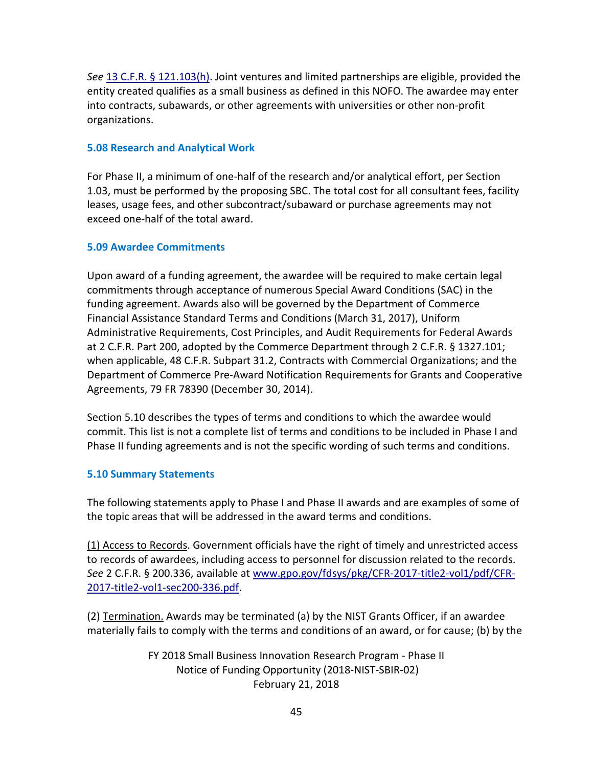*See* [13 C.F.R. § 121.103\(h\).](http://www.ecfr.gov/cgi-bin/text-idx?SID=e26c2e0b9f32468dbb0cedb609a8d238&mc=true&node=se13.1.121_1103&rgn=div8) Joint ventures and limited partnerships are eligible, provided the entity created qualifies as a small business as defined in this NOFO. The awardee may enter into contracts, subawards, or other agreements with universities or other non-profit organizations.

### **5.08 Research and Analytical Work**

For Phase II, a minimum of one-half of the research and/or analytical effort, per Section 1.03, must be performed by the proposing SBC. The total cost for all consultant fees, facility leases, usage fees, and other subcontract/subaward or purchase agreements may not exceed one-half of the total award.

### **5.09 Awardee Commitments**

Upon award of a funding agreement, the awardee will be required to make certain legal commitments through acceptance of numerous Special Award Conditions (SAC) in the funding agreement. Awards also will be governed by the Department of Commerce Financial Assistance Standard Terms and Conditions (March 31, 2017), Uniform Administrative Requirements, Cost Principles, and Audit Requirements for Federal Awards at 2 C.F.R. Part 200, adopted by the Commerce Department through 2 C.F.R. § 1327.101; when applicable, 48 C.F.R. Subpart 31.2, Contracts with Commercial Organizations; and the Department of Commerce Pre-Award Notification Requirements for Grants and Cooperative Agreements, 79 FR 78390 (December 30, 2014).

Section 5.10 describes the types of terms and conditions to which the awardee would commit. This list is not a complete list of terms and conditions to be included in Phase I and Phase II funding agreements and is not the specific wording of such terms and conditions.

### **5.10 Summary Statements**

The following statements apply to Phase I and Phase II awards and are examples of some of the topic areas that will be addressed in the award terms and conditions.

(1) Access to Records. Government officials have the right of timely and unrestricted access to records of awardees, including access to personnel for discussion related to the records. *See* 2 C.F.R. § 200.336, available at [www.gpo.gov/fdsys/pkg/CFR-2017-title2-vol1/pdf/CFR-](http://www.gpo.gov/fdsys/pkg/CFR-2017-title2-vol1/pdf/CFR-2017-title2-vol1-sec200-336.pdf)[2017-title2-vol1-sec200-336.pdf.](http://www.gpo.gov/fdsys/pkg/CFR-2017-title2-vol1/pdf/CFR-2017-title2-vol1-sec200-336.pdf)

(2) Termination. Awards may be terminated (a) by the NIST Grants Officer, if an awardee materially fails to comply with the terms and conditions of an award, or for cause; (b) by the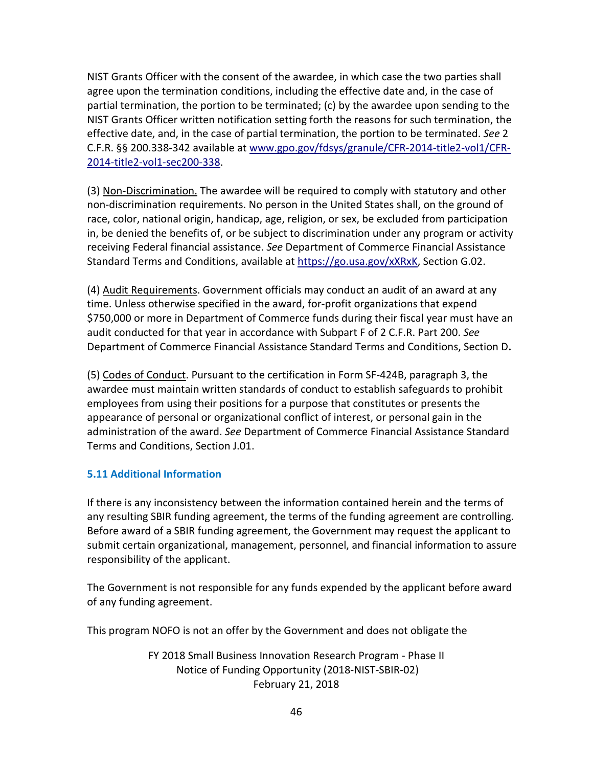NIST Grants Officer with the consent of the awardee, in which case the two parties shall agree upon the termination conditions, including the effective date and, in the case of partial termination, the portion to be terminated; (c) by the awardee upon sending to the NIST Grants Officer written notification setting forth the reasons for such termination, the effective date, and, in the case of partial termination, the portion to be terminated. *See* 2 C.F.R. §§ 200.338-342 available at [www.gpo.gov/fdsys/granule/CFR-2014-title2-vol1/CFR-](http://www.gpo.gov/fdsys/granule/CFR-2014-title2-vol1/CFR-2014-title2-vol1-sec200-338)[2014-title2-vol1-sec200-338.](http://www.gpo.gov/fdsys/granule/CFR-2014-title2-vol1/CFR-2014-title2-vol1-sec200-338)

(3) Non-Discrimination. The awardee will be required to comply with statutory and other non-discrimination requirements. No person in the United States shall, on the ground of race, color, national origin, handicap, age, religion, or sex, be excluded from participation in, be denied the benefits of, or be subject to discrimination under any program or activity receiving Federal financial assistance. *See* Department of Commerce Financial Assistance Standard Terms and Conditions, available at [https://go.usa.gov/xXRxK,](https://go.usa.gov/xXRxK) Section G.02.

(4) Audit Requirements. Government officials may conduct an audit of an award at any time. Unless otherwise specified in the award, for-profit organizations that expend \$750,000 or more in Department of Commerce funds during their fiscal year must have an audit conducted for that year in accordance with Subpart F of 2 C.F.R. Part 200. *See*  Department of Commerce Financial Assistance Standard Terms and Conditions, Section D**.** 

(5) Codes of Conduct. Pursuant to the certification in Form SF-424B, paragraph 3, the awardee must maintain written standards of conduct to establish safeguards to prohibit employees from using their positions for a purpose that constitutes or presents the appearance of personal or organizational conflict of interest, or personal gain in the administration of the award. *See* Department of Commerce Financial Assistance Standard Terms and Conditions, Section J.01.

## **5.11 Additional Information**

If there is any inconsistency between the information contained herein and the terms of any resulting SBIR funding agreement, the terms of the funding agreement are controlling. Before award of a SBIR funding agreement, the Government may request the applicant to submit certain organizational, management, personnel, and financial information to assure responsibility of the applicant.

The Government is not responsible for any funds expended by the applicant before award of any funding agreement.

This program NOFO is not an offer by the Government and does not obligate the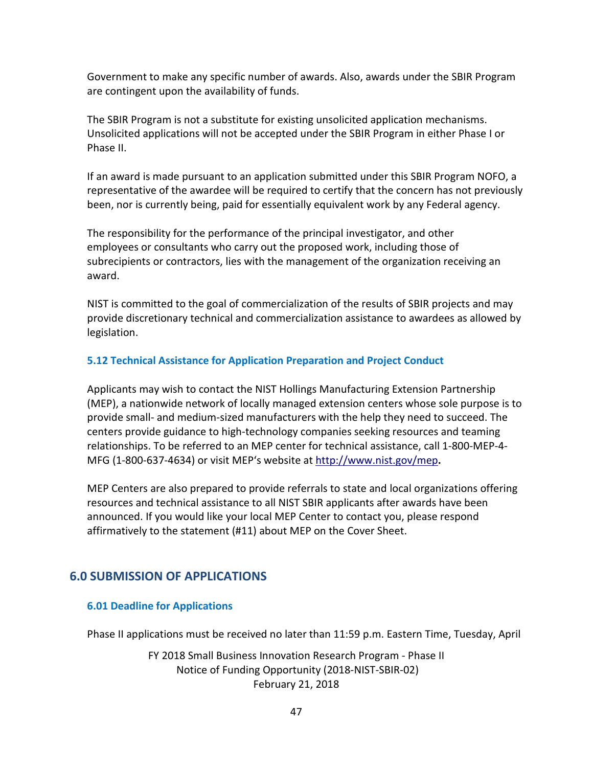Government to make any specific number of awards. Also, awards under the SBIR Program are contingent upon the availability of funds.

The SBIR Program is not a substitute for existing unsolicited application mechanisms. Unsolicited applications will not be accepted under the SBIR Program in either Phase I or Phase II.

If an award is made pursuant to an application submitted under this SBIR Program NOFO, a representative of the awardee will be required to certify that the concern has not previously been, nor is currently being, paid for essentially equivalent work by any Federal agency.

The responsibility for the performance of the principal investigator, and other employees or consultants who carry out the proposed work, including those of subrecipients or contractors, lies with the management of the organization receiving an award.

NIST is committed to the goal of commercialization of the results of SBIR projects and may provide discretionary technical and commercialization assistance to awardees as allowed by legislation.

## **5.12 Technical Assistance for Application Preparation and Project Conduct**

Applicants may wish to contact the NIST Hollings Manufacturing Extension Partnership (MEP), a nationwide network of locally managed extension centers whose sole purpose is to provide small- and medium-sized manufacturers with the help they need to succeed. The centers provide guidance to high-technology companies seeking resources and teaming relationships. To be referred to an MEP center for technical assistance, call 1-800-MEP-4- MFG (1-800-637-4634) or visit MEP's website at<http://www.nist.gov/mep>**.** 

MEP Centers are also prepared to provide referrals to state and local organizations offering resources and technical assistance to all NIST SBIR applicants after awards have been announced. If you would like your local MEP Center to contact you, please respond affirmatively to the statement (#11) about MEP on the Cover Sheet.

# **6.0 SUBMISSION OF APPLICATIONS**

## **6.01 Deadline for Applications**

Phase II applications must be received no later than 11:59 p.m. Eastern Time, Tuesday, April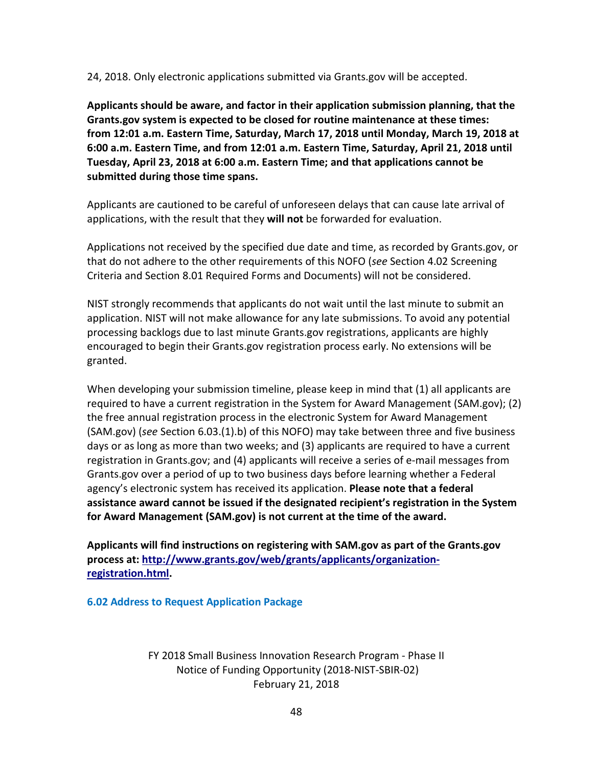24, 2018. Only electronic applications submitted via Grants.gov will be accepted.

**Applicants should be aware, and factor in their application submission planning, that the Grants.gov system is expected to be closed for routine maintenance at these times: from 12:01 a.m. Eastern Time, Saturday, March 17, 2018 until Monday, March 19, 2018 at 6:00 a.m. Eastern Time, and from 12:01 a.m. Eastern Time, Saturday, April 21, 2018 until Tuesday, April 23, 2018 at 6:00 a.m. Eastern Time; and that applications cannot be submitted during those time spans.**

Applicants are cautioned to be careful of unforeseen delays that can cause late arrival of applications, with the result that they **will not** be forwarded for evaluation.

Applications not received by the specified due date and time, as recorded by Grants.gov, or that do not adhere to the other requirements of this NOFO (*see* Section 4.02 Screening Criteria and Section 8.01 Required Forms and Documents) will not be considered.

NIST strongly recommends that applicants do not wait until the last minute to submit an application. NIST will not make allowance for any late submissions. To avoid any potential processing backlogs due to last minute Grants.gov registrations, applicants are highly encouraged to begin their Grants.gov registration process early. No extensions will be granted.

When developing your submission timeline, please keep in mind that (1) all applicants are required to have a current registration in the System for Award Management (SAM.gov); (2) the free annual registration process in the electronic System for Award Management (SAM.gov) (*see* Section 6.03.(1).b) of this NOFO) may take between three and five business days or as long as more than two weeks; and (3) applicants are required to have a current registration in Grants.gov; and (4) applicants will receive a series of e-mail messages from Grants.gov over a period of up to two business days before learning whether a Federal agency's electronic system has received its application. **Please note that a federal assistance award cannot be issued if the designated recipient's registration in the System for Award Management (SAM.gov) is not current at the time of the award.**

**Applicants will find instructions on registering with SAM.gov as part of the Grants.gov process at: [http://www.grants.gov/web/grants/applicants/organization](http://www.grants.gov/web/grants/applicants/organization-registration.html)[registration.html.](http://www.grants.gov/web/grants/applicants/organization-registration.html)**

**6.02 Address to Request Application Package**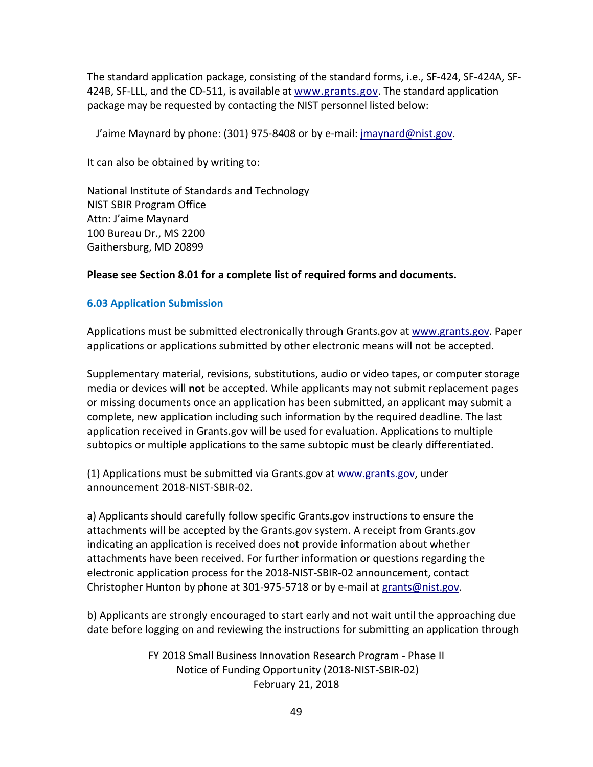The standard application package, consisting of the standard forms, i.e., SF-424, SF-424A, SF-424B, SF-LLL, and the CD-511, is available at [www.grants.gov.](http://www.grants.gov/) The standard application package may be requested by contacting the NIST personnel listed below:

J'aime Maynard by phone: (301) 975-8408 or by e-mail: [jmaynard@nist.gov.](mailto:jmaynard@nist.gov)

It can also be obtained by writing to:

National Institute of Standards and Technology NIST SBIR Program Office Attn: J'aime Maynard 100 Bureau Dr., MS 2200 Gaithersburg, MD 20899

#### **Please see Section 8.01 for a complete list of required forms and documents.**

#### **6.03 Application Submission**

Applications must be submitted electronically through Grants.gov at [www.grants.gov.](http://www.grants.gov/) Paper applications or applications submitted by other electronic means will not be accepted.

Supplementary material, revisions, substitutions, audio or video tapes, or computer storage media or devices will **not** be accepted. While applicants may not submit replacement pages or missing documents once an application has been submitted, an applicant may submit a complete, new application including such information by the required deadline. The last application received in Grants.gov will be used for evaluation. Applications to multiple subtopics or multiple applications to the same subtopic must be clearly differentiated.

(1) Applications must be submitted via Grants.gov at [www.grants.gov,](http://www.grants.gov/) under announcement 2018-NIST-SBIR-02.

a) Applicants should carefully follow specific Grants.gov instructions to ensure the attachments will be accepted by the Grants.gov system. A receipt from Grants.gov indicating an application is received does not provide information about whether attachments have been received. For further information or questions regarding the electronic application process for the 2018-NIST-SBIR-02 announcement, contact Christopher Hunton by phone at 301-975-5718 or by e-mail at [grants@nist.gov.](mailto:grants@nist.gov)

b) Applicants are strongly encouraged to start early and not wait until the approaching due date before logging on and reviewing the instructions for submitting an application through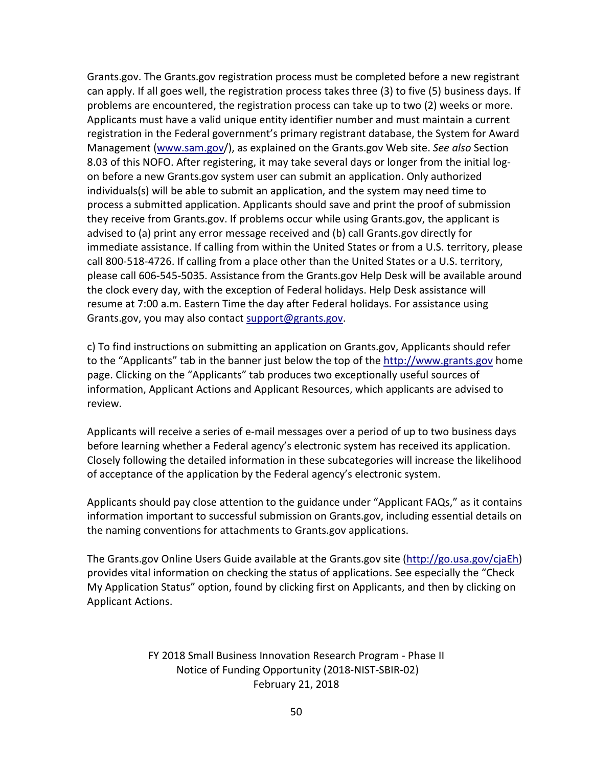Grants.gov. The Grants.gov registration process must be completed before a new registrant can apply. If all goes well, the registration process takes three (3) to five (5) business days. If problems are encountered, the registration process can take up to two (2) weeks or more. Applicants must have a valid unique entity identifier number and must maintain a current registration in the Federal government's primary registrant database, the System for Award Management [\(www.sam.gov/](http://www.sam.gov/)), as explained on the Grants.gov Web site. *See also* Section 8.03 of this NOFO. After registering, it may take several days or longer from the initial logon before a new Grants.gov system user can submit an application. Only authorized individuals(s) will be able to submit an application, and the system may need time to process a submitted application. Applicants should save and print the proof of submission they receive from Grants.gov. If problems occur while using Grants.gov, the applicant is advised to (a) print any error message received and (b) call Grants.gov directly for immediate assistance. If calling from within the United States or from a U.S. territory, please call 800-518-4726. If calling from a place other than the United States or a U.S. territory, please call 606-545-5035. Assistance from the Grants.gov Help Desk will be available around the clock every day, with the exception of Federal holidays. Help Desk assistance will resume at 7:00 a.m. Eastern Time the day after Federal holidays. For assistance using Grants.gov, you may also contact [support@grants.gov.](mailto:support@grants.gov)

c) To find instructions on submitting an application on Grants.gov, Applicants should refer to the "Applicants" tab in the banner just below the top of the [http://www.grants.gov](http://www.grants.gov/) home page. Clicking on the "Applicants" tab produces two exceptionally useful sources of information, Applicant Actions and Applicant Resources, which applicants are advised to review.

Applicants will receive a series of e-mail messages over a period of up to two business days before learning whether a Federal agency's electronic system has received its application. Closely following the detailed information in these subcategories will increase the likelihood of acceptance of the application by the Federal agency's electronic system.

Applicants should pay close attention to the guidance under "Applicant FAQs," as it contains information important to successful submission on Grants.gov, including essential details on the naming conventions for attachments to Grants.gov applications.

The Grants.gov Online Users Guide available at the Grants.gov site [\(http://go.usa.gov/cjaEh\)](http://go.usa.gov/cjaEh) provides vital information on checking the status of applications. See especially the "Check My Application Status" option, found by clicking first on Applicants, and then by clicking on Applicant Actions.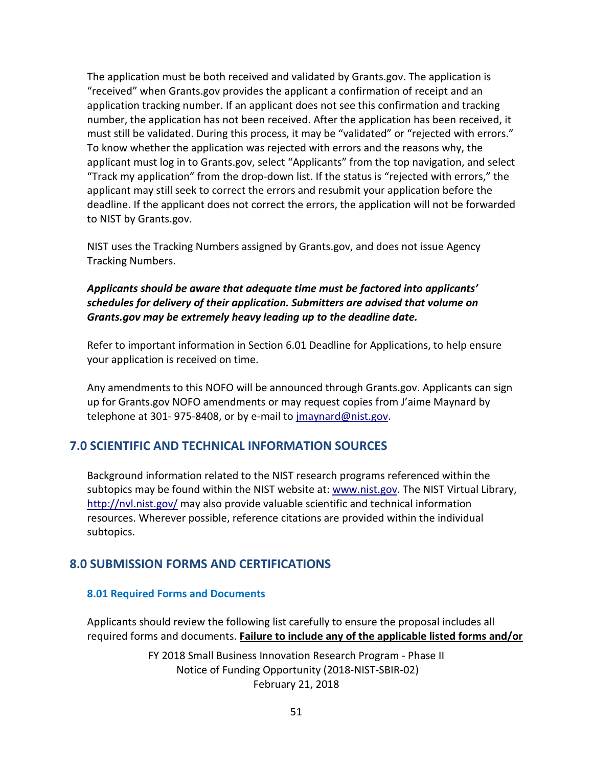The application must be both received and validated by Grants.gov. The application is "received" when Grants.gov provides the applicant a confirmation of receipt and an application tracking number. If an applicant does not see this confirmation and tracking number, the application has not been received. After the application has been received, it must still be validated. During this process, it may be "validated" or "rejected with errors." To know whether the application was rejected with errors and the reasons why, the applicant must log in to Grants.gov, select "Applicants" from the top navigation, and select "Track my application" from the drop-down list. If the status is "rejected with errors," the applicant may still seek to correct the errors and resubmit your application before the deadline. If the applicant does not correct the errors, the application will not be forwarded to NIST by Grants.gov.

NIST uses the Tracking Numbers assigned by Grants.gov, and does not issue Agency Tracking Numbers.

## *Applicants should be aware that adequate time must be factored into applicants' schedules for delivery of their application. Submitters are advised that volume on Grants.gov may be extremely heavy leading up to the deadline date.*

Refer to important information in Section 6.01 Deadline for Applications, to help ensure your application is received on time.

Any amendments to this NOFO will be announced through Grants.gov. Applicants can sign up for Grants.gov NOFO amendments or may request copies from J'aime Maynard by telephone at 301- 975-8408, or by e-mail to [jmaynard@nist.gov.](mailto:jmaynard@nist.gov)

# **7.0 SCIENTIFIC AND TECHNICAL INFORMATION SOURCES**

Background information related to the NIST research programs referenced within the subtopics may be found within the NIST website at: [www.nist.gov.](http://www.nist.gov/) The NIST Virtual Library, <http://nvl.nist.gov/> may also provide valuable scientific and technical information resources. Wherever possible, reference citations are provided within the individual subtopics.

# **8.0 SUBMISSION FORMS AND CERTIFICATIONS**

## **8.01 Required Forms and Documents**

Applicants should review the following list carefully to ensure the proposal includes all required forms and documents. **Failure to include any of the applicable listed forms and/or**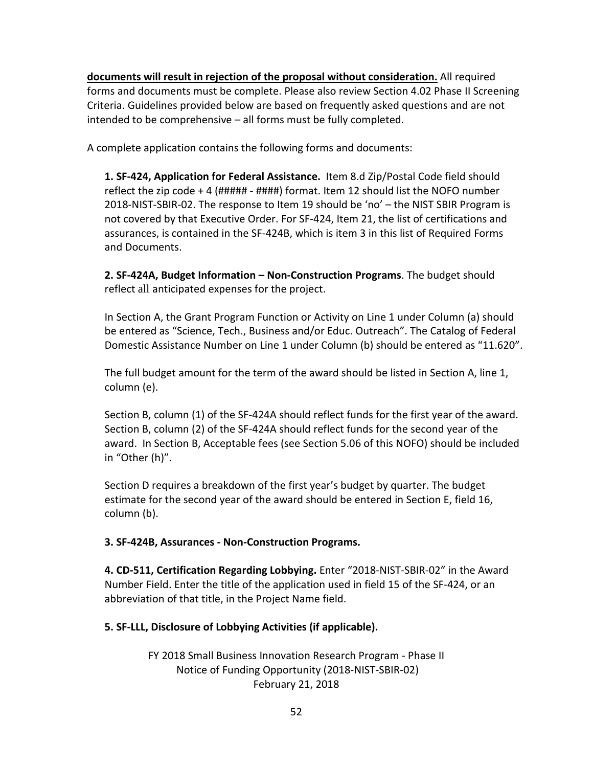**documents will result in rejection of the proposal without consideration.** All required forms and documents must be complete. Please also review Section 4.02 Phase II Screening Criteria. Guidelines provided below are based on frequently asked questions and are not intended to be comprehensive – all forms must be fully completed.

A complete application contains the following forms and documents:

**1. SF-424, Application for Federal Assistance.** Item 8.d Zip/Postal Code field should reflect the zip code + 4 (##### - ####) format. Item 12 should list the NOFO number 2018-NIST-SBIR-02. The response to Item 19 should be 'no' – the NIST SBIR Program is not covered by that Executive Order. For SF-424, Item 21, the list of certifications and assurances, is contained in the SF-424B, which is item 3 in this list of Required Forms and Documents.

**2. SF-424A, Budget Information – Non-Construction Programs**. The budget should reflect all anticipated expenses for the project.

In Section A, the Grant Program Function or Activity on Line 1 under Column (a) should be entered as "Science, Tech., Business and/or Educ. Outreach". The Catalog of Federal Domestic Assistance Number on Line 1 under Column (b) should be entered as "11.620".

The full budget amount for the term of the award should be listed in Section A, line 1, column (e).

Section B, column (1) of the SF-424A should reflect funds for the first year of the award. Section B, column (2) of the SF-424A should reflect funds for the second year of the award. In Section B, Acceptable fees (see Section 5.06 of this NOFO) should be included in "Other (h)".

Section D requires a breakdown of the first year's budget by quarter. The budget estimate for the second year of the award should be entered in Section E, field 16, column (b).

## **3. SF-424B, Assurances - Non-Construction Programs.**

**4. CD-511, Certification Regarding Lobbying.** Enter "2018-NIST-SBIR-02" in the Award Number Field. Enter the title of the application used in field 15 of the SF-424, or an abbreviation of that title, in the Project Name field.

## **5. SF-LLL, Disclosure of Lobbying Activities (if applicable).**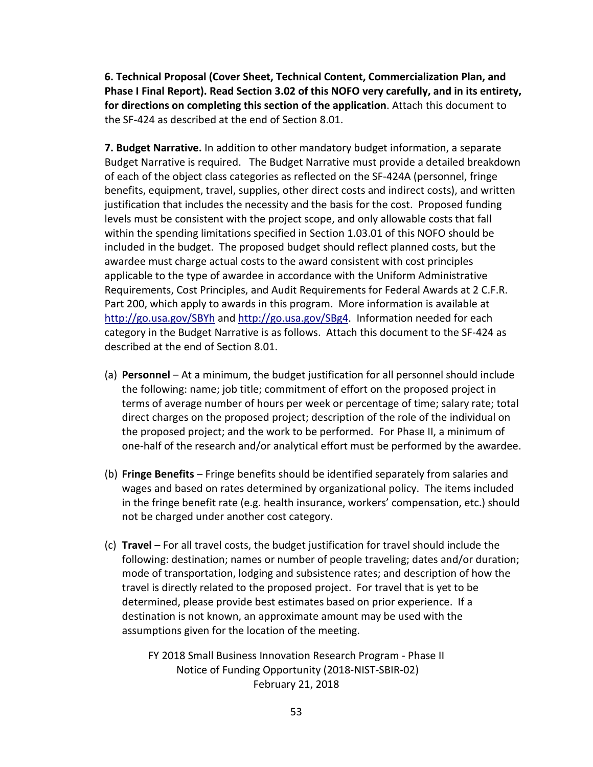**6. Technical Proposal (Cover Sheet, Technical Content, Commercialization Plan, and Phase I Final Report). Read Section 3.02 of this NOFO very carefully, and in its entirety, for directions on completing this section of the application**. Attach this document to the SF-424 as described at the end of Section 8.01.

**7. Budget Narrative.** In addition to other mandatory budget information, a separate Budget Narrative is required. The Budget Narrative must provide a detailed breakdown of each of the object class categories as reflected on the SF-424A (personnel, fringe benefits, equipment, travel, supplies, other direct costs and indirect costs), and written justification that includes the necessity and the basis for the cost. Proposed funding levels must be consistent with the project scope, and only allowable costs that fall within the spending limitations specified in Section 1.03.01 of this NOFO should be included in the budget. The proposed budget should reflect planned costs, but the awardee must charge actual costs to the award consistent with cost principles applicable to the type of awardee in accordance with the Uniform Administrative Requirements, Cost Principles, and Audit Requirements for Federal Awards at 2 C.F.R. Part 200, which apply to awards in this program. More information is available at <http://go.usa.gov/SBYh> and [http://go.usa.gov/SBg4.](http://go.usa.gov/SBg4) Information needed for each category in the Budget Narrative is as follows. Attach this document to the SF-424 as described at the end of Section 8.01.

- (a) **Personnel** At a minimum, the budget justification for all personnel should include the following: name; job title; commitment of effort on the proposed project in terms of average number of hours per week or percentage of time; salary rate; total direct charges on the proposed project; description of the role of the individual on the proposed project; and the work to be performed. For Phase II, a minimum of one-half of the research and/or analytical effort must be performed by the awardee.
- (b) **Fringe Benefits** Fringe benefits should be identified separately from salaries and wages and based on rates determined by organizational policy. The items included in the fringe benefit rate (e.g. health insurance, workers' compensation, etc.) should not be charged under another cost category.
- (c) **Travel**  For all travel costs, the budget justification for travel should include the following: destination; names or number of people traveling; dates and/or duration; mode of transportation, lodging and subsistence rates; and description of how the travel is directly related to the proposed project. For travel that is yet to be determined, please provide best estimates based on prior experience. If a destination is not known, an approximate amount may be used with the assumptions given for the location of the meeting.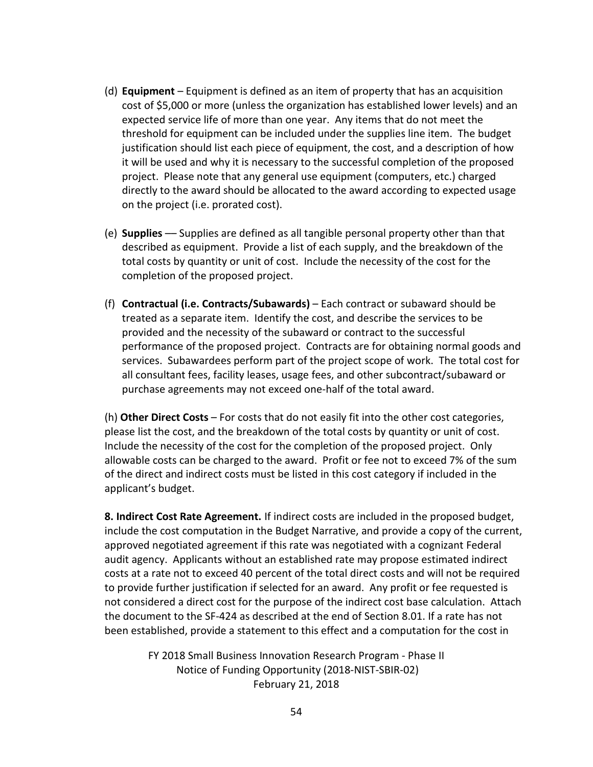- (d) **Equipment**  Equipment is defined as an item of property that has an acquisition cost of \$5,000 or more (unless the organization has established lower levels) and an expected service life of more than one year. Any items that do not meet the threshold for equipment can be included under the supplies line item. The budget justification should list each piece of equipment, the cost, and a description of how it will be used and why it is necessary to the successful completion of the proposed project. Please note that any general use equipment (computers, etc.) charged directly to the award should be allocated to the award according to expected usage on the project (i.e. prorated cost).
- (e) **Supplies** –– Supplies are defined as all tangible personal property other than that described as equipment. Provide a list of each supply, and the breakdown of the total costs by quantity or unit of cost. Include the necessity of the cost for the completion of the proposed project.
- (f) **Contractual (i.e. Contracts/Subawards)**  Each contract or subaward should be treated as a separate item. Identify the cost, and describe the services to be provided and the necessity of the subaward or contract to the successful performance of the proposed project. Contracts are for obtaining normal goods and services. Subawardees perform part of the project scope of work. The total cost for all consultant fees, facility leases, usage fees, and other subcontract/subaward or purchase agreements may not exceed one-half of the total award.

(h) **Other Direct Costs** – For costs that do not easily fit into the other cost categories, please list the cost, and the breakdown of the total costs by quantity or unit of cost. Include the necessity of the cost for the completion of the proposed project. Only allowable costs can be charged to the award. Profit or fee not to exceed 7% of the sum of the direct and indirect costs must be listed in this cost category if included in the applicant's budget.

**8. Indirect Cost Rate Agreement.** If indirect costs are included in the proposed budget, include the cost computation in the Budget Narrative, and provide a copy of the current, approved negotiated agreement if this rate was negotiated with a cognizant Federal audit agency. Applicants without an established rate may propose estimated indirect costs at a rate not to exceed 40 percent of the total direct costs and will not be required to provide further justification if selected for an award. Any profit or fee requested is not considered a direct cost for the purpose of the indirect cost base calculation. Attach the document to the SF-424 as described at the end of Section 8.01. If a rate has not been established, provide a statement to this effect and a computation for the cost in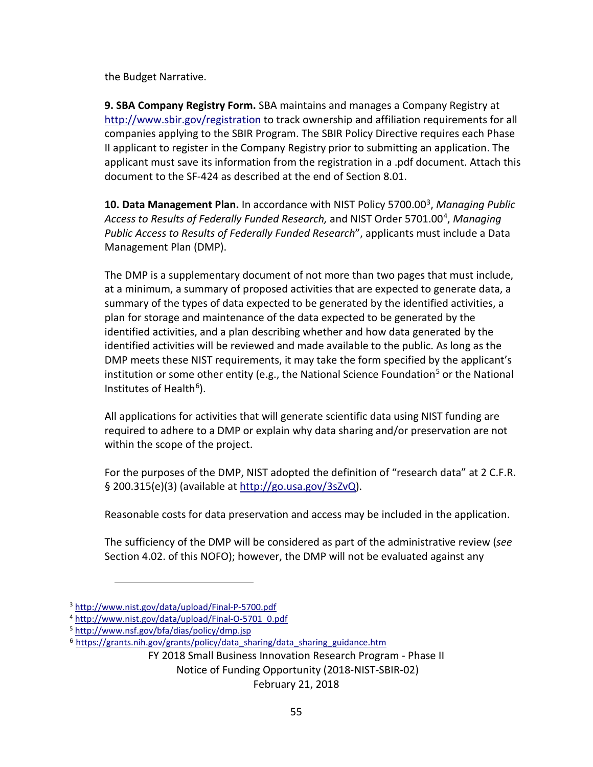the Budget Narrative.

**9. SBA Company Registry Form.** SBA maintains and manages a Company Registry at <http://www.sbir.gov/registration> to track ownership and affiliation requirements for all companies applying to the SBIR Program. The SBIR Policy Directive requires each Phase II applicant to register in the Company Registry prior to submitting an application. The applicant must save its information from the registration in a .pdf document. Attach this document to the SF-424 as described at the end of Section 8.01.

**10. Data Management Plan.** In accordance with NIST Policy 5700.00[3,](#page-54-0) *Managing Public Access to Results of Federally Funded Research,* and NIST Order 5701.00[4](#page-54-1), *Managing Public Access to Results of Federally Funded Research*", applicants must include a Data Management Plan (DMP).

The DMP is a supplementary document of not more than two pages that must include, at a minimum, a summary of proposed activities that are expected to generate data, a summary of the types of data expected to be generated by the identified activities, a plan for storage and maintenance of the data expected to be generated by the identified activities, and a plan describing whether and how data generated by the identified activities will be reviewed and made available to the public. As long as the DMP meets these NIST requirements, it may take the form specified by the applicant's institution or some other entity (e.g., the National Science Foundation<sup>[5](#page-54-2)</sup> or the National Institutes of Health $6$ ).

All applications for activities that will generate scientific data using NIST funding are required to adhere to a DMP or explain why data sharing and/or preservation are not within the scope of the project.

For the purposes of the DMP, NIST adopted the definition of "research data" at 2 C.F.R. § 200.315(e)(3) (available at [http://go.usa.gov/3sZvQ\)](http://go.usa.gov/3sZvQ).

Reasonable costs for data preservation and access may be included in the application.

The sufficiency of the DMP will be considered as part of the administrative review (*see* Section 4.02. of this NOFO); however, the DMP will not be evaluated against any

 $\overline{a}$ 

<span id="page-54-0"></span><sup>&</sup>lt;sup>3</sup> http://www.nist.gov/data/upload/Final-P-5700.pdf<br><sup>4</sup> [http://www.nist.gov/data/upload/Final-O-5701\\_0.pdf](http://www.nist.gov/data/upload/Final-O-5701_0.pdf)

<span id="page-54-1"></span>

<span id="page-54-2"></span><sup>5</sup> <http://www.nsf.gov/bfa/dias/policy/dmp.jsp>

<span id="page-54-3"></span><sup>&</sup>lt;sup>6</sup> [https://grants.nih.gov/grants/policy/data\\_sharing/data\\_sharing\\_guidance.htm](https://grants.nih.gov/grants/policy/data_sharing/data_sharing_guidance.htm)

FY 2018 Small Business Innovation Research Program - Phase II Notice of Funding Opportunity (2018-NIST-SBIR-02) February 21, 2018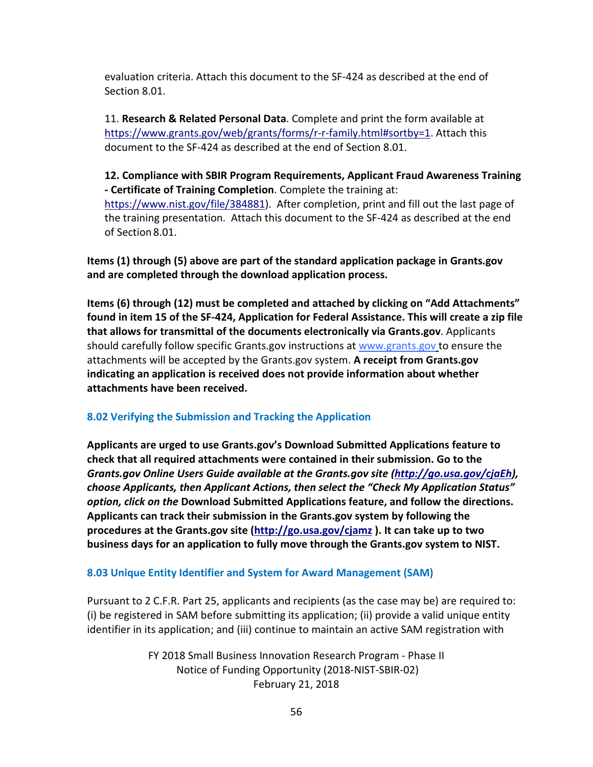evaluation criteria. Attach this document to the SF-424 as described at the end of Section 8.01.

11. **Research & Related Personal Data**. Complete and print the form available at [https://www.grants.gov/web/grants/forms/r-r-family.html#sortby=1.](https://www.grants.gov/web/grants/forms/r-r-family.html#sortby=1) Attach this document to the SF-424 as described at the end of Section 8.01.

**12. Compliance with SBIR Program Requirements, Applicant Fraud Awareness Training - Certificate of Training Completion**. Complete the training at: [https://www.nist.gov/file/384881\)](https://www.nist.gov/file/384881). After completion, print and fill out the last page of the training presentation. Attach this document to the SF-424 as described at the end of Section 8.01.

**Items (1) through (5) above are part of the standard application package in Grants.gov and are completed through the download application process.** 

**Items (6) through (12) must be completed and attached by clicking on "Add Attachments" found in item 15 of the SF-424, Application for Federal Assistance. This will create a zip file that allows for transmittal of the documents electronically via Grants.gov**. Applicants should carefully follow specific Grants.gov instructions at [www.grants.gov](http://www.grants.gov/) to ensure the attachments will be accepted by the Grants.gov system. **A receipt from Grants.gov indicating an application is received does not provide information about whether attachments have been received.**

### **8.02 Verifying the Submission and Tracking the Application**

**Applicants are urged to use Grants.gov's Download Submitted Applications feature to check that all required attachments were contained in their submission. Go to the**  *Grants.gov Online Users Guide available at the Grants.gov site [\(http://go.usa.gov/cjaEh\)](http://go.usa.gov/cjaEh), choose Applicants, then Applicant Actions, then select the "Check My Application Status" option, click on the* **Download Submitted Applications feature, and follow the directions. Applicants can track their submission in the Grants.gov system by following the procedures at the Grants.gov site [\(http://go.usa.gov/cjamz](http://go.usa.gov/cjamz) ). It can take up to two business days for an application to fully move through the Grants.gov system to NIST.**

### **8.03 Unique Entity Identifier and System for Award Management (SAM)**

Pursuant to 2 C.F.R. Part 25, applicants and recipients (as the case may be) are required to: (i) be registered in SAM before submitting its application; (ii) provide a valid unique entity identifier in its application; and (iii) continue to maintain an active SAM registration with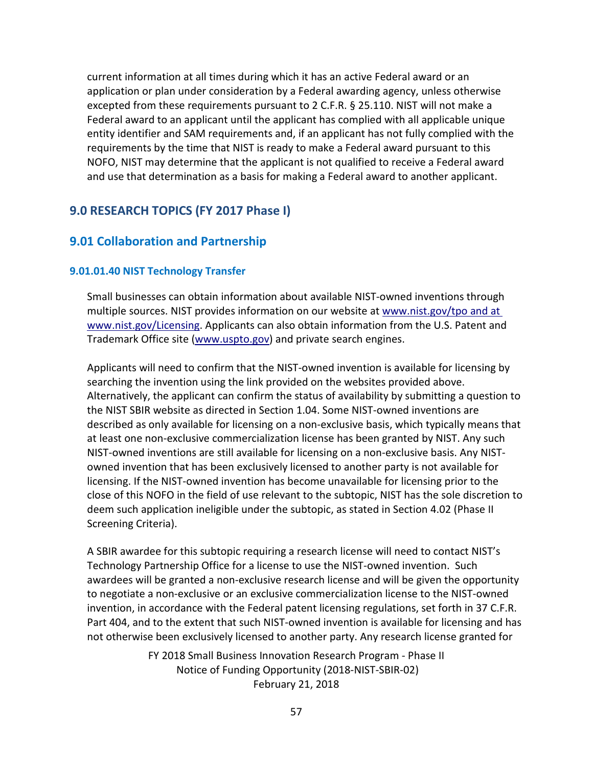current information at all times during which it has an active Federal award or an application or plan under consideration by a Federal awarding agency, unless otherwise excepted from these requirements pursuant to 2 C.F.R. § 25.110. NIST will not make a Federal award to an applicant until the applicant has complied with all applicable unique entity identifier and SAM requirements and, if an applicant has not fully complied with the requirements by the time that NIST is ready to make a Federal award pursuant to this NOFO, NIST may determine that the applicant is not qualified to receive a Federal award and use that determination as a basis for making a Federal award to another applicant.

# **9.0 RESEARCH TOPICS (FY 2017 Phase I)**

# **9.01 Collaboration and Partnership**

#### **9.01.01.40 NIST Technology Transfer**

Small businesses can obtain information about available NIST-owned inventions through multiple sources. NIST provides information on our website at [www.nist.gov/tpo](http://www.nist.gov/tpo) and at [www.nist.gov/Licensing.](https://www.nist.gov/tpo/licensing-nist-technologies) Applicants can also obtain information from the U.S. Patent and Trademark Office site [\(www.uspto.gov\)](http://www.uspto.gov/) and private search engines.

Applicants will need to confirm that the NIST-owned invention is available for licensing by searching the invention using the link provided on the websites provided above. Alternatively, the applicant can confirm the status of availability by submitting a question to the NIST SBIR website as directed in Section 1.04. Some NIST-owned inventions are described as only available for licensing on a non-exclusive basis, which typically means that at least one non-exclusive commercialization license has been granted by NIST. Any such NIST-owned inventions are still available for licensing on a non-exclusive basis. Any NISTowned invention that has been exclusively licensed to another party is not available for licensing. If the NIST-owned invention has become unavailable for licensing prior to the close of this NOFO in the field of use relevant to the subtopic, NIST has the sole discretion to deem such application ineligible under the subtopic, as stated in Section 4.02 (Phase II Screening Criteria).

A SBIR awardee for this subtopic requiring a research license will need to contact NIST's Technology Partnership Office for a license to use the NIST-owned invention. Such awardees will be granted a non-exclusive research license and will be given the opportunity to negotiate a non-exclusive or an exclusive commercialization license to the NIST-owned invention, in accordance with the Federal patent licensing regulations, set forth in 37 C.F.R. Part 404, and to the extent that such NIST-owned invention is available for licensing and has not otherwise been exclusively licensed to another party. Any research license granted for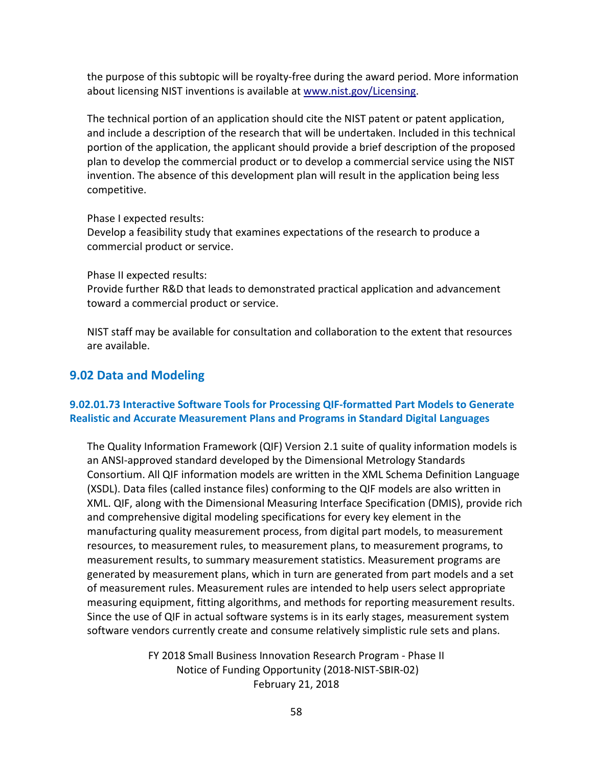the purpose of this subtopic will be royalty-free during the award period. More information about licensing NIST inventions is available at [www.nist.gov/Licensing.](https://www.nist.gov/tpo/licensing-nist-technologies)

The technical portion of an application should cite the NIST patent or patent application, and include a description of the research that will be undertaken. Included in this technical portion of the application, the applicant should provide a brief description of the proposed plan to develop the commercial product or to develop a commercial service using the NIST invention. The absence of this development plan will result in the application being less competitive.

Phase I expected results:

Develop a feasibility study that examines expectations of the research to produce a commercial product or service.

Phase II expected results:

Provide further R&D that leads to demonstrated practical application and advancement toward a commercial product or service.

NIST staff may be available for consultation and collaboration to the extent that resources are available.

## **9.02 Data and Modeling**

## **9.02.01.73 Interactive Software Tools for Processing QIF-formatted Part Models to Generate Realistic and Accurate Measurement Plans and Programs in Standard Digital Languages**

The Quality Information Framework (QIF) Version 2.1 suite of quality information models is an ANSI-approved standard developed by the Dimensional Metrology Standards Consortium. All QIF information models are written in the XML Schema Definition Language (XSDL). Data files (called instance files) conforming to the QIF models are also written in XML. QIF, along with the Dimensional Measuring Interface Specification (DMIS), provide rich and comprehensive digital modeling specifications for every key element in the manufacturing quality measurement process, from digital part models, to measurement resources, to measurement rules, to measurement plans, to measurement programs, to measurement results, to summary measurement statistics. Measurement programs are generated by measurement plans, which in turn are generated from part models and a set of measurement rules. Measurement rules are intended to help users select appropriate measuring equipment, fitting algorithms, and methods for reporting measurement results. Since the use of QIF in actual software systems is in its early stages, measurement system software vendors currently create and consume relatively simplistic rule sets and plans.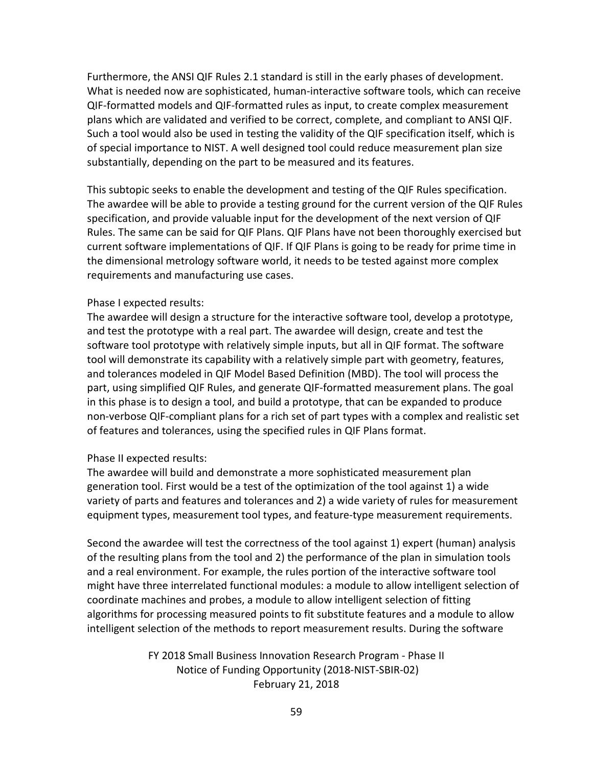Furthermore, the ANSI QIF Rules 2.1 standard is still in the early phases of development. What is needed now are sophisticated, human-interactive software tools, which can receive QIF-formatted models and QIF-formatted rules as input, to create complex measurement plans which are validated and verified to be correct, complete, and compliant to ANSI QIF. Such a tool would also be used in testing the validity of the QIF specification itself, which is of special importance to NIST. A well designed tool could reduce measurement plan size substantially, depending on the part to be measured and its features.

This subtopic seeks to enable the development and testing of the QIF Rules specification. The awardee will be able to provide a testing ground for the current version of the QIF Rules specification, and provide valuable input for the development of the next version of QIF Rules. The same can be said for QIF Plans. QIF Plans have not been thoroughly exercised but current software implementations of QIF. If QIF Plans is going to be ready for prime time in the dimensional metrology software world, it needs to be tested against more complex requirements and manufacturing use cases.

#### Phase I expected results:

The awardee will design a structure for the interactive software tool, develop a prototype, and test the prototype with a real part. The awardee will design, create and test the software tool prototype with relatively simple inputs, but all in QIF format. The software tool will demonstrate its capability with a relatively simple part with geometry, features, and tolerances modeled in QIF Model Based Definition (MBD). The tool will process the part, using simplified QIF Rules, and generate QIF-formatted measurement plans. The goal in this phase is to design a tool, and build a prototype, that can be expanded to produce non-verbose QIF-compliant plans for a rich set of part types with a complex and realistic set of features and tolerances, using the specified rules in QIF Plans format.

#### Phase II expected results:

The awardee will build and demonstrate a more sophisticated measurement plan generation tool. First would be a test of the optimization of the tool against 1) a wide variety of parts and features and tolerances and 2) a wide variety of rules for measurement equipment types, measurement tool types, and feature-type measurement requirements.

Second the awardee will test the correctness of the tool against 1) expert (human) analysis of the resulting plans from the tool and 2) the performance of the plan in simulation tools and a real environment. For example, the rules portion of the interactive software tool might have three interrelated functional modules: a module to allow intelligent selection of coordinate machines and probes, a module to allow intelligent selection of fitting algorithms for processing measured points to fit substitute features and a module to allow intelligent selection of the methods to report measurement results. During the software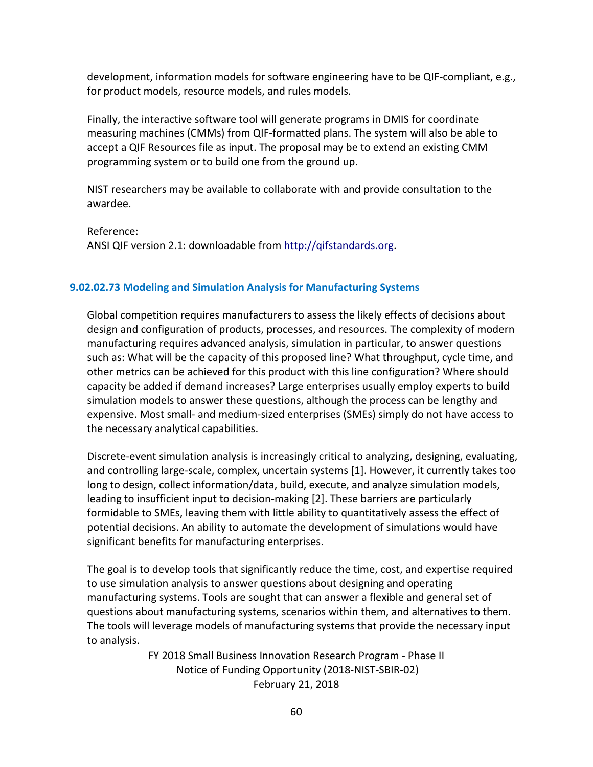development, information models for software engineering have to be QIF-compliant, e.g., for product models, resource models, and rules models.

Finally, the interactive software tool will generate programs in DMIS for coordinate measuring machines (CMMs) from QIF-formatted plans. The system will also be able to accept a QIF Resources file as input. The proposal may be to extend an existing CMM programming system or to build one from the ground up.

NIST researchers may be available to collaborate with and provide consultation to the awardee.

Reference: ANSI QIF version 2.1: downloadable from [http://qifstandards.org.](http://qifstandards.org/)

### **9.02.02.73 Modeling and Simulation Analysis for Manufacturing Systems**

Global competition requires manufacturers to assess the likely effects of decisions about design and configuration of products, processes, and resources. The complexity of modern manufacturing requires advanced analysis, simulation in particular, to answer questions such as: What will be the capacity of this proposed line? What throughput, cycle time, and other metrics can be achieved for this product with this line configuration? Where should capacity be added if demand increases? Large enterprises usually employ experts to build simulation models to answer these questions, although the process can be lengthy and expensive. Most small- and medium-sized enterprises (SMEs) simply do not have access to the necessary analytical capabilities.

Discrete-event simulation analysis is increasingly critical to analyzing, designing, evaluating, and controlling large-scale, complex, uncertain systems [1]. However, it currently takes too long to design, collect information/data, build, execute, and analyze simulation models, leading to insufficient input to decision-making [2]. These barriers are particularly formidable to SMEs, leaving them with little ability to quantitatively assess the effect of potential decisions. An ability to automate the development of simulations would have significant benefits for manufacturing enterprises.

The goal is to develop tools that significantly reduce the time, cost, and expertise required to use simulation analysis to answer questions about designing and operating manufacturing systems. Tools are sought that can answer a flexible and general set of questions about manufacturing systems, scenarios within them, and alternatives to them. The tools will leverage models of manufacturing systems that provide the necessary input to analysis.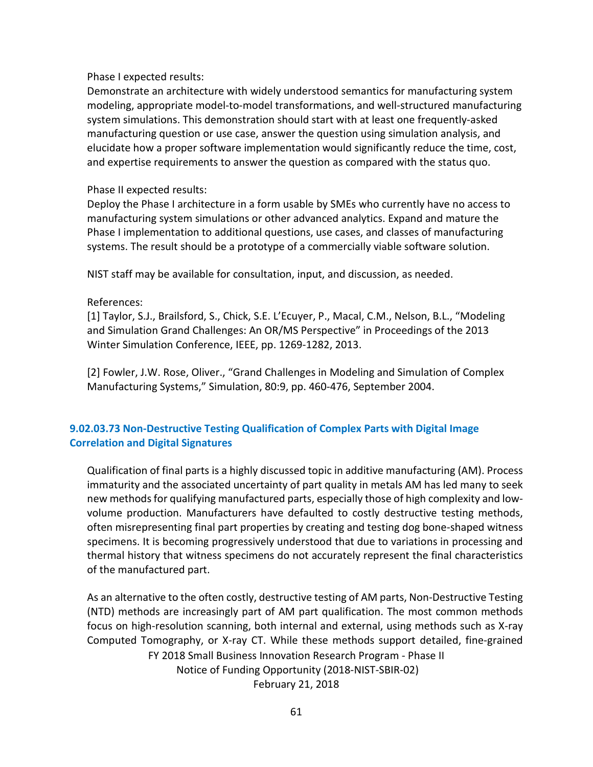Phase I expected results:

Demonstrate an architecture with widely understood semantics for manufacturing system modeling, appropriate model-to-model transformations, and well-structured manufacturing system simulations. This demonstration should start with at least one frequently-asked manufacturing question or use case, answer the question using simulation analysis, and elucidate how a proper software implementation would significantly reduce the time, cost, and expertise requirements to answer the question as compared with the status quo.

## Phase II expected results:

Deploy the Phase I architecture in a form usable by SMEs who currently have no access to manufacturing system simulations or other advanced analytics. Expand and mature the Phase I implementation to additional questions, use cases, and classes of manufacturing systems. The result should be a prototype of a commercially viable software solution.

NIST staff may be available for consultation, input, and discussion, as needed.

## References:

[1] Taylor, S.J., Brailsford, S., Chick, S.E. L'Ecuyer, P., Macal, C.M., Nelson, B.L., "Modeling and Simulation Grand Challenges: An OR/MS Perspective" in Proceedings of the 2013 Winter Simulation Conference, IEEE, pp. 1269-1282, 2013.

[2] Fowler, J.W. Rose, Oliver., "Grand Challenges in Modeling and Simulation of Complex Manufacturing Systems," Simulation, 80:9, pp. 460-476, September 2004.

# **9.02.03.73 Non-Destructive Testing Qualification of Complex Parts with Digital Image Correlation and Digital Signatures**

Qualification of final parts is a highly discussed topic in additive manufacturing (AM). Process immaturity and the associated uncertainty of part quality in metals AM has led many to seek new methods for qualifying manufactured parts, especially those of high complexity and lowvolume production. Manufacturers have defaulted to costly destructive testing methods, often misrepresenting final part properties by creating and testing dog bone-shaped witness specimens. It is becoming progressively understood that due to variations in processing and thermal history that witness specimens do not accurately represent the final characteristics of the manufactured part.

FY 2018 Small Business Innovation Research Program - Phase II Notice of Funding Opportunity (2018-NIST-SBIR-02) February 21, 2018 As an alternative to the often costly, destructive testing of AM parts, Non-Destructive Testing (NTD) methods are increasingly part of AM part qualification. The most common methods focus on high-resolution scanning, both internal and external, using methods such as X-ray Computed Tomography, or X-ray CT. While these methods support detailed, fine-grained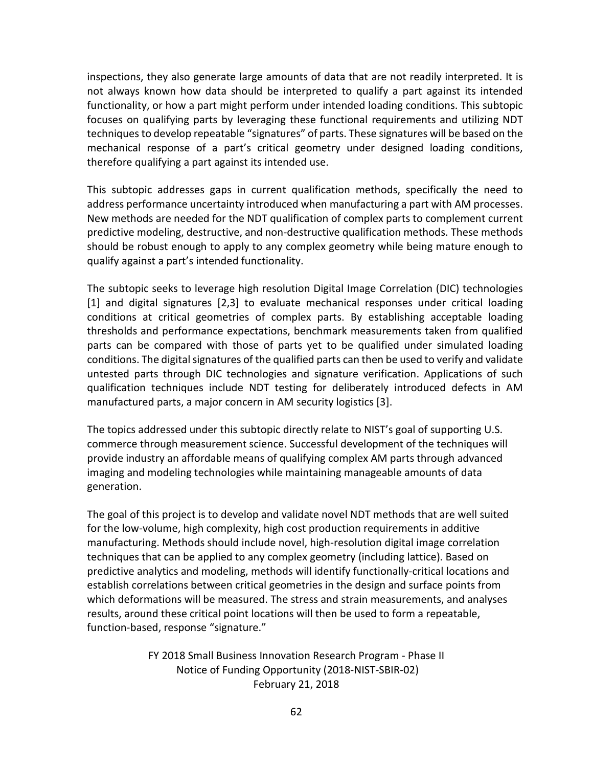inspections, they also generate large amounts of data that are not readily interpreted. It is not always known how data should be interpreted to qualify a part against its intended functionality, or how a part might perform under intended loading conditions. This subtopic focuses on qualifying parts by leveraging these functional requirements and utilizing NDT techniques to develop repeatable "signatures" of parts. These signatures will be based on the mechanical response of a part's critical geometry under designed loading conditions, therefore qualifying a part against its intended use.

This subtopic addresses gaps in current qualification methods, specifically the need to address performance uncertainty introduced when manufacturing a part with AM processes. New methods are needed for the NDT qualification of complex parts to complement current predictive modeling, destructive, and non-destructive qualification methods. These methods should be robust enough to apply to any complex geometry while being mature enough to qualify against a part's intended functionality.

The subtopic seeks to leverage high resolution Digital Image Correlation (DIC) technologies [1] and digital signatures [2,3] to evaluate mechanical responses under critical loading conditions at critical geometries of complex parts. By establishing acceptable loading thresholds and performance expectations, benchmark measurements taken from qualified parts can be compared with those of parts yet to be qualified under simulated loading conditions. The digital signatures of the qualified parts can then be used to verify and validate untested parts through DIC technologies and signature verification. Applications of such qualification techniques include NDT testing for deliberately introduced defects in AM manufactured parts, a major concern in AM security logistics [3].

The topics addressed under this subtopic directly relate to NIST's goal of supporting U.S. commerce through measurement science. Successful development of the techniques will provide industry an affordable means of qualifying complex AM parts through advanced imaging and modeling technologies while maintaining manageable amounts of data generation.

The goal of this project is to develop and validate novel NDT methods that are well suited for the low-volume, high complexity, high cost production requirements in additive manufacturing. Methods should include novel, high-resolution digital image correlation techniques that can be applied to any complex geometry (including lattice). Based on predictive analytics and modeling, methods will identify functionally-critical locations and establish correlations between critical geometries in the design and surface points from which deformations will be measured. The stress and strain measurements, and analyses results, around these critical point locations will then be used to form a repeatable, function-based, response "signature."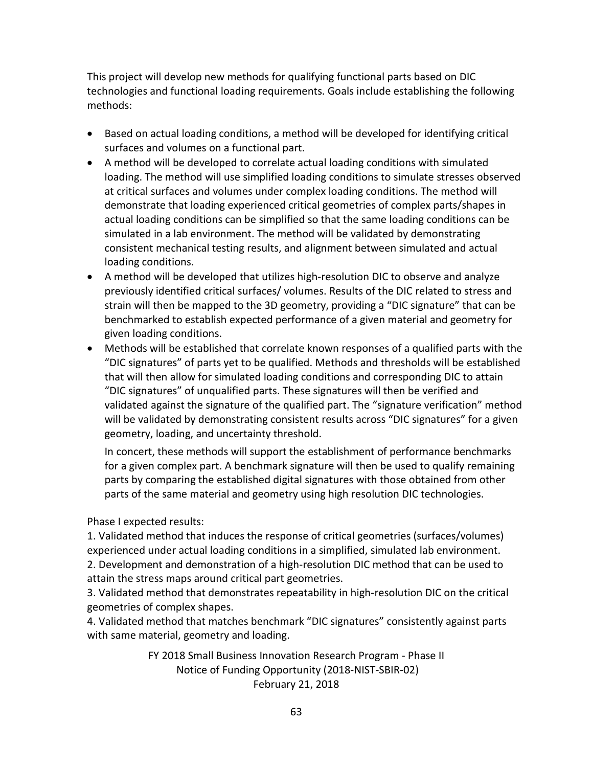This project will develop new methods for qualifying functional parts based on DIC technologies and functional loading requirements. Goals include establishing the following methods:

- Based on actual loading conditions, a method will be developed for identifying critical surfaces and volumes on a functional part.
- A method will be developed to correlate actual loading conditions with simulated loading. The method will use simplified loading conditions to simulate stresses observed at critical surfaces and volumes under complex loading conditions. The method will demonstrate that loading experienced critical geometries of complex parts/shapes in actual loading conditions can be simplified so that the same loading conditions can be simulated in a lab environment. The method will be validated by demonstrating consistent mechanical testing results, and alignment between simulated and actual loading conditions.
- A method will be developed that utilizes high-resolution DIC to observe and analyze previously identified critical surfaces/ volumes. Results of the DIC related to stress and strain will then be mapped to the 3D geometry, providing a "DIC signature" that can be benchmarked to establish expected performance of a given material and geometry for given loading conditions.
- Methods will be established that correlate known responses of a qualified parts with the "DIC signatures" of parts yet to be qualified. Methods and thresholds will be established that will then allow for simulated loading conditions and corresponding DIC to attain "DIC signatures" of unqualified parts. These signatures will then be verified and validated against the signature of the qualified part. The "signature verification" method will be validated by demonstrating consistent results across "DIC signatures" for a given geometry, loading, and uncertainty threshold.

In concert, these methods will support the establishment of performance benchmarks for a given complex part. A benchmark signature will then be used to qualify remaining parts by comparing the established digital signatures with those obtained from other parts of the same material and geometry using high resolution DIC technologies.

Phase I expected results:

1. Validated method that induces the response of critical geometries (surfaces/volumes) experienced under actual loading conditions in a simplified, simulated lab environment. 2. Development and demonstration of a high-resolution DIC method that can be used to attain the stress maps around critical part geometries.

3. Validated method that demonstrates repeatability in high-resolution DIC on the critical geometries of complex shapes.

4. Validated method that matches benchmark "DIC signatures" consistently against parts with same material, geometry and loading.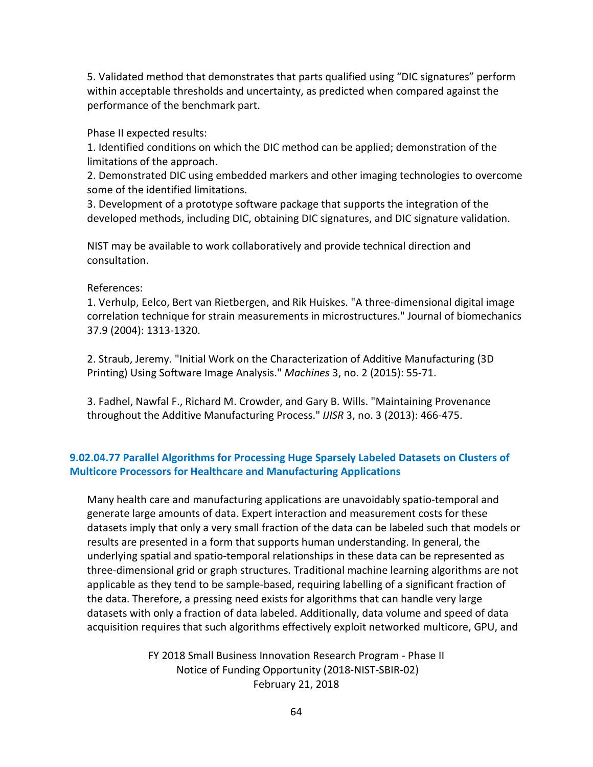5. Validated method that demonstrates that parts qualified using "DIC signatures" perform within acceptable thresholds and uncertainty, as predicted when compared against the performance of the benchmark part.

Phase II expected results:

1. Identified conditions on which the DIC method can be applied; demonstration of the limitations of the approach.

2. Demonstrated DIC using embedded markers and other imaging technologies to overcome some of the identified limitations.

3. Development of a prototype software package that supports the integration of the developed methods, including DIC, obtaining DIC signatures, and DIC signature validation.

NIST may be available to work collaboratively and provide technical direction and consultation.

## References:

1. Verhulp, Eelco, Bert van Rietbergen, and Rik Huiskes. "A three-dimensional digital image correlation technique for strain measurements in microstructures." Journal of biomechanics 37.9 (2004): 1313-1320.

2. Straub, Jeremy. "Initial Work on the Characterization of Additive Manufacturing (3D Printing) Using Software Image Analysis." *Machines* 3, no. 2 (2015): 55-71.

3. Fadhel, Nawfal F., Richard M. Crowder, and Gary B. Wills. "Maintaining Provenance throughout the Additive Manufacturing Process." *IJISR* 3, no. 3 (2013): 466-475.

# **9.02.04.77 Parallel Algorithms for Processing Huge Sparsely Labeled Datasets on Clusters of Multicore Processors for Healthcare and Manufacturing Applications**

Many health care and manufacturing applications are unavoidably spatio-temporal and generate large amounts of data. Expert interaction and measurement costs for these datasets imply that only a very small fraction of the data can be labeled such that models or results are presented in a form that supports human understanding. In general, the underlying spatial and spatio-temporal relationships in these data can be represented as three-dimensional grid or graph structures. Traditional machine learning algorithms are not applicable as they tend to be sample-based, requiring labelling of a significant fraction of the data. Therefore, a pressing need exists for algorithms that can handle very large datasets with only a fraction of data labeled. Additionally, data volume and speed of data acquisition requires that such algorithms effectively exploit networked multicore, GPU, and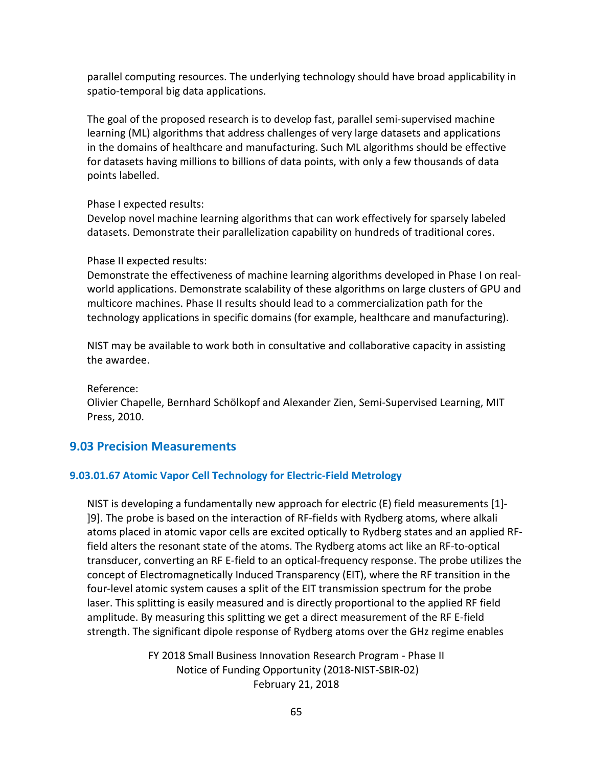parallel computing resources. The underlying technology should have broad applicability in spatio-temporal big data applications.

The goal of the proposed research is to develop fast, parallel semi-supervised machine learning (ML) algorithms that address challenges of very large datasets and applications in the domains of healthcare and manufacturing. Such ML algorithms should be effective for datasets having millions to billions of data points, with only a few thousands of data points labelled.

Phase I expected results:

Develop novel machine learning algorithms that can work effectively for sparsely labeled datasets. Demonstrate their parallelization capability on hundreds of traditional cores.

Phase II expected results:

Demonstrate the effectiveness of machine learning algorithms developed in Phase I on realworld applications. Demonstrate scalability of these algorithms on large clusters of GPU and multicore machines. Phase II results should lead to a commercialization path for the technology applications in specific domains (for example, healthcare and manufacturing).

NIST may be available to work both in consultative and collaborative capacity in assisting the awardee.

Reference: Olivier Chapelle, Bernhard Schölkopf and Alexander Zien, Semi-Supervised Learning, MIT Press, 2010.

## **9.03 Precision Measurements**

### **9.03.01.67 Atomic Vapor Cell Technology for Electric-Field Metrology**

NIST is developing a fundamentally new approach for electric (E) field measurements [1]- ]9]. The probe is based on the interaction of RF-fields with Rydberg atoms, where alkali atoms placed in atomic vapor cells are excited optically to Rydberg states and an applied RFfield alters the resonant state of the atoms. The Rydberg atoms act like an RF-to-optical transducer, converting an RF E-field to an optical-frequency response. The probe utilizes the concept of Electromagnetically Induced Transparency (EIT), where the RF transition in the four-level atomic system causes a split of the EIT transmission spectrum for the probe laser. This splitting is easily measured and is directly proportional to the applied RF field amplitude. By measuring this splitting we get a direct measurement of the RF E-field strength. The significant dipole response of Rydberg atoms over the GHz regime enables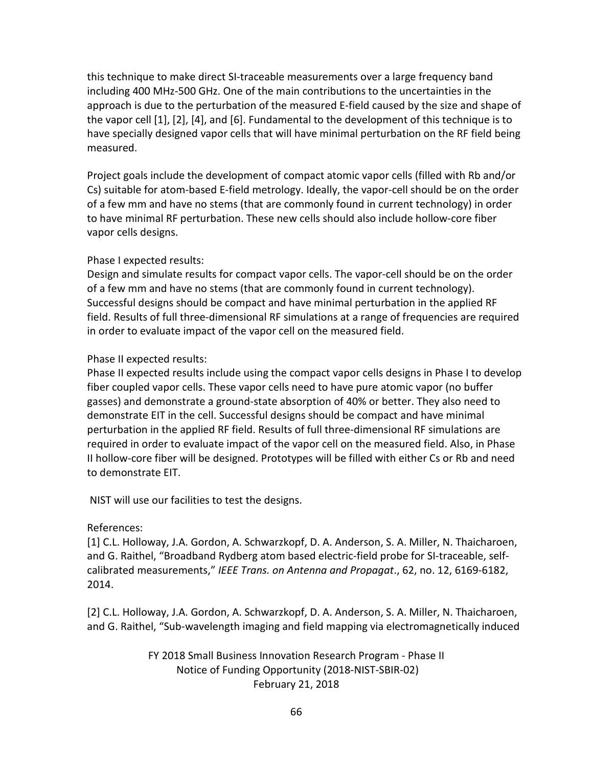this technique to make direct SI-traceable measurements over a large frequency band including 400 MHz-500 GHz. One of the main contributions to the uncertainties in the approach is due to the perturbation of the measured E-field caused by the size and shape of the vapor cell [1], [2], [4], and [6]. Fundamental to the development of this technique is to have specially designed vapor cells that will have minimal perturbation on the RF field being measured.

Project goals include the development of compact atomic vapor cells (filled with Rb and/or Cs) suitable for atom-based E-field metrology. Ideally, the vapor-cell should be on the order of a few mm and have no stems (that are commonly found in current technology) in order to have minimal RF perturbation. These new cells should also include hollow-core fiber vapor cells designs.

### Phase I expected results:

Design and simulate results for compact vapor cells. The vapor-cell should be on the order of a few mm and have no stems (that are commonly found in current technology). Successful designs should be compact and have minimal perturbation in the applied RF field. Results of full three-dimensional RF simulations at a range of frequencies are required in order to evaluate impact of the vapor cell on the measured field.

## Phase II expected results:

Phase II expected results include using the compact vapor cells designs in Phase I to develop fiber coupled vapor cells. These vapor cells need to have pure atomic vapor (no buffer gasses) and demonstrate a ground-state absorption of 40% or better. They also need to demonstrate EIT in the cell. Successful designs should be compact and have minimal perturbation in the applied RF field. Results of full three-dimensional RF simulations are required in order to evaluate impact of the vapor cell on the measured field. Also, in Phase II hollow-core fiber will be designed. Prototypes will be filled with either Cs or Rb and need to demonstrate EIT.

NIST will use our facilities to test the designs.

## References:

[1] C.L. Holloway, J.A. Gordon, A. Schwarzkopf, D. A. Anderson, S. A. Miller, N. Thaicharoen, and G. Raithel, "Broadband Rydberg atom based electric-field probe for SI-traceable, selfcalibrated measurements," *IEEE Trans. on Antenna and Propagat*., 62, no. 12, 6169-6182, 2014.

[2] C.L. Holloway, J.A. Gordon, A. Schwarzkopf, D. A. Anderson, S. A. Miller, N. Thaicharoen, and G. Raithel, "Sub-wavelength imaging and field mapping via electromagnetically induced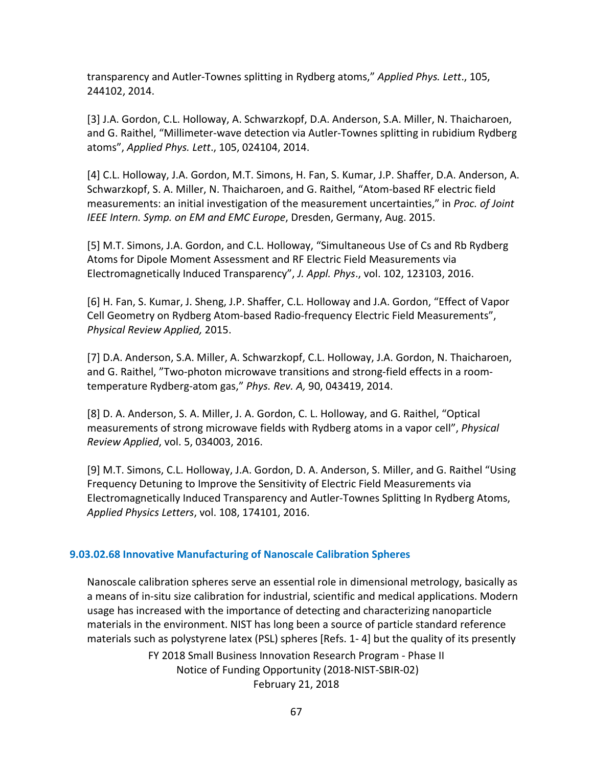transparency and Autler-Townes splitting in Rydberg atoms," *Applied Phys. Lett*., 105, 244102, 2014.

[3] J.A. Gordon, C.L. Holloway, A. Schwarzkopf, D.A. Anderson, S.A. Miller, N. Thaicharoen, and G. Raithel, "Millimeter-wave detection via Autler-Townes splitting in rubidium Rydberg atoms", *Applied Phys. Lett*., 105, 024104, 2014.

[4] C.L. Holloway, J.A. Gordon, M.T. Simons, H. Fan, S. Kumar, J.P. Shaffer, D.A. Anderson, A. Schwarzkopf, S. A. Miller, N. Thaicharoen, and G. Raithel, "Atom-based RF electric field measurements: an initial investigation of the measurement uncertainties," in *Proc. of Joint IEEE Intern. Symp. on EM and EMC Europe*, Dresden, Germany, Aug. 2015.

[5] M.T. Simons, J.A. Gordon, and C.L. Holloway, "Simultaneous Use of Cs and Rb Rydberg Atoms for Dipole Moment Assessment and RF Electric Field Measurements via Electromagnetically Induced Transparency", *J. Appl. Phys*., vol. 102, 123103, 2016.

[6] H. Fan, S. Kumar, J. Sheng, J.P. Shaffer, C.L. Holloway and J.A. Gordon, "Effect of Vapor Cell Geometry on Rydberg Atom-based Radio-frequency Electric Field Measurements", *Physical Review Applied,* 2015.

[7] D.A. Anderson, S.A. Miller, A. Schwarzkopf, C.L. Holloway, J.A. Gordon, N. Thaicharoen, and G. Raithel, "Two-photon microwave transitions and strong-field effects in a roomtemperature Rydberg-atom gas," *Phys. Rev. A,* 90, 043419, 2014.

[8] D. A. Anderson, S. A. Miller, J. A. Gordon, C. L. Holloway, and G. Raithel, "Optical measurements of strong microwave fields with Rydberg atoms in a vapor cell", *Physical Review Applied*, vol. 5, 034003, 2016.

[9] M.T. Simons, C.L. Holloway, J.A. Gordon, D. A. Anderson, S. Miller, and G. Raithel "Using Frequency Detuning to Improve the Sensitivity of Electric Field Measurements via Electromagnetically Induced Transparency and Autler-Townes Splitting In Rydberg Atoms, *Applied Physics Letters*, vol. 108, 174101, 2016.

## **9.03.02.68 Innovative Manufacturing of Nanoscale Calibration Spheres**

Nanoscale calibration spheres serve an essential role in dimensional metrology, basically as a means of in-situ size calibration for industrial, scientific and medical applications. Modern usage has increased with the importance of detecting and characterizing nanoparticle materials in the environment. NIST has long been a source of particle standard reference materials such as polystyrene latex (PSL) spheres [Refs. 1- 4] but the quality of its presently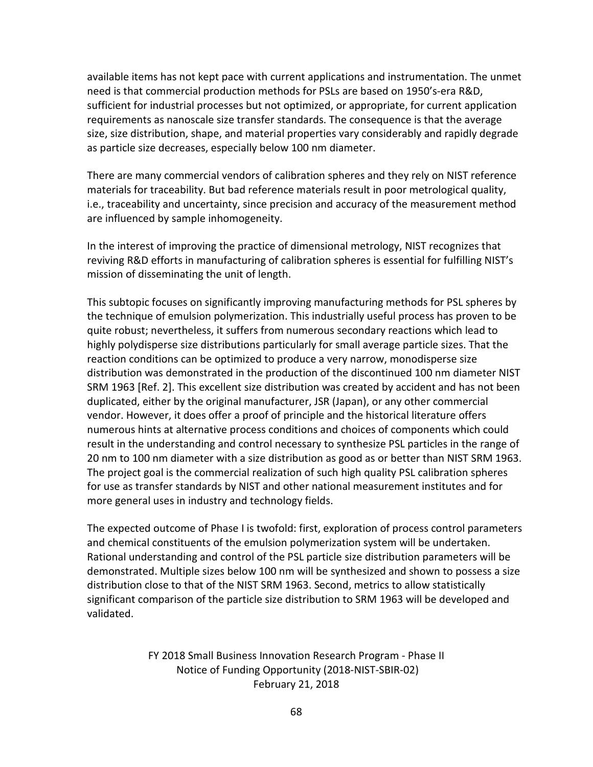available items has not kept pace with current applications and instrumentation. The unmet need is that commercial production methods for PSLs are based on 1950's-era R&D, sufficient for industrial processes but not optimized, or appropriate, for current application requirements as nanoscale size transfer standards. The consequence is that the average size, size distribution, shape, and material properties vary considerably and rapidly degrade as particle size decreases, especially below 100 nm diameter.

There are many commercial vendors of calibration spheres and they rely on NIST reference materials for traceability. But bad reference materials result in poor metrological quality, i.e., traceability and uncertainty, since precision and accuracy of the measurement method are influenced by sample inhomogeneity.

In the interest of improving the practice of dimensional metrology, NIST recognizes that reviving R&D efforts in manufacturing of calibration spheres is essential for fulfilling NIST's mission of disseminating the unit of length.

This subtopic focuses on significantly improving manufacturing methods for PSL spheres by the technique of emulsion polymerization. This industrially useful process has proven to be quite robust; nevertheless, it suffers from numerous secondary reactions which lead to highly polydisperse size distributions particularly for small average particle sizes. That the reaction conditions can be optimized to produce a very narrow, monodisperse size distribution was demonstrated in the production of the discontinued 100 nm diameter NIST SRM 1963 [Ref. 2]. This excellent size distribution was created by accident and has not been duplicated, either by the original manufacturer, JSR (Japan), or any other commercial vendor. However, it does offer a proof of principle and the historical literature offers numerous hints at alternative process conditions and choices of components which could result in the understanding and control necessary to synthesize PSL particles in the range of 20 nm to 100 nm diameter with a size distribution as good as or better than NIST SRM 1963. The project goal is the commercial realization of such high quality PSL calibration spheres for use as transfer standards by NIST and other national measurement institutes and for more general uses in industry and technology fields.

The expected outcome of Phase I is twofold: first, exploration of process control parameters and chemical constituents of the emulsion polymerization system will be undertaken. Rational understanding and control of the PSL particle size distribution parameters will be demonstrated. Multiple sizes below 100 nm will be synthesized and shown to possess a size distribution close to that of the NIST SRM 1963. Second, metrics to allow statistically significant comparison of the particle size distribution to SRM 1963 will be developed and validated.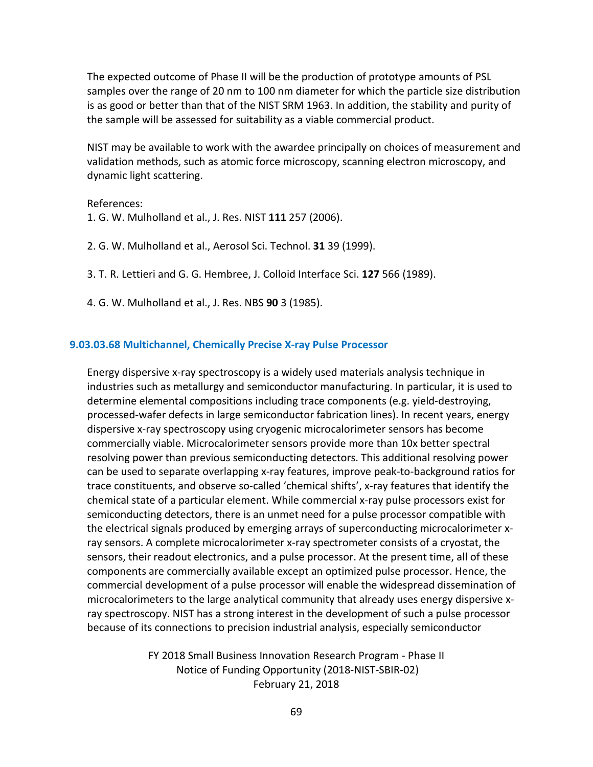The expected outcome of Phase II will be the production of prototype amounts of PSL samples over the range of 20 nm to 100 nm diameter for which the particle size distribution is as good or better than that of the NIST SRM 1963. In addition, the stability and purity of the sample will be assessed for suitability as a viable commercial product.

NIST may be available to work with the awardee principally on choices of measurement and validation methods, such as atomic force microscopy, scanning electron microscopy, and dynamic light scattering.

#### References:

- 1. G. W. Mulholland et al., J. Res. NIST **111** 257 (2006).
- 2. G. W. Mulholland et al., Aerosol Sci. Technol. **31** 39 (1999).
- 3. T. R. Lettieri and G. G. Hembree, J. Colloid Interface Sci. **127** 566 (1989).
- 4. G. W. Mulholland et al., J. Res. NBS **90** 3 (1985).

#### **9.03.03.68 Multichannel, Chemically Precise X-ray Pulse Processor**

Energy dispersive x-ray spectroscopy is a widely used materials analysis technique in industries such as metallurgy and semiconductor manufacturing. In particular, it is used to determine elemental compositions including trace components (e.g. yield-destroying, processed-wafer defects in large semiconductor fabrication lines). In recent years, energy dispersive x-ray spectroscopy using cryogenic microcalorimeter sensors has become commercially viable. Microcalorimeter sensors provide more than 10x better spectral resolving power than previous semiconducting detectors. This additional resolving power can be used to separate overlapping x-ray features, improve peak-to-background ratios for trace constituents, and observe so-called 'chemical shifts', x-ray features that identify the chemical state of a particular element. While commercial x-ray pulse processors exist for semiconducting detectors, there is an unmet need for a pulse processor compatible with the electrical signals produced by emerging arrays of superconducting microcalorimeter xray sensors. A complete microcalorimeter x-ray spectrometer consists of a cryostat, the sensors, their readout electronics, and a pulse processor. At the present time, all of these components are commercially available except an optimized pulse processor. Hence, the commercial development of a pulse processor will enable the widespread dissemination of microcalorimeters to the large analytical community that already uses energy dispersive xray spectroscopy. NIST has a strong interest in the development of such a pulse processor because of its connections to precision industrial analysis, especially semiconductor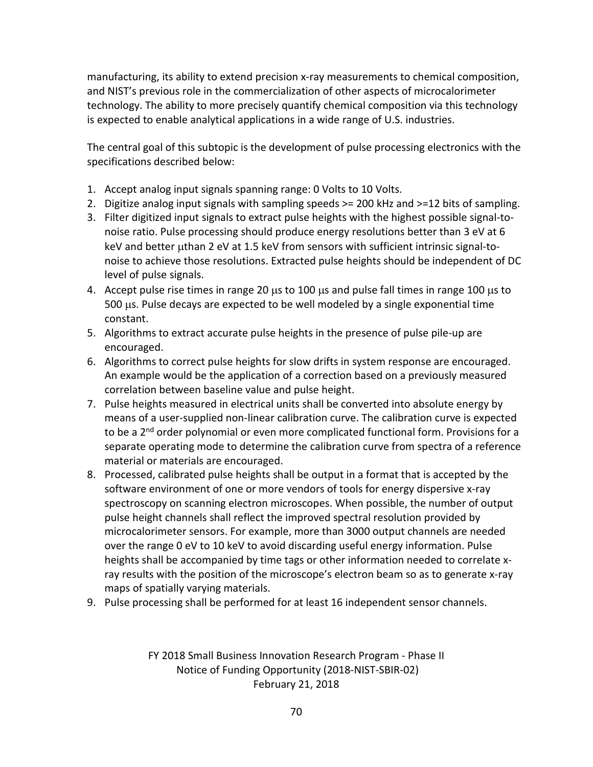manufacturing, its ability to extend precision x-ray measurements to chemical composition, and NIST's previous role in the commercialization of other aspects of microcalorimeter technology. The ability to more precisely quantify chemical composition via this technology is expected to enable analytical applications in a wide range of U.S. industries.

The central goal of this subtopic is the development of pulse processing electronics with the specifications described below:

- 1. Accept analog input signals spanning range: 0 Volts to 10 Volts.
- 2. Digitize analog input signals with sampling speeds >= 200 kHz and >=12 bits of sampling.
- 3. Filter digitized input signals to extract pulse heights with the highest possible signal-tonoise ratio. Pulse processing should produce energy resolutions better than 3 eV at 6 keV and better  $\mu$ than 2 eV at 1.5 keV from sensors with sufficient intrinsic signal-tonoise to achieve those resolutions. Extracted pulse heights should be independent of DC level of pulse signals.
- 4. Accept pulse rise times in range 20 µs to 100 µs and pulse fall times in range 100 µs to 500 µs. Pulse decays are expected to be well modeled by a single exponential time constant.
- 5. Algorithms to extract accurate pulse heights in the presence of pulse pile-up are encouraged.
- 6. Algorithms to correct pulse heights for slow drifts in system response are encouraged. An example would be the application of a correction based on a previously measured correlation between baseline value and pulse height.
- 7. Pulse heights measured in electrical units shall be converted into absolute energy by means of a user-supplied non-linear calibration curve. The calibration curve is expected to be a  $2<sup>nd</sup>$  order polynomial or even more complicated functional form. Provisions for a separate operating mode to determine the calibration curve from spectra of a reference material or materials are encouraged.
- 8. Processed, calibrated pulse heights shall be output in a format that is accepted by the software environment of one or more vendors of tools for energy dispersive x-ray spectroscopy on scanning electron microscopes. When possible, the number of output pulse height channels shall reflect the improved spectral resolution provided by microcalorimeter sensors. For example, more than 3000 output channels are needed over the range 0 eV to 10 keV to avoid discarding useful energy information. Pulse heights shall be accompanied by time tags or other information needed to correlate xray results with the position of the microscope's electron beam so as to generate x-ray maps of spatially varying materials.
- 9. Pulse processing shall be performed for at least 16 independent sensor channels.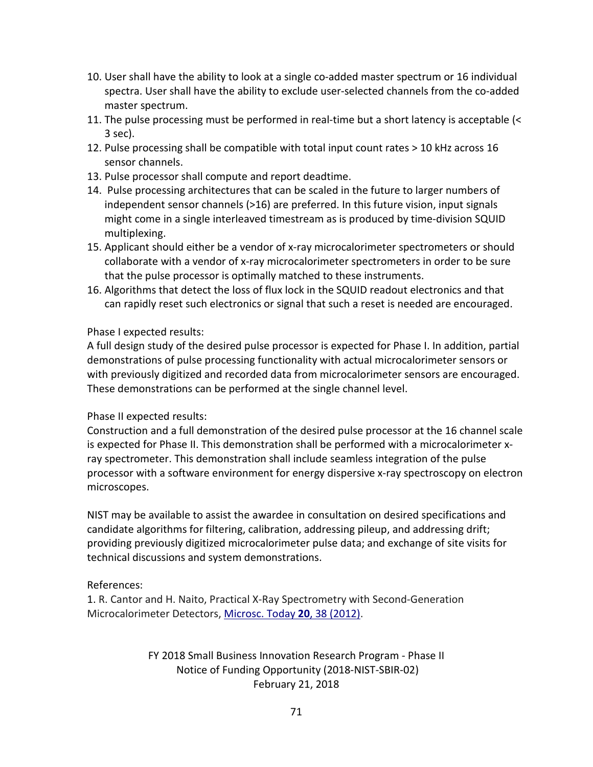- 10. User shall have the ability to look at a single co-added master spectrum or 16 individual spectra. User shall have the ability to exclude user-selected channels from the co-added master spectrum.
- 11. The pulse processing must be performed in real-time but a short latency is acceptable (< 3 sec).
- 12. Pulse processing shall be compatible with total input count rates > 10 kHz across 16 sensor channels.
- 13. Pulse processor shall compute and report deadtime.
- 14. Pulse processing architectures that can be scaled in the future to larger numbers of independent sensor channels (>16) are preferred. In this future vision, input signals might come in a single interleaved timestream as is produced by time-division SQUID multiplexing.
- 15. Applicant should either be a vendor of x-ray microcalorimeter spectrometers or should collaborate with a vendor of x-ray microcalorimeter spectrometers in order to be sure that the pulse processor is optimally matched to these instruments.
- 16. Algorithms that detect the loss of flux lock in the SQUID readout electronics and that can rapidly reset such electronics or signal that such a reset is needed are encouraged.

## Phase I expected results:

A full design study of the desired pulse processor is expected for Phase I. In addition, partial demonstrations of pulse processing functionality with actual microcalorimeter sensors or with previously digitized and recorded data from microcalorimeter sensors are encouraged. These demonstrations can be performed at the single channel level.

### Phase II expected results:

Construction and a full demonstration of the desired pulse processor at the 16 channel scale is expected for Phase II. This demonstration shall be performed with a microcalorimeter xray spectrometer. This demonstration shall include seamless integration of the pulse processor with a software environment for energy dispersive x-ray spectroscopy on electron microscopes.

NIST may be available to assist the awardee in consultation on desired specifications and candidate algorithms for filtering, calibration, addressing pileup, and addressing drift; providing previously digitized microcalorimeter pulse data; and exchange of site visits for technical discussions and system demonstrations.

## References:

1. R. Cantor and H. Naito, Practical X-Ray Spectrometry with Second-Generation Microcalorimeter Detectors, [Microsc. Today](http://dx.doi.org/10.1017/S1551929512000429) **20**, 38 (2012).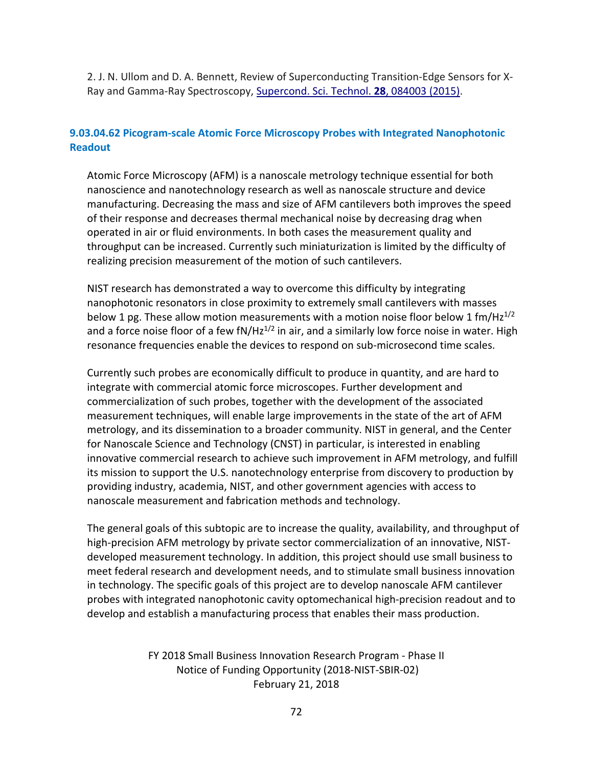2. J. N. Ullom and D. A. Bennett, Review of Superconducting Transition-Edge Sensors for X-Ray and Gamma-Ray Spectroscopy[, Supercond. Sci. Technol.](http://dx.doi.org/10.1088/0953-2048/28/8/084003) **28**, 084003 (2015).

## **9.03.04.62 Picogram-scale Atomic Force Microscopy Probes with Integrated Nanophotonic Readout**

Atomic Force Microscopy (AFM) is a nanoscale metrology technique essential for both nanoscience and nanotechnology research as well as nanoscale structure and device manufacturing. Decreasing the mass and size of AFM cantilevers both improves the speed of their response and decreases thermal mechanical noise by decreasing drag when operated in air or fluid environments. In both cases the measurement quality and throughput can be increased. Currently such miniaturization is limited by the difficulty of realizing precision measurement of the motion of such cantilevers.

NIST research has demonstrated a way to overcome this difficulty by integrating nanophotonic resonators in close proximity to extremely small cantilevers with masses below 1 pg. These allow motion measurements with a motion noise floor below 1 fm/Hz<sup>1/2</sup> and a force noise floor of a few  $fN/Hz^{1/2}$  in air, and a similarly low force noise in water. High resonance frequencies enable the devices to respond on sub-microsecond time scales.

Currently such probes are economically difficult to produce in quantity, and are hard to integrate with commercial atomic force microscopes. Further development and commercialization of such probes, together with the development of the associated measurement techniques, will enable large improvements in the state of the art of AFM metrology, and its dissemination to a broader community. NIST in general, and the Center for Nanoscale Science and Technology (CNST) in particular, is interested in enabling innovative commercial research to achieve such improvement in AFM metrology, and fulfill its mission to support the U.S. nanotechnology enterprise from discovery to production by providing industry, academia, NIST, and other government agencies with access to nanoscale measurement and fabrication methods and technology.

The general goals of this subtopic are to increase the quality, availability, and throughput of high-precision AFM metrology by private sector commercialization of an innovative, NISTdeveloped measurement technology. In addition, this project should use small business to meet federal research and development needs, and to stimulate small business innovation in technology. The specific goals of this project are to develop nanoscale AFM cantilever probes with integrated nanophotonic cavity optomechanical high-precision readout and to develop and establish a manufacturing process that enables their mass production.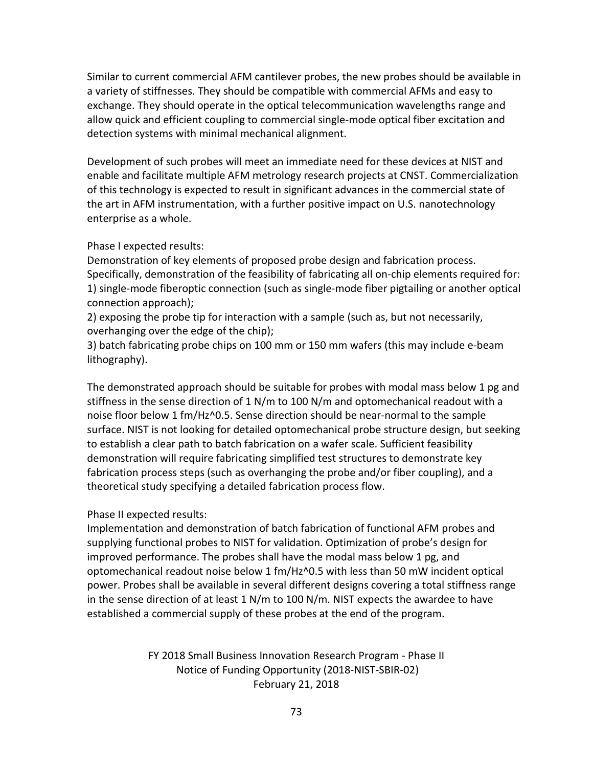Similar to current commercial AFM cantilever probes, the new probes should be available in a variety of stiffnesses. They should be compatible with commercial AFMs and easy to exchange. They should operate in the optical telecommunication wavelengths range and allow quick and efficient coupling to commercial single-mode optical fiber excitation and detection systems with minimal mechanical alignment.

Development of such probes will meet an immediate need for these devices at NIST and enable and facilitate multiple AFM metrology research projects at CNST. Commercialization of this technology is expected to result in significant advances in the commercial state of the art in AFM instrumentation, with a further positive impact on U.S. nanotechnology enterprise as a whole.

## Phase I expected results:

Demonstration of key elements of proposed probe design and fabrication process. Specifically, demonstration of the feasibility of fabricating all on-chip elements required for: 1) single-mode fiberoptic connection (such as single-mode fiber pigtailing or another optical connection approach);

2) exposing the probe tip for interaction with a sample (such as, but not necessarily, overhanging over the edge of the chip);

3) batch fabricating probe chips on 100 mm or 150 mm wafers (this may include e-beam lithography).

The demonstrated approach should be suitable for probes with modal mass below 1 pg and stiffness in the sense direction of 1 N/m to 100 N/m and optomechanical readout with a noise floor below 1 fm/Hz^0.5. Sense direction should be near-normal to the sample surface. NIST is not looking for detailed optomechanical probe structure design, but seeking to establish a clear path to batch fabrication on a wafer scale. Sufficient feasibility demonstration will require fabricating simplified test structures to demonstrate key fabrication process steps (such as overhanging the probe and/or fiber coupling), and a theoretical study specifying a detailed fabrication process flow.

## Phase II expected results:

Implementation and demonstration of batch fabrication of functional AFM probes and supplying functional probes to NIST for validation. Optimization of probe's design for improved performance. The probes shall have the modal mass below 1 pg, and optomechanical readout noise below 1 fm/Hz^0.5 with less than 50 mW incident optical power. Probes shall be available in several different designs covering a total stiffness range in the sense direction of at least 1 N/m to 100 N/m. NIST expects the awardee to have established a commercial supply of these probes at the end of the program.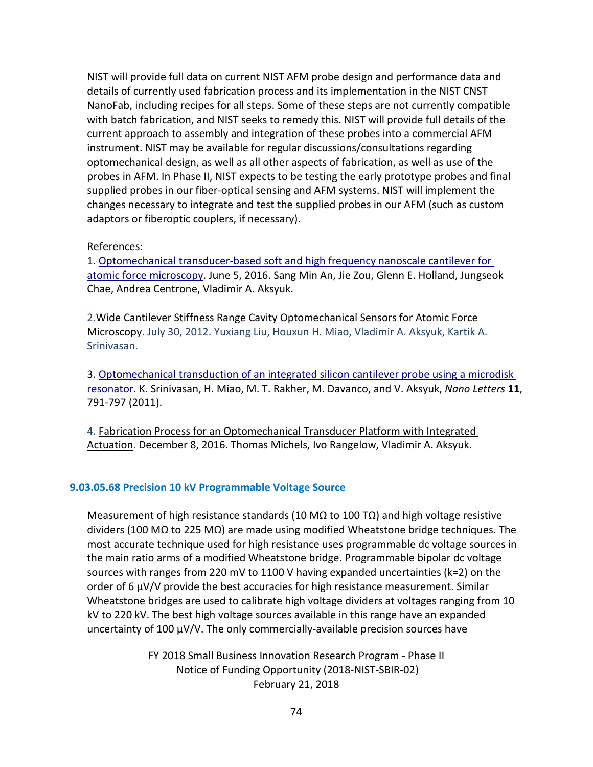NIST will provide full data on current NIST AFM probe design and performance data and details of currently used fabrication process and its implementation in the NIST CNST NanoFab, including recipes for all steps. Some of these steps are not currently compatible with batch fabrication, and NIST seeks to remedy this. NIST will provide full details of the current approach to assembly and integration of these probes into a commercial AFM instrument. NIST may be available for regular discussions/consultations regarding optomechanical design, as well as all other aspects of fabrication, as well as use of the probes in AFM. In Phase II, NIST expects to be testing the early prototype probes and final supplied probes in our fiber-optical sensing and AFM systems. NIST will implement the changes necessary to integrate and test the supplied probes in our AFM (such as custom adaptors or fiberoptic couplers, if necessary).

## References:

1. [Optomechanical transducer-based soft and high frequency nanoscale cantilever for](https://www.nist.gov/node/1099916)  [atomic force microscopy.](https://www.nist.gov/node/1099916) June 5, 2016. Sang Min An, Jie Zou, Glenn E. Holland, Jungseok Chae, Andrea Centrone, Vladimir A. Aksyuk.

2[.Wide Cantilever Stiffness Range Cavity Optomechanical Sensors for Atomic Force](https://www.nist.gov/node/587476)  [Microscopy.](https://www.nist.gov/node/587476) July 30, 2012. Yuxiang Liu, Houxun H. Miao, Vladimir A. Aksyuk, Kartik A. Srinivasan.

3. [Optomechanical transduction of an integrated silicon cantilever probe using a microdisk](https://www.nist.gov/node/589271?pub_id=906804)  [resonator.](https://www.nist.gov/node/589271?pub_id=906804) K. Srinivasan, H. Miao, M. T. Rakher, M. Davanco, and V. Aksyuk, *Nano Letters* **11**, 791-797 (2011).

4. [Fabrication Process for an Optomechanical Transducer Platform with Integrated](https://www.nist.gov/node/1125036)  [Actuation.](https://www.nist.gov/node/1125036) December 8, 2016. Thomas Michels, Ivo Rangelow, Vladimir A. Aksyuk.

## **9.03.05.68 Precision 10 kV Programmable Voltage Source**

Measurement of high resistance standards (10 MΩ to 100 TΩ) and high voltage resistive dividers (100 MΩ to 225 MΩ) are made using modified Wheatstone bridge techniques. The most accurate technique used for high resistance uses programmable dc voltage sources in the main ratio arms of a modified Wheatstone bridge. Programmable bipolar dc voltage sources with ranges from 220 mV to 1100 V having expanded uncertainties (k=2) on the order of 6  $\mu$ V/V provide the best accuracies for high resistance measurement. Similar Wheatstone bridges are used to calibrate high voltage dividers at voltages ranging from 10 kV to 220 kV. The best high voltage sources available in this range have an expanded uncertainty of 100 µV/V. The only commercially-available precision sources have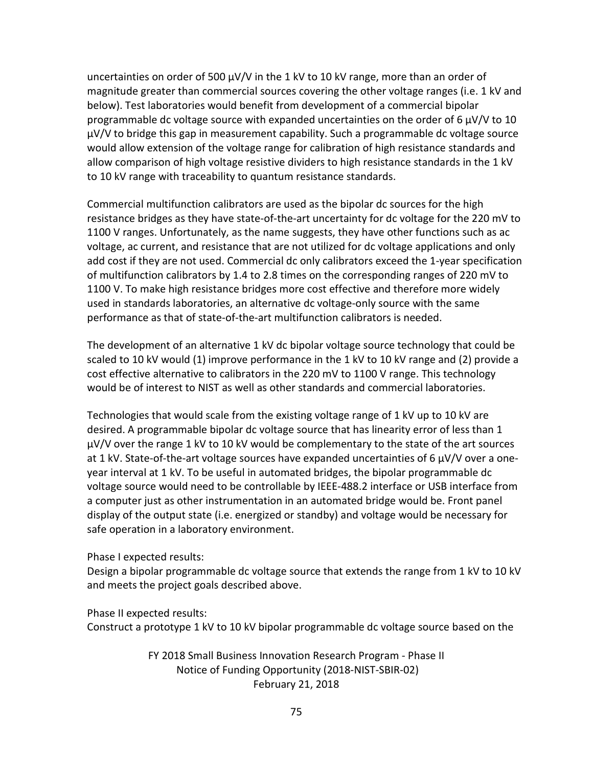uncertainties on order of 500  $\mu$ V/V in the 1 kV to 10 kV range, more than an order of magnitude greater than commercial sources covering the other voltage ranges (i.e. 1 kV and below). Test laboratories would benefit from development of a commercial bipolar programmable dc voltage source with expanded uncertainties on the order of 6  $\mu$ V/V to 10 µV/V to bridge this gap in measurement capability. Such a programmable dc voltage source would allow extension of the voltage range for calibration of high resistance standards and allow comparison of high voltage resistive dividers to high resistance standards in the 1 kV to 10 kV range with traceability to quantum resistance standards.

Commercial multifunction calibrators are used as the bipolar dc sources for the high resistance bridges as they have state-of-the-art uncertainty for dc voltage for the 220 mV to 1100 V ranges. Unfortunately, as the name suggests, they have other functions such as ac voltage, ac current, and resistance that are not utilized for dc voltage applications and only add cost if they are not used. Commercial dc only calibrators exceed the 1-year specification of multifunction calibrators by 1.4 to 2.8 times on the corresponding ranges of 220 mV to 1100 V. To make high resistance bridges more cost effective and therefore more widely used in standards laboratories, an alternative dc voltage-only source with the same performance as that of state-of-the-art multifunction calibrators is needed.

The development of an alternative 1 kV dc bipolar voltage source technology that could be scaled to 10 kV would (1) improve performance in the 1 kV to 10 kV range and (2) provide a cost effective alternative to calibrators in the 220 mV to 1100 V range. This technology would be of interest to NIST as well as other standards and commercial laboratories.

Technologies that would scale from the existing voltage range of 1 kV up to 10 kV are desired. A programmable bipolar dc voltage source that has linearity error of less than 1  $\mu$ V/V over the range 1 kV to 10 kV would be complementary to the state of the art sources at 1 kV. State-of-the-art voltage sources have expanded uncertainties of 6 µV/V over a oneyear interval at 1 kV. To be useful in automated bridges, the bipolar programmable dc voltage source would need to be controllable by IEEE-488.2 interface or USB interface from a computer just as other instrumentation in an automated bridge would be. Front panel display of the output state (i.e. energized or standby) and voltage would be necessary for safe operation in a laboratory environment.

Phase I expected results:

Design a bipolar programmable dc voltage source that extends the range from 1 kV to 10 kV and meets the project goals described above.

Phase II expected results:

Construct a prototype 1 kV to 10 kV bipolar programmable dc voltage source based on the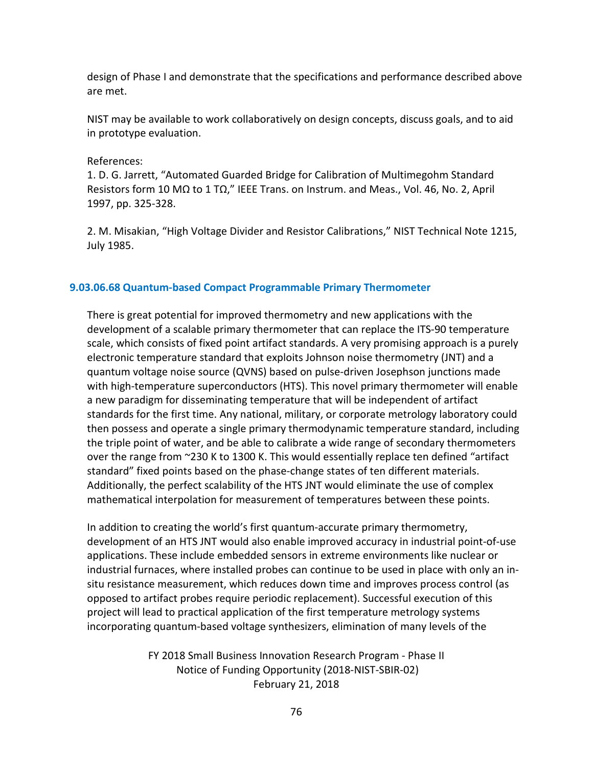design of Phase I and demonstrate that the specifications and performance described above are met.

NIST may be available to work collaboratively on design concepts, discuss goals, and to aid in prototype evaluation.

### References:

1. D. G. Jarrett, "Automated Guarded Bridge for Calibration of Multimegohm Standard Resistors form 10 MΩ to 1 TΩ," IEEE Trans. on Instrum. and Meas., Vol. 46, No. 2, April 1997, pp. 325-328.

2. M. Misakian, "High Voltage Divider and Resistor Calibrations," NIST Technical Note 1215, July 1985.

## **9.03.06.68 Quantum-based Compact Programmable Primary Thermometer**

There is great potential for improved thermometry and new applications with the development of a scalable primary thermometer that can replace the ITS-90 temperature scale, which consists of fixed point artifact standards. A very promising approach is a purely electronic temperature standard that exploits Johnson noise thermometry (JNT) and a quantum voltage noise source (QVNS) based on pulse-driven Josephson junctions made with high-temperature superconductors (HTS). This novel primary thermometer will enable a new paradigm for disseminating temperature that will be independent of artifact standards for the first time. Any national, military, or corporate metrology laboratory could then possess and operate a single primary thermodynamic temperature standard, including the triple point of water, and be able to calibrate a wide range of secondary thermometers over the range from ~230 K to 1300 K. This would essentially replace ten defined "artifact standard" fixed points based on the phase-change states of ten different materials. Additionally, the perfect scalability of the HTS JNT would eliminate the use of complex mathematical interpolation for measurement of temperatures between these points.

In addition to creating the world's first quantum-accurate primary thermometry, development of an HTS JNT would also enable improved accuracy in industrial point-of-use applications. These include embedded sensors in extreme environments like nuclear or industrial furnaces, where installed probes can continue to be used in place with only an insitu resistance measurement, which reduces down time and improves process control (as opposed to artifact probes require periodic replacement). Successful execution of this project will lead to practical application of the first temperature metrology systems incorporating quantum-based voltage synthesizers, elimination of many levels of the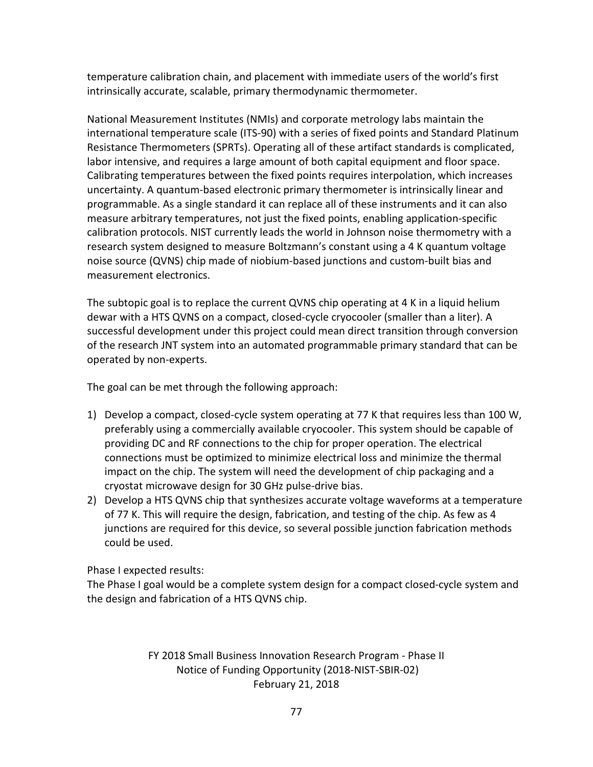temperature calibration chain, and placement with immediate users of the world's first intrinsically accurate, scalable, primary thermodynamic thermometer.

National Measurement Institutes (NMIs) and corporate metrology labs maintain the international temperature scale (ITS-90) with a series of fixed points and Standard Platinum Resistance Thermometers (SPRTs). Operating all of these artifact standards is complicated, labor intensive, and requires a large amount of both capital equipment and floor space. Calibrating temperatures between the fixed points requires interpolation, which increases uncertainty. A quantum-based electronic primary thermometer is intrinsically linear and programmable. As a single standard it can replace all of these instruments and it can also measure arbitrary temperatures, not just the fixed points, enabling application-specific calibration protocols. NIST currently leads the world in Johnson noise thermometry with a research system designed to measure Boltzmann's constant using a 4 K quantum voltage noise source (QVNS) chip made of niobium-based junctions and custom-built bias and measurement electronics.

The subtopic goal is to replace the current QVNS chip operating at 4 K in a liquid helium dewar with a HTS QVNS on a compact, closed-cycle cryocooler (smaller than a liter). A successful development under this project could mean direct transition through conversion of the research JNT system into an automated programmable primary standard that can be operated by non-experts.

The goal can be met through the following approach:

- 1) Develop a compact, closed-cycle system operating at 77 K that requires less than 100 W, preferably using a commercially available cryocooler. This system should be capable of providing DC and RF connections to the chip for proper operation. The electrical connections must be optimized to minimize electrical loss and minimize the thermal impact on the chip. The system will need the development of chip packaging and a cryostat microwave design for 30 GHz pulse-drive bias.
- 2) Develop a HTS QVNS chip that synthesizes accurate voltage waveforms at a temperature of 77 K. This will require the design, fabrication, and testing of the chip. As few as 4 junctions are required for this device, so several possible junction fabrication methods could be used.

Phase I expected results:

The Phase I goal would be a complete system design for a compact closed-cycle system and the design and fabrication of a HTS QVNS chip.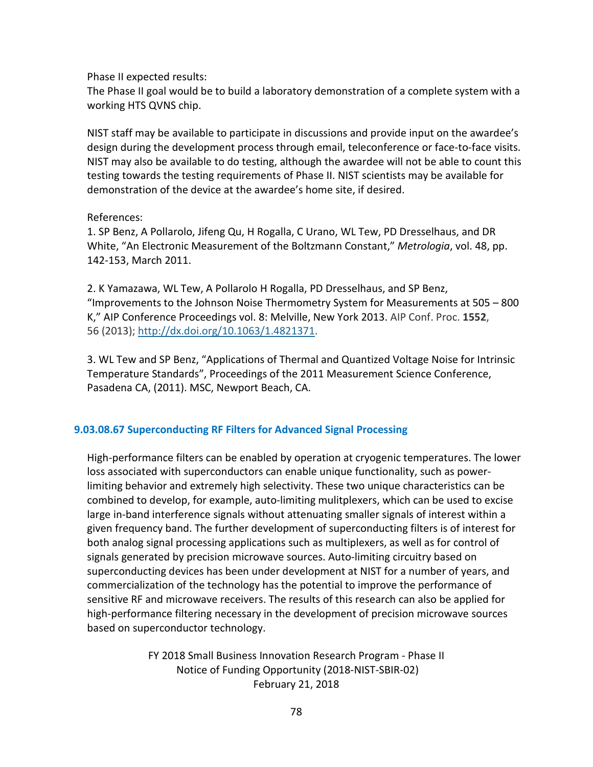Phase II expected results:

The Phase II goal would be to build a laboratory demonstration of a complete system with a working HTS QVNS chip.

NIST staff may be available to participate in discussions and provide input on the awardee's design during the development process through email, teleconference or face-to-face visits. NIST may also be available to do testing, although the awardee will not be able to count this testing towards the testing requirements of Phase II. NIST scientists may be available for demonstration of the device at the awardee's home site, if desired.

References:

1. SP Benz, A Pollarolo, Jifeng Qu, H Rogalla, C Urano, WL Tew, PD Dresselhaus, and DR White, "An Electronic Measurement of the Boltzmann Constant," *Metrologia*, vol. 48, pp. 142-153, March 2011.

2. K Yamazawa, WL Tew, A Pollarolo H Rogalla, PD Dresselhaus, and SP Benz, "Improvements to the Johnson Noise Thermometry System for Measurements at 505 – 800 K," AIP Conference Proceedings vol. 8: Melville, New York 2013. AIP Conf. Proc. **1552**, 56 (2013); [http://dx.doi.org/10.1063/1.4821371.](http://dx.doi.org/10.1063/1.4821371)

3. WL Tew and SP Benz, "Applications of Thermal and Quantized Voltage Noise for Intrinsic Temperature Standards", Proceedings of the 2011 Measurement Science Conference, Pasadena CA, (2011). MSC, Newport Beach, CA.

## **9.03.08.67 Superconducting RF Filters for Advanced Signal Processing**

High-performance filters can be enabled by operation at cryogenic temperatures. The lower loss associated with superconductors can enable unique functionality, such as powerlimiting behavior and extremely high selectivity. These two unique characteristics can be combined to develop, for example, auto-limiting mulitplexers, which can be used to excise large in-band interference signals without attenuating smaller signals of interest within a given frequency band. The further development of superconducting filters is of interest for both analog signal processing applications such as multiplexers, as well as for control of signals generated by precision microwave sources. Auto-limiting circuitry based on superconducting devices has been under development at NIST for a number of years, and commercialization of the technology has the potential to improve the performance of sensitive RF and microwave receivers. The results of this research can also be applied for high-performance filtering necessary in the development of precision microwave sources based on superconductor technology.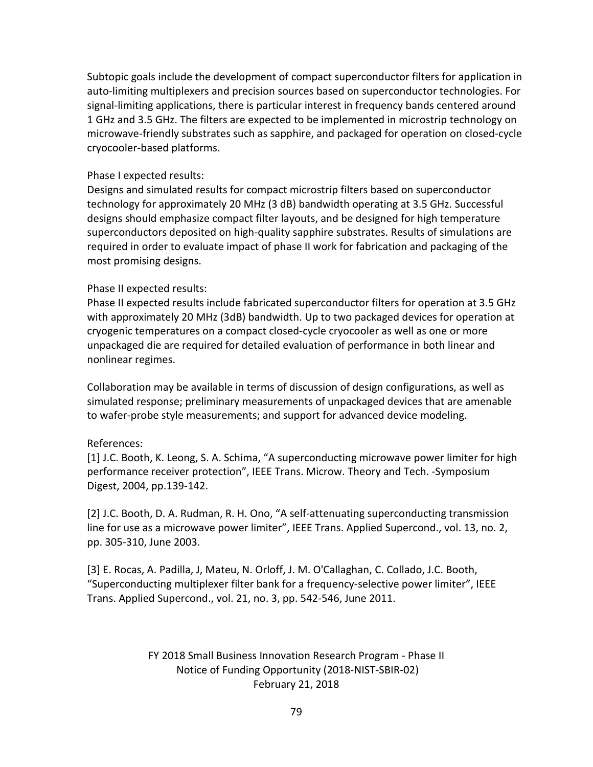Subtopic goals include the development of compact superconductor filters for application in auto-limiting multiplexers and precision sources based on superconductor technologies. For signal-limiting applications, there is particular interest in frequency bands centered around 1 GHz and 3.5 GHz. The filters are expected to be implemented in microstrip technology on microwave-friendly substrates such as sapphire, and packaged for operation on closed-cycle cryocooler-based platforms.

### Phase I expected results:

Designs and simulated results for compact microstrip filters based on superconductor technology for approximately 20 MHz (3 dB) bandwidth operating at 3.5 GHz. Successful designs should emphasize compact filter layouts, and be designed for high temperature superconductors deposited on high-quality sapphire substrates. Results of simulations are required in order to evaluate impact of phase II work for fabrication and packaging of the most promising designs.

## Phase II expected results:

Phase II expected results include fabricated superconductor filters for operation at 3.5 GHz with approximately 20 MHz (3dB) bandwidth. Up to two packaged devices for operation at cryogenic temperatures on a compact closed-cycle cryocooler as well as one or more unpackaged die are required for detailed evaluation of performance in both linear and nonlinear regimes.

Collaboration may be available in terms of discussion of design configurations, as well as simulated response; preliminary measurements of unpackaged devices that are amenable to wafer-probe style measurements; and support for advanced device modeling.

## References:

[1] J.C. Booth, K. Leong, S. A. Schima, "A superconducting microwave power limiter for high performance receiver protection", IEEE Trans. Microw. Theory and Tech. -Symposium Digest, 2004, pp.139-142.

[2] J.C. Booth, D. A. Rudman, R. H. Ono, "A self-attenuating superconducting transmission line for use as a microwave power limiter", IEEE Trans. Applied Supercond., vol. 13, no. 2, pp. 305-310, June 2003.

[3] E. Rocas, A. Padilla, J, Mateu, N. Orloff, J. M. O'Callaghan, C. Collado, J.C. Booth, "Superconducting multiplexer filter bank for a frequency-selective power limiter", IEEE Trans. Applied Supercond., vol. 21, no. 3, pp. 542-546, June 2011.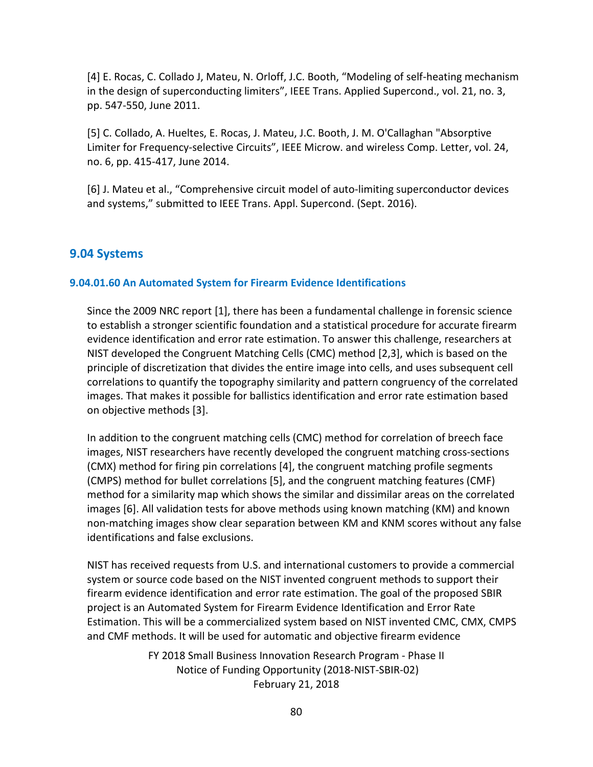[4] E. Rocas, C. Collado J, Mateu, N. Orloff, J.C. Booth, "Modeling of self-heating mechanism in the design of superconducting limiters", IEEE Trans. Applied Supercond., vol. 21, no. 3, pp. 547-550, June 2011.

[5] C. Collado, A. Hueltes, E. Rocas, J. Mateu, J.C. Booth, J. M. O'Callaghan "Absorptive Limiter for Frequency-selective Circuits", IEEE Microw. and wireless Comp. Letter, vol. 24, no. 6, pp. 415-417, June 2014.

[6] J. Mateu et al., "Comprehensive circuit model of auto-limiting superconductor devices and systems," submitted to IEEE Trans. Appl. Supercond. (Sept. 2016)[.](#page-101-0)

# **9.04 Systems**

## **9.04.01.60 An Automated System for Firearm Evidence Identifications**

Since the 2009 NRC report [1], there has been a fundamental challenge in forensic science to establish a stronger scientific foundation and a statistical procedure for accurate firearm evidence identification and error rate estimation. To answer this challenge, researchers at NIST developed the Congruent Matching Cells (CMC) method [2,3], which is based on the principle of discretization that divides the entire image into cells, and uses subsequent cell correlations to quantify the topography similarity and pattern congruency of the correlated images. That makes it possible for ballistics identification and error rate estimation based on objective methods [3].

In addition to the congruent matching cells (CMC) method for correlation of breech face images, NIST researchers have recently developed the congruent matching cross-sections (CMX) method for firing pin correlations [4], the congruent matching profile segments (CMPS) method for bullet correlations [5], and the congruent matching features (CMF) method for a similarity map which shows the similar and dissimilar areas on the correlated images [6]. All validation tests for above methods using known matching (KM) and known non-matching images show clear separation between KM and KNM scores without any false identifications and false exclusions.

NIST has received requests from U.S. and international customers to provide a commercial system or source code based on the NIST invented congruent methods to support their firearm evidence identification and error rate estimation. The goal of the proposed SBIR project is an Automated System for Firearm Evidence Identification and Error Rate Estimation. This will be a commercialized system based on NIST invented CMC, CMX, CMPS and CMF methods. It will be used for automatic and objective firearm evidence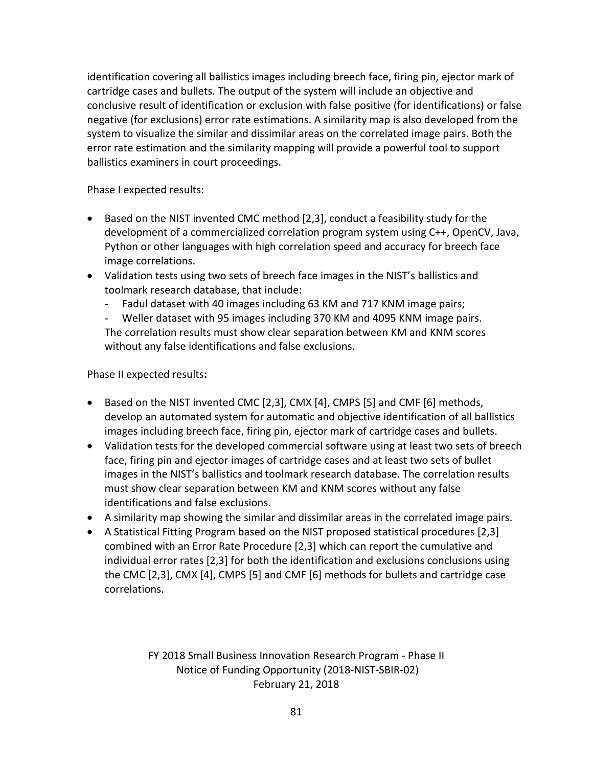identification covering all ballistics images including breech face, firing pin, ejector mark of cartridge cases and bullets. The output of the system will include an objective and conclusive result of identification or exclusion with false positive (for identifications) or false negative (for exclusions) error rate estimations. A similarity map is also developed from the system to visualize the similar and dissimilar areas on the correlated image pairs. Both the error rate estimation and the similarity mapping will provide a powerful tool to support ballistics examiners in court proceedings.

Phase I expected results:

- Based on the NIST invented CMC method [2,3], conduct a feasibility study for the development of a commercialized correlation program system using C++, OpenCV, Java, Python or other languages with high correlation speed and accuracy for breech face image correlations.
- Validation tests using two sets of breech face images in the NIST's ballistics and toolmark research database, that include:
	- Fadul dataset with 40 images including 63 KM and 717 KNM image pairs;

- Weller dataset with 95 images including 370 KM and 4095 KNM image pairs. The correlation results must show clear separation between KM and KNM scores without any false identifications and false exclusions.

Phase II expected results**:**

- Based on the NIST invented CMC [2,3], CMX [4], CMPS [5] and CMF [6] methods, develop an automated system for automatic and objective identification of all ballistics images including breech face, firing pin, ejector mark of cartridge cases and bullets.
- Validation tests for the developed commercial software using at least two sets of breech face, firing pin and ejector images of cartridge cases and at least two sets of bullet images in the NIST's ballistics and toolmark research database. The correlation results must show clear separation between KM and KNM scores without any false identifications and false exclusions.
- A similarity map showing the similar and dissimilar areas in the correlated image pairs.
- A Statistical Fitting Program based on the NIST proposed statistical procedures [2,3] combined with an Error Rate Procedure [2,3] which can report the cumulative and individual error rates [2,3] for both the identification and exclusions conclusions using the CMC [2,3], CMX [4], CMPS [5] and CMF [6] methods for bullets and cartridge case correlations.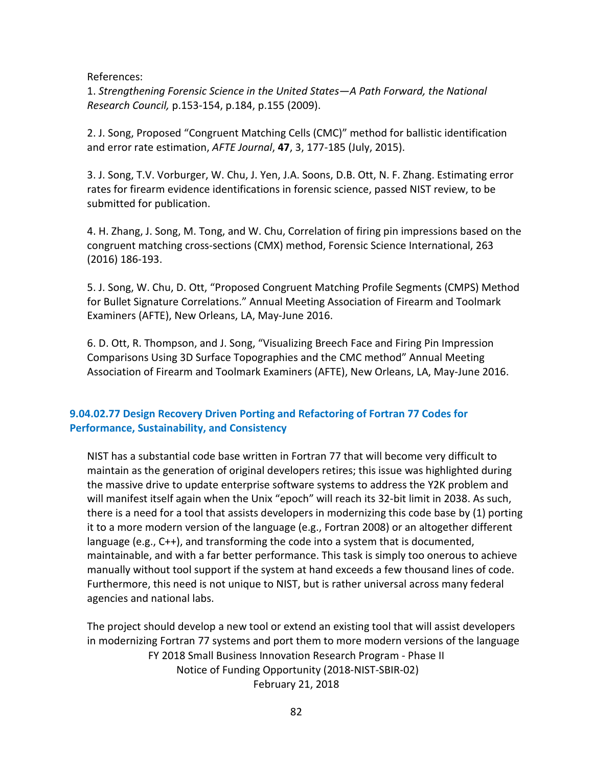### References:

1. *Strengthening Forensic Science in the United States—A Path Forward, the National Research Council,* p.153-154, p.184, p.155 (2009).

2. J. Song, Proposed "Congruent Matching Cells (CMC)" method for ballistic identification and error rate estimation, *AFTE Journal*, **47**, 3, 177-185 (July, 2015).

3. J. Song, T.V. Vorburger, W. Chu, J. Yen, J.A. Soons, D.B. Ott, N. F. Zhang. Estimating error rates for firearm evidence identifications in forensic science, passed NIST review, to be submitted for publication.

4. H. Zhang, J. Song, M. Tong, and W. Chu, Correlation of firing pin impressions based on the congruent matching cross-sections (CMX) method, Forensic Science International, 263 (2016) 186-193.

5. J. Song, W. Chu, D. Ott, "Proposed Congruent Matching Profile Segments (CMPS) Method for Bullet Signature Correlations." Annual Meeting Association of Firearm and Toolmark Examiners (AFTE), New Orleans, LA, May-June 2016.

6. D. Ott, R. Thompson, and J. Song, "Visualizing Breech Face and Firing Pin Impression Comparisons Using 3D Surface Topographies and the CMC method" Annual Meeting Association of Firearm and Toolmark Examiners (AFTE), New Orleans, LA, May-June 2016.

## **9.04.02.77 Design Recovery Driven Porting and Refactoring of Fortran 77 Codes for Performance, Sustainability, and Consistency**

NIST has a substantial code base written in Fortran 77 that will become very difficult to maintain as the generation of original developers retires; this issue was highlighted during the massive drive to update enterprise software systems to address the Y2K problem and will manifest itself again when the Unix "epoch" will reach its 32-bit limit in 2038. As such, there is a need for a tool that assists developers in modernizing this code base by (1) porting it to a more modern version of the language (e.g., Fortran 2008) or an altogether different language (e.g., C++), and transforming the code into a system that is documented, maintainable, and with a far better performance. This task is simply too onerous to achieve manually without tool support if the system at hand exceeds a few thousand lines of code. Furthermore, this need is not unique to NIST, but is rather universal across many federal agencies and national labs.

FY 2018 Small Business Innovation Research Program - Phase II Notice of Funding Opportunity (2018-NIST-SBIR-02) February 21, 2018 The project should develop a new tool or extend an existing tool that will assist developers in modernizing Fortran 77 systems and port them to more modern versions of the language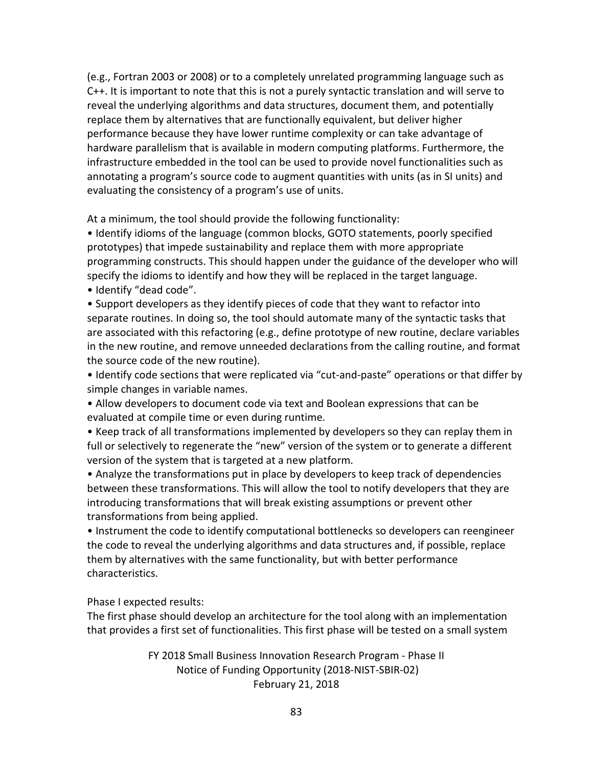(e.g., Fortran 2003 or 2008) or to a completely unrelated programming language such as C++. It is important to note that this is not a purely syntactic translation and will serve to reveal the underlying algorithms and data structures, document them, and potentially replace them by alternatives that are functionally equivalent, but deliver higher performance because they have lower runtime complexity or can take advantage of hardware parallelism that is available in modern computing platforms. Furthermore, the infrastructure embedded in the tool can be used to provide novel functionalities such as annotating a program's source code to augment quantities with units (as in SI units) and evaluating the consistency of a program's use of units.

At a minimum, the tool should provide the following functionality:

• Identify idioms of the language (common blocks, GOTO statements, poorly specified prototypes) that impede sustainability and replace them with more appropriate programming constructs. This should happen under the guidance of the developer who will specify the idioms to identify and how they will be replaced in the target language.

• Identify "dead code".

• Support developers as they identify pieces of code that they want to refactor into separate routines. In doing so, the tool should automate many of the syntactic tasks that are associated with this refactoring (e.g., define prototype of new routine, declare variables in the new routine, and remove unneeded declarations from the calling routine, and format the source code of the new routine).

• Identify code sections that were replicated via "cut-and-paste" operations or that differ by simple changes in variable names.

• Allow developers to document code via text and Boolean expressions that can be evaluated at compile time or even during runtime.

• Keep track of all transformations implemented by developers so they can replay them in full or selectively to regenerate the "new" version of the system or to generate a different version of the system that is targeted at a new platform.

• Analyze the transformations put in place by developers to keep track of dependencies between these transformations. This will allow the tool to notify developers that they are introducing transformations that will break existing assumptions or prevent other transformations from being applied.

• Instrument the code to identify computational bottlenecks so developers can reengineer the code to reveal the underlying algorithms and data structures and, if possible, replace them by alternatives with the same functionality, but with better performance characteristics.

Phase I expected results:

The first phase should develop an architecture for the tool along with an implementation that provides a first set of functionalities. This first phase will be tested on a small system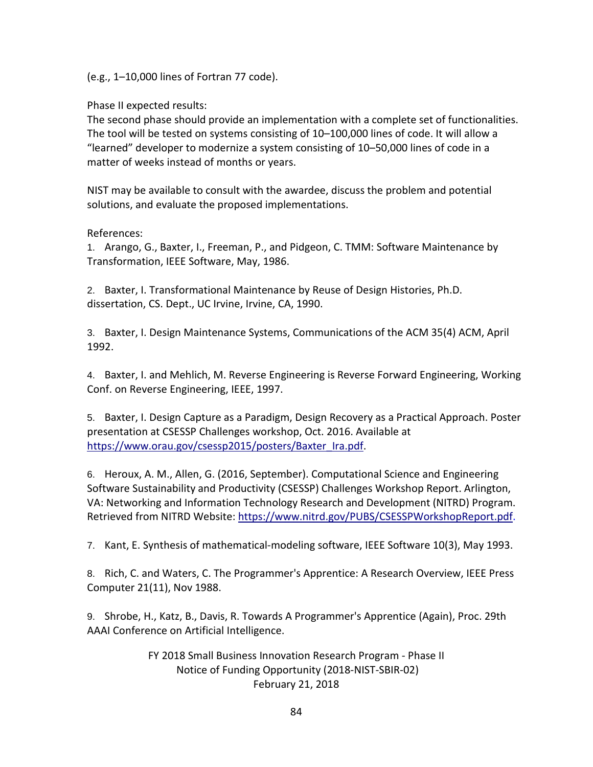(e.g., 1–10,000 lines of Fortran 77 code).

Phase II expected results:

The second phase should provide an implementation with a complete set of functionalities. The tool will be tested on systems consisting of 10–100,000 lines of code. It will allow a "learned" developer to modernize a system consisting of 10–50,000 lines of code in a matter of weeks instead of months or years.

NIST may be available to consult with the awardee, discuss the problem and potential solutions, and evaluate the proposed implementations.

References:

1. Arango, G., Baxter, I., Freeman, P., and Pidgeon, C. TMM: Software Maintenance by Transformation, IEEE Software, May, 1986.

2. Baxter, I. Transformational Maintenance by Reuse of Design Histories, Ph.D. dissertation, CS. Dept., UC Irvine, Irvine, CA, 1990.

3. Baxter, I. Design Maintenance Systems, Communications of the ACM 35(4) ACM, April 1992.

4. Baxter, I. and Mehlich, M. Reverse Engineering is Reverse Forward Engineering, Working Conf. on Reverse Engineering, IEEE, 1997.

5. Baxter, I. Design Capture as a Paradigm, Design Recovery as a Practical Approach. Poster presentation at CSESSP Challenges workshop, Oct. 2016. Available at [https://www.orau.gov/csessp2015/posters/Baxter\\_Ira.pdf.](https://www.orau.gov/csessp2015/posters/Baxter_Ira.pdf)

6. Heroux, A. M., Allen, G. (2016, September). Computational Science and Engineering Software Sustainability and Productivity (CSESSP) Challenges Workshop Report. Arlington, VA: Networking and Information Technology Research and Development (NITRD) Program. Retrieved from NITRD Website: [https://www.nitrd.gov/PUBS/CSESSPWorkshopReport.pdf.](https://www.nitrd.gov/PUBS/CSESSPWorkshopReport.pdf)

7. Kant, E. Synthesis of mathematical-modeling software, IEEE Software 10(3), May 1993.

8. Rich, C. and Waters, C. The Programmer's Apprentice: A Research Overview, IEEE Press Computer 21(11), Nov 1988.

9. Shrobe, H., Katz, B., Davis, R. Towards A Programmer's Apprentice (Again), Proc. 29th AAAI Conference on Artificial Intelligence.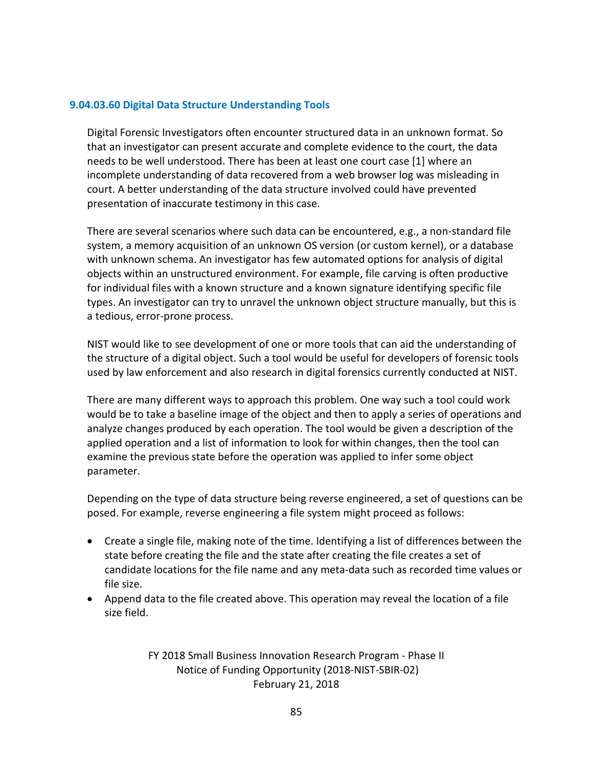## **9.04.03.60 Digital Data Structure Understanding Tools**

Digital Forensic Investigators often encounter structured data in an unknown format. So that an investigator can present accurate and complete evidence to the court, the data needs to be well understood. There has been at least one court case [1] where an incomplete understanding of data recovered from a web browser log was misleading in court. A better understanding of the data structure involved could have prevented presentation of inaccurate testimony in this case.

There are several scenarios where such data can be encountered, e.g., a non-standard file system, a memory acquisition of an unknown OS version (or custom kernel), or a database with unknown schema. An investigator has few automated options for analysis of digital objects within an unstructured environment. For example, file carving is often productive for individual files with a known structure and a known signature identifying specific file types. An investigator can try to unravel the unknown object structure manually, but this is a tedious, error-prone process.

NIST would like to see development of one or more tools that can aid the understanding of the structure of a digital object. Such a tool would be useful for developers of forensic tools used by law enforcement and also research in digital forensics currently conducted at NIST.

There are many different ways to approach this problem. One way such a tool could work would be to take a baseline image of the object and then to apply a series of operations and analyze changes produced by each operation. The tool would be given a description of the applied operation and a list of information to look for within changes, then the tool can examine the previous state before the operation was applied to infer some object parameter.

Depending on the type of data structure being reverse engineered, a set of questions can be posed. For example, reverse engineering a file system might proceed as follows:

- Create a single file, making note of the time. Identifying a list of differences between the state before creating the file and the state after creating the file creates a set of candidate locations for the file name and any meta-data such as recorded time values or file size.
- Append data to the file created above. This operation may reveal the location of a file size field.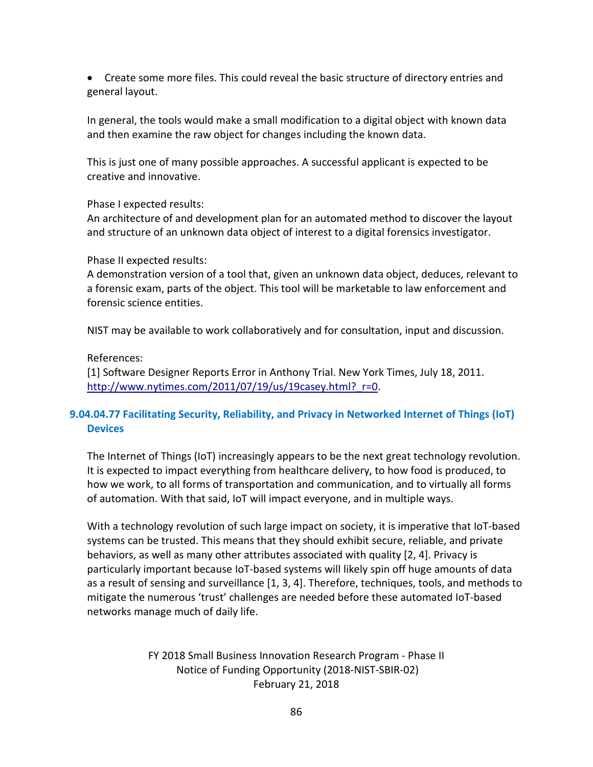• Create some more files. This could reveal the basic structure of directory entries and general layout.

In general, the tools would make a small modification to a digital object with known data and then examine the raw object for changes including the known data.

This is just one of many possible approaches. A successful applicant is expected to be creative and innovative.

Phase I expected results:

An architecture of and development plan for an automated method to discover the layout and structure of an unknown data object of interest to a digital forensics investigator.

Phase II expected results:

A demonstration version of a tool that, given an unknown data object, deduces, relevant to a forensic exam, parts of the object. This tool will be marketable to law enforcement and forensic science entities.

NIST may be available to work collaboratively and for consultation, input and discussion.

## References:

[1] Software Designer Reports Error in Anthony Trial. New York Times, July 18, 2011. http://www.nytimes.com/2011/07/19/us/19casey.html? r=0.

# **9.04.04.77 Facilitating Security, Reliability, and Privacy in Networked Internet of Things (IoT) Devices**

The Internet of Things (IoT) increasingly appears to be the next great technology revolution. It is expected to impact everything from healthcare delivery, to how food is produced, to how we work, to all forms of transportation and communication, and to virtually all forms of automation. With that said, IoT will impact everyone, and in multiple ways.

With a technology revolution of such large impact on society, it is imperative that IoT-based systems can be trusted. This means that they should exhibit secure, reliable, and private behaviors, as well as many other attributes associated with quality [2, 4]. Privacy is particularly important because IoT-based systems will likely spin off huge amounts of data as a result of sensing and surveillance [1, 3, 4]. Therefore, techniques, tools, and methods to mitigate the numerous 'trust' challenges are needed before these automated IoT-based networks manage much of daily life.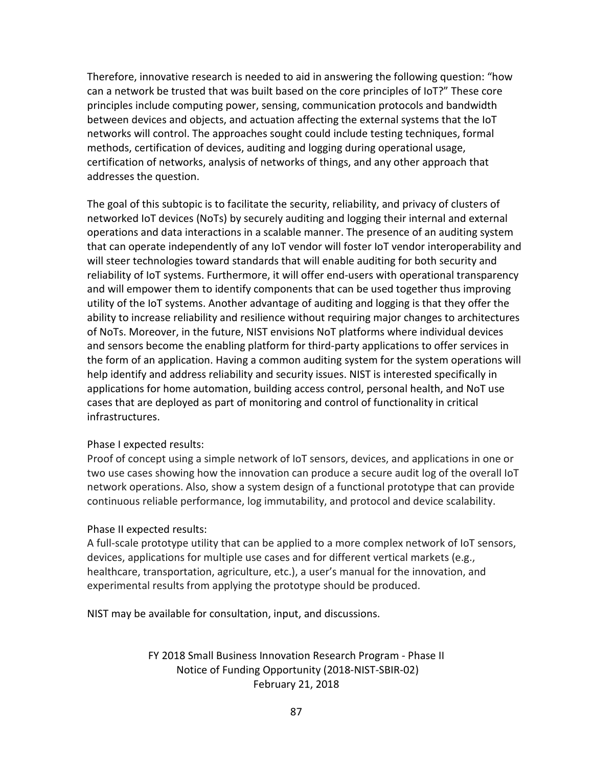Therefore, innovative research is needed to aid in answering the following question: "how can a network be trusted that was built based on the core principles of IoT?" These core principles include computing power, sensing, communication protocols and bandwidth between devices and objects, and actuation affecting the external systems that the IoT networks will control. The approaches sought could include testing techniques, formal methods, certification of devices, auditing and logging during operational usage, certification of networks, analysis of networks of things, and any other approach that addresses the question.

The goal of this subtopic is to facilitate the security, reliability, and privacy of clusters of networked IoT devices (NoTs) by securely auditing and logging their internal and external operations and data interactions in a scalable manner. The presence of an auditing system that can operate independently of any IoT vendor will foster IoT vendor interoperability and will steer technologies toward standards that will enable auditing for both security and reliability of IoT systems. Furthermore, it will offer end-users with operational transparency and will empower them to identify components that can be used together thus improving utility of the IoT systems. Another advantage of auditing and logging is that they offer the ability to increase reliability and resilience without requiring major changes to architectures of NoTs. Moreover, in the future, NIST envisions NoT platforms where individual devices and sensors become the enabling platform for third-party applications to offer services in the form of an application. Having a common auditing system for the system operations will help identify and address reliability and security issues. NIST is interested specifically in applications for home automation, building access control, personal health, and NoT use cases that are deployed as part of monitoring and control of functionality in critical infrastructures.

## Phase I expected results:

Proof of concept using a simple network of IoT sensors, devices, and applications in one or two use cases showing how the innovation can produce a secure audit log of the overall IoT network operations. Also, show a system design of a functional prototype that can provide continuous reliable performance, log immutability, and protocol and device scalability.

### Phase II expected results:

A full-scale prototype utility that can be applied to a more complex network of IoT sensors, devices, applications for multiple use cases and for different vertical markets (e.g., healthcare, transportation, agriculture, etc.), a user's manual for the innovation, and experimental results from applying the prototype should be produced.

NIST may be available for consultation, input, and discussions.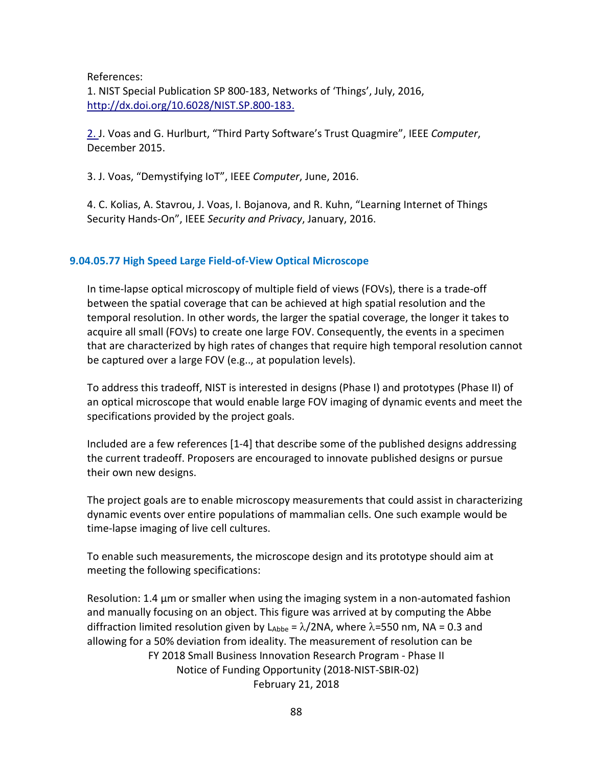References:

1. NIST Special Publication SP 800-183, Networks of 'Things', July, 2016, [http://dx.doi.org/10.6028/NIST.SP.800-183.](http://dx.doi.org/10.6028/NIST.SP.800-183)

2. J. Voas and G. Hurlburt, "Third Party Software's Trust Quagmire", IEEE *Computer*, December 2015.

3. J. Voas, "Demystifying IoT", IEEE *Computer*, June, 2016.

4. C. Kolias, A. Stavrou, J. Voas, I. Bojanova, and R. Kuhn, "Learning Internet of Things Security Hands-On", IEEE *Security and Privacy*, January, 2016.

## **9.04.05.77 High Speed Large Field-of-View Optical Microscope**

In time-lapse optical microscopy of multiple field of views (FOVs), there is a trade-off between the spatial coverage that can be achieved at high spatial resolution and the temporal resolution. In other words, the larger the spatial coverage, the longer it takes to acquire all small (FOVs) to create one large FOV. Consequently, the events in a specimen that are characterized by high rates of changes that require high temporal resolution cannot be captured over a large FOV (e.g.., at population levels).

To address this tradeoff, NIST is interested in designs (Phase I) and prototypes (Phase II) of an optical microscope that would enable large FOV imaging of dynamic events and meet the specifications provided by the project goals.

Included are a few references [1-4] that describe some of the published designs addressing the current tradeoff. Proposers are encouraged to innovate published designs or pursue their own new designs.

The project goals are to enable microscopy measurements that could assist in characterizing dynamic events over entire populations of mammalian cells. One such example would be time-lapse imaging of live cell cultures.

To enable such measurements, the microscope design and its prototype should aim at meeting the following specifications:

FY 2018 Small Business Innovation Research Program - Phase II Notice of Funding Opportunity (2018-NIST-SBIR-02) February 21, 2018 Resolution: 1.4 µm or smaller when using the imaging system in a non-automated fashion and manually focusing on an object. This figure was arrived at by computing the Abbe diffraction limited resolution given by L<sub>Abbe</sub> =  $\lambda$ /2NA, where  $\lambda$ =550 nm, NA = 0.3 and allowing for a 50% deviation from ideality. The measurement of resolution can be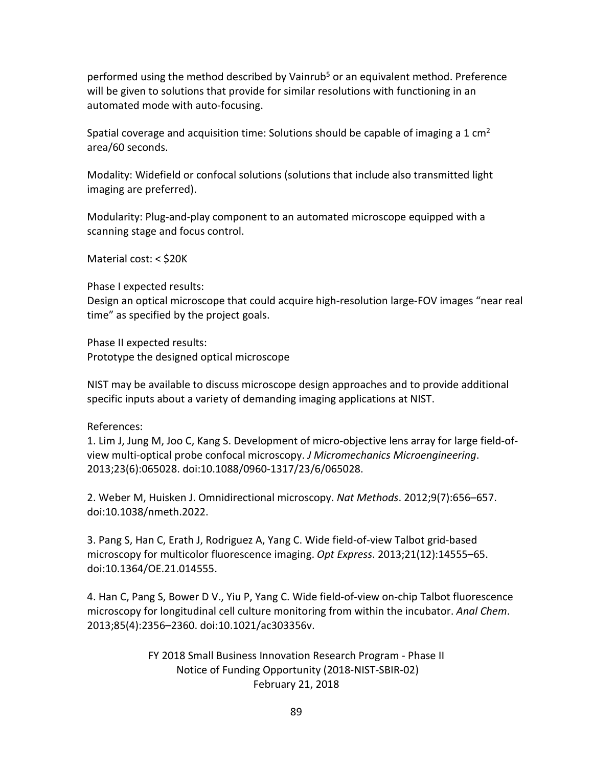performed using the method described by Vainrub<sup>5</sup> or an equivalent method. Preference will be given to solutions that provide for similar resolutions with functioning in an automated mode with auto-focusing.

Spatial coverage and acquisition time: Solutions should be capable of imaging a 1 cm<sup>2</sup> area/60 seconds.

Modality: Widefield or confocal solutions (solutions that include also transmitted light imaging are preferred).

Modularity: Plug-and-play component to an automated microscope equipped with a scanning stage and focus control.

Material cost: < \$20K

Phase I expected results:

Design an optical microscope that could acquire high-resolution large-FOV images "near real time" as specified by the project goals.

Phase II expected results: Prototype the designed optical microscope

NIST may be available to discuss microscope design approaches and to provide additional specific inputs about a variety of demanding imaging applications at NIST.

References:

1. Lim J, Jung M, Joo C, Kang S. Development of micro-objective lens array for large field-ofview multi-optical probe confocal microscopy. *J Micromechanics Microengineering*. 2013;23(6):065028. doi:10.1088/0960-1317/23/6/065028.

2. Weber M, Huisken J. Omnidirectional microscopy. *Nat Methods*. 2012;9(7):656–657. doi:10.1038/nmeth.2022.

3. Pang S, Han C, Erath J, Rodriguez A, Yang C. Wide field-of-view Talbot grid-based microscopy for multicolor fluorescence imaging. *Opt Express*. 2013;21(12):14555–65. doi:10.1364/OE.21.014555.

4. Han C, Pang S, Bower D V., Yiu P, Yang C. Wide field-of-view on-chip Talbot fluorescence microscopy for longitudinal cell culture monitoring from within the incubator. *Anal Chem*. 2013;85(4):2356–2360. doi:10.1021/ac303356v.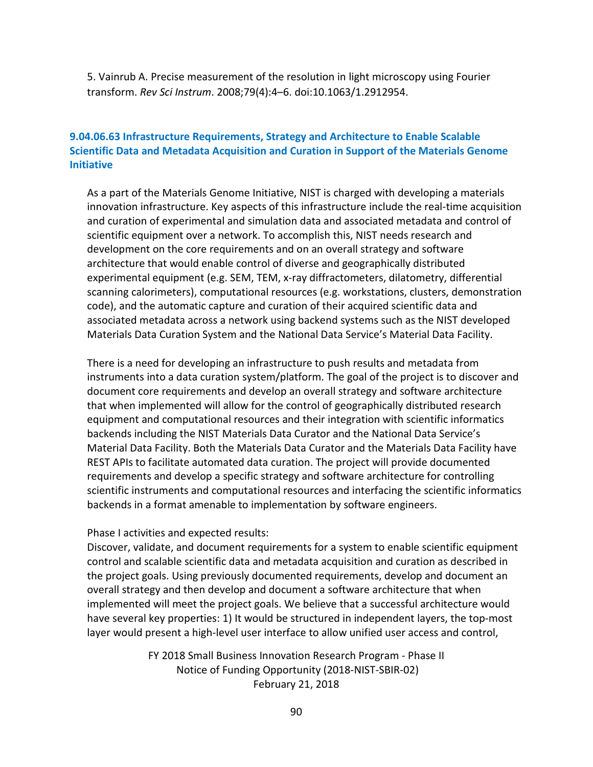5. Vainrub A. Precise measurement of the resolution in light microscopy using Fourier transform. *Rev Sci Instrum*. 2008;79(4):4–6. doi:10.1063/1.2912954.

## **9.04.06.63 Infrastructure Requirements, Strategy and Architecture to Enable Scalable Scientific Data and Metadata Acquisition and Curation in Support of the Materials Genome Initiative**

As a part of the Materials Genome Initiative, NIST is charged with developing a materials innovation infrastructure. Key aspects of this infrastructure include the real-time acquisition and curation of experimental and simulation data and associated metadata and control of scientific equipment over a network. To accomplish this, NIST needs research and development on the core requirements and on an overall strategy and software architecture that would enable control of diverse and geographically distributed experimental equipment (e.g. SEM, TEM, x-ray diffractometers, dilatometry, differential scanning calorimeters), computational resources (e.g. workstations, clusters, demonstration code), and the automatic capture and curation of their acquired scientific data and associated metadata across a network using backend systems such as the NIST developed Materials Data Curation System and the National Data Service's Material Data Facility.

There is a need for developing an infrastructure to push results and metadata from instruments into a data curation system/platform. The goal of the project is to discover and document core requirements and develop an overall strategy and software architecture that when implemented will allow for the control of geographically distributed research equipment and computational resources and their integration with scientific informatics backends including the NIST Materials Data Curator and the National Data Service's Material Data Facility. Both the Materials Data Curator and the Materials Data Facility have REST APIs to facilitate automated data curation. The project will provide documented requirements and develop a specific strategy and software architecture for controlling scientific instruments and computational resources and interfacing the scientific informatics backends in a format amenable to implementation by software engineers.

### Phase I activities and expected results:

Discover, validate, and document requirements for a system to enable scientific equipment control and scalable scientific data and metadata acquisition and curation as described in the project goals. Using previously documented requirements, develop and document an overall strategy and then develop and document a software architecture that when implemented will meet the project goals. We believe that a successful architecture would have several key properties: 1) It would be structured in independent layers, the top-most layer would present a high-level user interface to allow unified user access and control,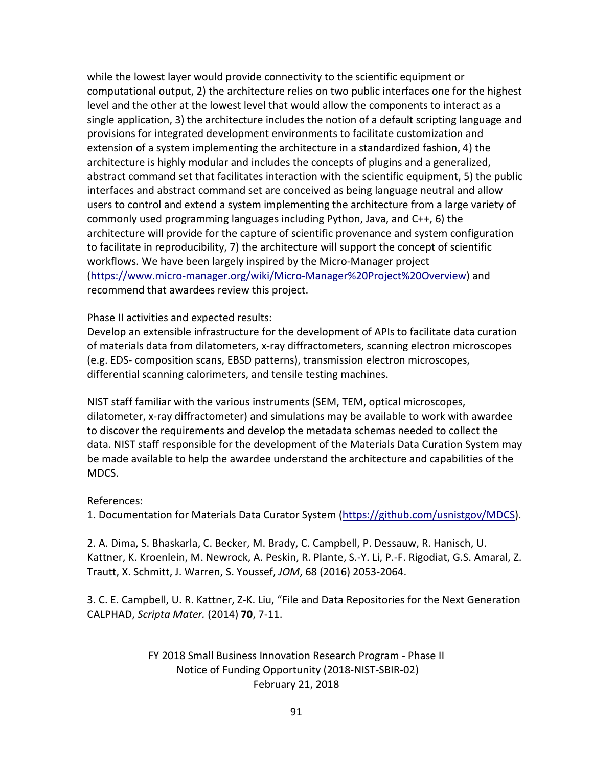while the lowest layer would provide connectivity to the scientific equipment or computational output, 2) the architecture relies on two public interfaces one for the highest level and the other at the lowest level that would allow the components to interact as a single application, 3) the architecture includes the notion of a default scripting language and provisions for integrated development environments to facilitate customization and extension of a system implementing the architecture in a standardized fashion, 4) the architecture is highly modular and includes the concepts of plugins and a generalized, abstract command set that facilitates interaction with the scientific equipment, 5) the public interfaces and abstract command set are conceived as being language neutral and allow users to control and extend a system implementing the architecture from a large variety of commonly used programming languages including Python, Java, and C++, 6) the architecture will provide for the capture of scientific provenance and system configuration to facilitate in reproducibility, 7) the architecture will support the concept of scientific workflows. We have been largely inspired by the Micro-Manager project [\(https://www.micro-manager.org/wiki/Micro-Manager%20Project%20Overview\)](https://www.micro-manager.org/wiki/Micro-Manager%20Project%20Overview) and recommend that awardees review this project.

### Phase II activities and expected results:

Develop an extensible infrastructure for the development of APIs to facilitate data curation of materials data from dilatometers, x-ray diffractometers, scanning electron microscopes (e.g. EDS- composition scans, EBSD patterns), transmission electron microscopes, differential scanning calorimeters, and tensile testing machines.

NIST staff familiar with the various instruments (SEM, TEM, optical microscopes, dilatometer, x-ray diffractometer) and simulations may be available to work with awardee to discover the requirements and develop the metadata schemas needed to collect the data. NIST staff responsible for the development of the Materials Data Curation System may be made available to help the awardee understand the architecture and capabilities of the MDCS.

## References:

1. Documentation for Materials Data Curator System [\(https://github.com/usnistgov/MDCS\)](https://github.com/usnistgov/MDCS).

2. A. Dima, S. Bhaskarla, C. Becker, M. Brady, C. Campbell, P. Dessauw, R. Hanisch, U. Kattner, K. Kroenlein, M. Newrock, A. Peskin, R. Plante, S.-Y. Li, P.-F. Rigodiat, G.S. Amaral, Z. Trautt, X. Schmitt, J. Warren, S. Youssef, *JOM*, 68 (2016) 2053-2064.

3. C. E. Campbell, U. R. Kattner, Z-K. Liu, "File and Data Repositories for the Next Generation CALPHAD, *Scripta Mater.* (2014) **70**, 7-11.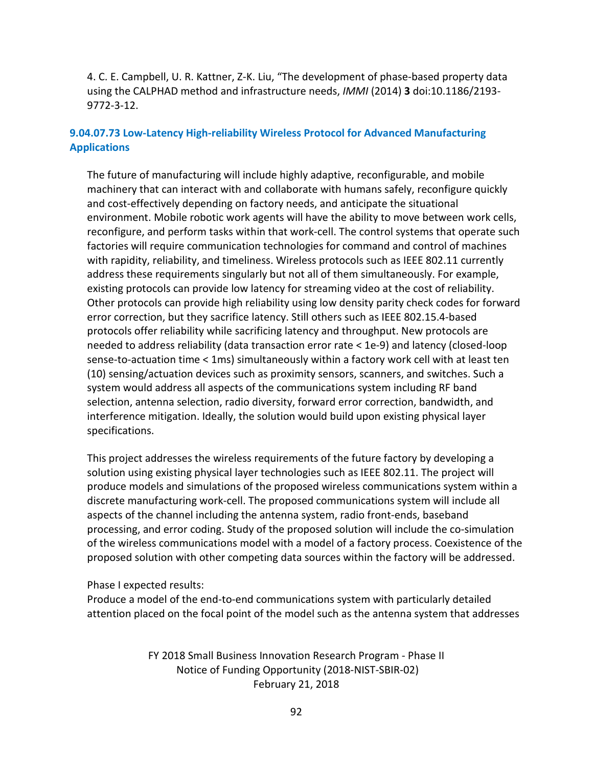4. C. E. Campbell, U. R. Kattner, Z-K. Liu, "The development of phase-based property data using the CALPHAD method and infrastructure needs, *IMMI* (2014) **3** doi:10.1186/2193- 9772-3-12.

## **9.04.07.73 Low-Latency High-reliability Wireless Protocol for Advanced Manufacturing Applications**

The future of manufacturing will include highly adaptive, reconfigurable, and mobile machinery that can interact with and collaborate with humans safely, reconfigure quickly and cost-effectively depending on factory needs, and anticipate the situational environment. Mobile robotic work agents will have the ability to move between work cells, reconfigure, and perform tasks within that work-cell. The control systems that operate such factories will require communication technologies for command and control of machines with rapidity, reliability, and timeliness. Wireless protocols such as IEEE 802.11 currently address these requirements singularly but not all of them simultaneously. For example, existing protocols can provide low latency for streaming video at the cost of reliability. Other protocols can provide high reliability using low density parity check codes for forward error correction, but they sacrifice latency. Still others such as IEEE 802.15.4-based protocols offer reliability while sacrificing latency and throughput. New protocols are needed to address reliability (data transaction error rate < 1e-9) and latency (closed-loop sense-to-actuation time < 1ms) simultaneously within a factory work cell with at least ten (10) sensing/actuation devices such as proximity sensors, scanners, and switches. Such a system would address all aspects of the communications system including RF band selection, antenna selection, radio diversity, forward error correction, bandwidth, and interference mitigation. Ideally, the solution would build upon existing physical layer specifications.

This project addresses the wireless requirements of the future factory by developing a solution using existing physical layer technologies such as IEEE 802.11. The project will produce models and simulations of the proposed wireless communications system within a discrete manufacturing work-cell. The proposed communications system will include all aspects of the channel including the antenna system, radio front-ends, baseband processing, and error coding. Study of the proposed solution will include the co-simulation of the wireless communications model with a model of a factory process. Coexistence of the proposed solution with other competing data sources within the factory will be addressed.

#### Phase I expected results:

Produce a model of the end-to-end communications system with particularly detailed attention placed on the focal point of the model such as the antenna system that addresses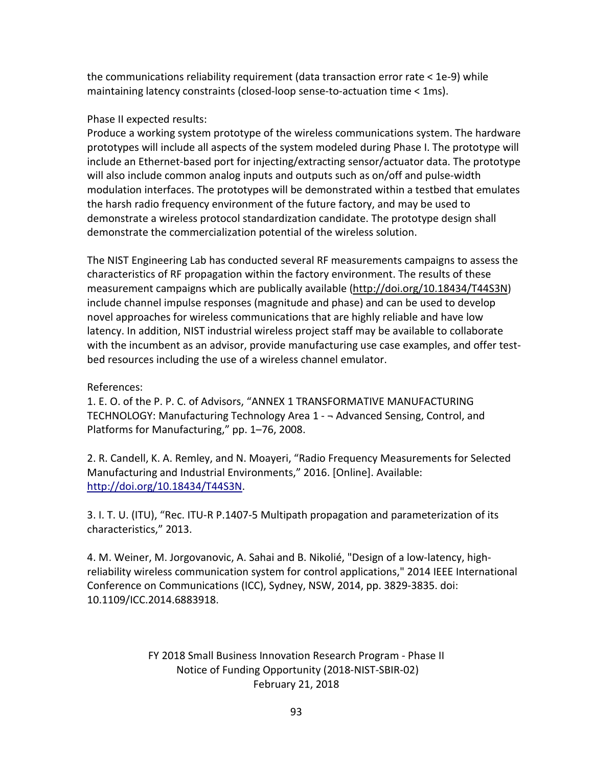the communications reliability requirement (data transaction error rate < 1e-9) while maintaining latency constraints (closed-loop sense-to-actuation time < 1ms).

## Phase II expected results:

Produce a working system prototype of the wireless communications system. The hardware prototypes will include all aspects of the system modeled during Phase I. The prototype will include an Ethernet-based port for injecting/extracting sensor/actuator data. The prototype will also include common analog inputs and outputs such as on/off and pulse-width modulation interfaces. The prototypes will be demonstrated within a testbed that emulates the harsh radio frequency environment of the future factory, and may be used to demonstrate a wireless protocol standardization candidate. The prototype design shall demonstrate the commercialization potential of the wireless solution.

The NIST Engineering Lab has conducted several RF measurements campaigns to assess the characteristics of RF propagation within the factory environment. The results of these measurement campaigns which are publically available [\(http://doi.org/10.18434/T44S3N\)](http://doi.org/10.18434/T44S3N) include channel impulse responses (magnitude and phase) and can be used to develop novel approaches for wireless communications that are highly reliable and have low latency. In addition, NIST industrial wireless project staff may be available to collaborate with the incumbent as an advisor, provide manufacturing use case examples, and offer testbed resources including the use of a wireless channel emulator.

## References:

1. E. O. of the P. P. C. of Advisors, "ANNEX 1 TRANSFORMATIVE MANUFACTURING TECHNOLOGY: Manufacturing Technology Area 1 - ¬ Advanced Sensing, Control, and Platforms for Manufacturing," pp. 1–76, 2008.

2. R. Candell, K. A. Remley, and N. Moayeri, "Radio Frequency Measurements for Selected Manufacturing and Industrial Environments," 2016. [Online]. Available: [http://doi.org/10.18434/T44S3N.](http://doi.org/10.18434/T44S3N)

3. I. T. U. (ITU), "Rec. ITU-R P.1407-5 Multipath propagation and parameterization of its characteristics," 2013.

4. M. Weiner, M. Jorgovanovic, A. Sahai and B. Nikolié, "Design of a low-latency, highreliability wireless communication system for control applications," 2014 IEEE International Conference on Communications (ICC), Sydney, NSW, 2014, pp. 3829-3835. doi: 10.1109/ICC.2014.6883918.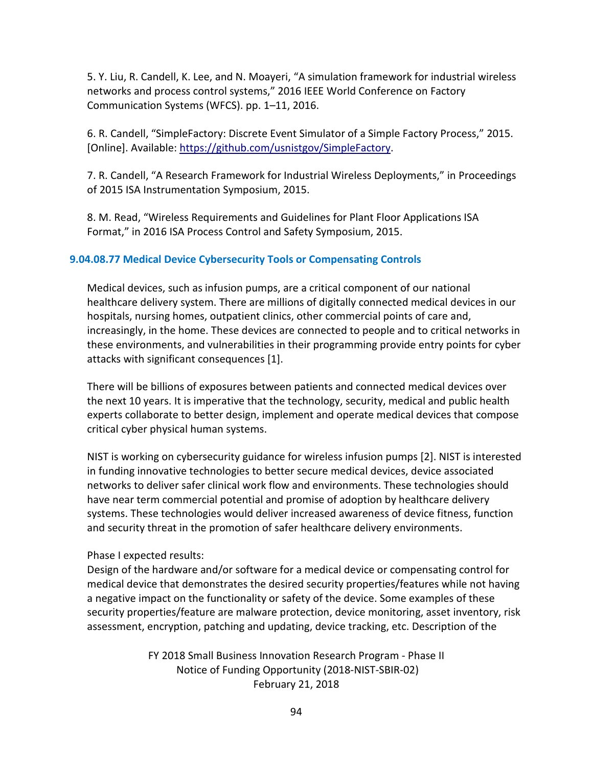5. Y. Liu, R. Candell, K. Lee, and N. Moayeri, "A simulation framework for industrial wireless networks and process control systems," 2016 IEEE World Conference on Factory Communication Systems (WFCS). pp. 1–11, 2016.

6. R. Candell, "SimpleFactory: Discrete Event Simulator of a Simple Factory Process," 2015. [Online]. Available: [https://github.com/usnistgov/SimpleFactory.](https://github.com/usnistgov/SimpleFactory)

7. R. Candell, "A Research Framework for Industrial Wireless Deployments," in Proceedings of 2015 ISA Instrumentation Symposium, 2015.

8. M. Read, "Wireless Requirements and Guidelines for Plant Floor Applications ISA Format," in 2016 ISA Process Control and Safety Symposium, 2015.

## **9.04.08.77 Medical Device Cybersecurity Tools or Compensating Controls**

Medical devices, such as infusion pumps, are a critical component of our national healthcare delivery system. There are millions of digitally connected medical devices in our hospitals, nursing homes, outpatient clinics, other commercial points of care and, increasingly, in the home. These devices are connected to people and to critical networks in these environments, and vulnerabilities in their programming provide entry points for cyber attacks with significant consequences [1].

There will be billions of exposures between patients and connected medical devices over the next 10 years. It is imperative that the technology, security, medical and public health experts collaborate to better design, implement and operate medical devices that compose critical cyber physical human systems.

NIST is working on cybersecurity guidance for wireless infusion pumps [2]. NIST is interested in funding innovative technologies to better secure medical devices, device associated networks to deliver safer clinical work flow and environments. These technologies should have near term commercial potential and promise of adoption by healthcare delivery systems. These technologies would deliver increased awareness of device fitness, function and security threat in the promotion of safer healthcare delivery environments.

## Phase I expected results:

Design of the hardware and/or software for a medical device or compensating control for medical device that demonstrates the desired security properties/features while not having a negative impact on the functionality or safety of the device. Some examples of these security properties/feature are malware protection, device monitoring, asset inventory, risk assessment, encryption, patching and updating, device tracking, etc. Description of the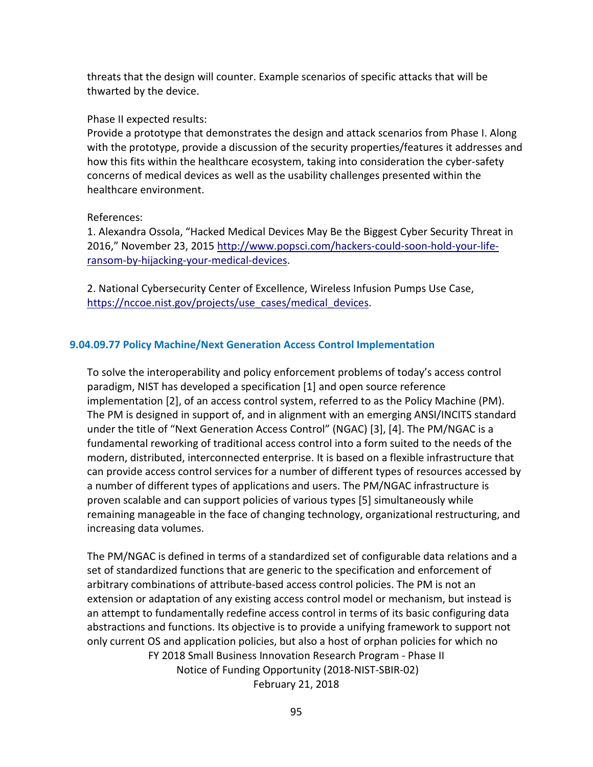threats that the design will counter. Example scenarios of specific attacks that will be thwarted by the device.

### Phase II expected results:

Provide a prototype that demonstrates the design and attack scenarios from Phase I. Along with the prototype, provide a discussion of the security properties/features it addresses and how this fits within the healthcare ecosystem, taking into consideration the cyber-safety concerns of medical devices as well as the usability challenges presented within the healthcare environment.

### References:

1. Alexandra Ossola, "Hacked Medical Devices May Be the Biggest Cyber Security Threat in 2016," November 23, 2015 [http://www.popsci.com/hackers-could-soon-hold-your-life](http://www.popsci.com/hackers-could-soon-hold-your-life-ransom-by-hijacking-your-medical-devices)[ransom-by-hijacking-your-medical-devices.](http://www.popsci.com/hackers-could-soon-hold-your-life-ransom-by-hijacking-your-medical-devices)

2. National Cybersecurity Center of Excellence, Wireless Infusion Pumps Use Case, [https://nccoe.nist.gov/projects/use\\_cases/medical\\_devices.](https://nccoe.nist.gov/projects/use_cases/medical_devices)

## **9.04.09.77 Policy Machine/Next Generation Access Control Implementation**

To solve the interoperability and policy enforcement problems of today's access control paradigm, NIST has developed a specification [1] and open source reference implementation [2], of an access control system, referred to as the Policy Machine (PM). The PM is designed in support of, and in alignment with an emerging ANSI/INCITS standard under the title of "Next Generation Access Control" (NGAC) [3], [4]. The PM/NGAC is a fundamental reworking of traditional access control into a form suited to the needs of the modern, distributed, interconnected enterprise. It is based on a flexible infrastructure that can provide access control services for a number of different types of resources accessed by a number of different types of applications and users. The PM/NGAC infrastructure is proven scalable and can support policies of various types [5] simultaneously while remaining manageable in the face of changing technology, organizational restructuring, and increasing data volumes.

FY 2018 Small Business Innovation Research Program - Phase II Notice of Funding Opportunity (2018-NIST-SBIR-02) February 21, 2018 The PM/NGAC is defined in terms of a standardized set of configurable data relations and a set of standardized functions that are generic to the specification and enforcement of arbitrary combinations of attribute-based access control policies. The PM is not an extension or adaptation of any existing access control model or mechanism, but instead is an attempt to fundamentally redefine access control in terms of its basic configuring data abstractions and functions. Its objective is to provide a unifying framework to support not only current OS and application policies, but also a host of orphan policies for which no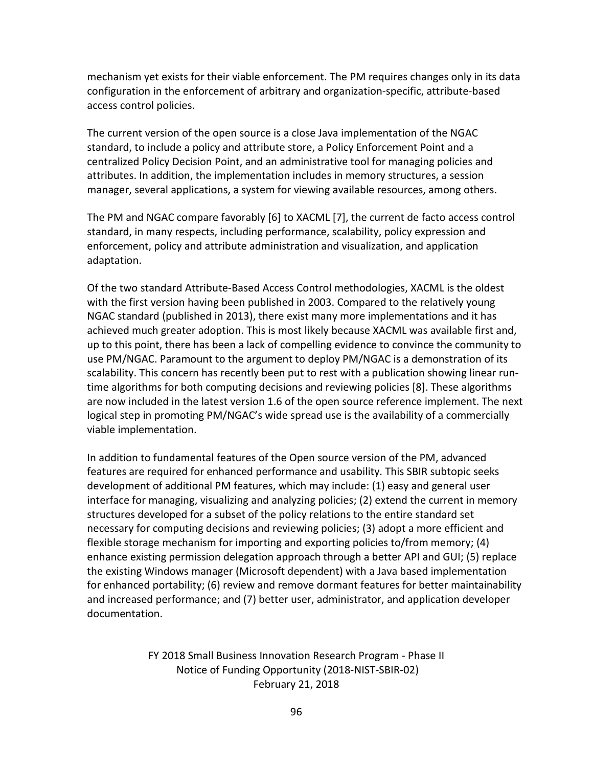mechanism yet exists for their viable enforcement. The PM requires changes only in its data configuration in the enforcement of arbitrary and organization-specific, attribute-based access control policies.

The current version of the open source is a close Java implementation of the NGAC standard, to include a policy and attribute store, a Policy Enforcement Point and a centralized Policy Decision Point, and an administrative tool for managing policies and attributes. In addition, the implementation includes in memory structures, a session manager, several applications, a system for viewing available resources, among others.

The PM and NGAC compare favorably [6] to XACML [7], the current de facto access control standard, in many respects, including performance, scalability, policy expression and enforcement, policy and attribute administration and visualization, and application adaptation.

Of the two standard Attribute-Based Access Control methodologies, XACML is the oldest with the first version having been published in 2003. Compared to the relatively young NGAC standard (published in 2013), there exist many more implementations and it has achieved much greater adoption. This is most likely because XACML was available first and, up to this point, there has been a lack of compelling evidence to convince the community to use PM/NGAC. Paramount to the argument to deploy PM/NGAC is a demonstration of its scalability. This concern has recently been put to rest with a publication showing linear runtime algorithms for both computing decisions and reviewing policies [8]. These algorithms are now included in the latest version 1.6 of the open source reference implement. The next logical step in promoting PM/NGAC's wide spread use is the availability of a commercially viable implementation.

In addition to fundamental features of the Open source version of the PM, advanced features are required for enhanced performance and usability. This SBIR subtopic seeks development of additional PM features, which may include: (1) easy and general user interface for managing, visualizing and analyzing policies; (2) extend the current in memory structures developed for a subset of the policy relations to the entire standard set necessary for computing decisions and reviewing policies; (3) adopt a more efficient and flexible storage mechanism for importing and exporting policies to/from memory; (4) enhance existing permission delegation approach through a better API and GUI; (5) replace the existing Windows manager (Microsoft dependent) with a Java based implementation for enhanced portability; (6) review and remove dormant features for better maintainability and increased performance; and (7) better user, administrator, and application developer documentation.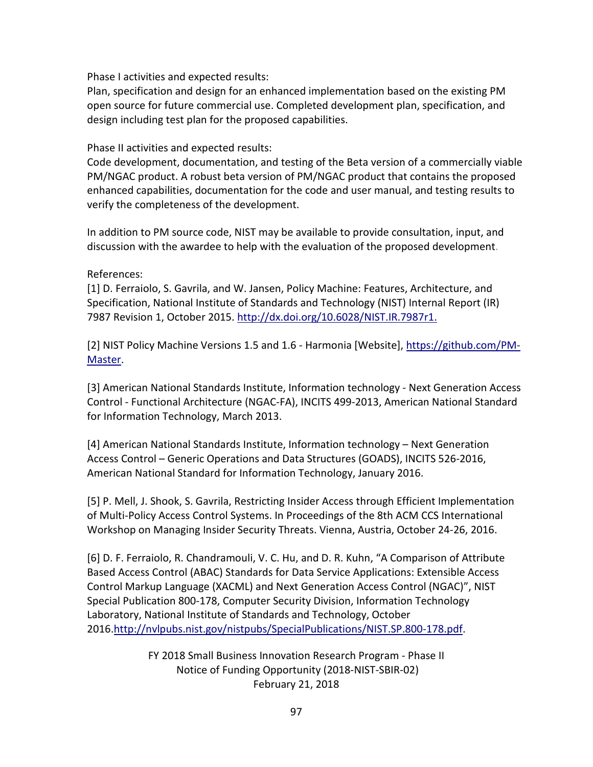Phase I activities and expected results:

Plan, specification and design for an enhanced implementation based on the existing PM open source for future commercial use. Completed development plan, specification, and design including test plan for the proposed capabilities.

Phase II activities and expected results:

Code development, documentation, and testing of the Beta version of a commercially viable PM/NGAC product. A robust beta version of PM/NGAC product that contains the proposed enhanced capabilities, documentation for the code and user manual, and testing results to verify the completeness of the development.

In addition to PM source code, NIST may be available to provide consultation, input, and discussion with the awardee to help with the evaluation of the proposed development.

## References:

[1] D. Ferraiolo, S. Gavrila, and W. Jansen, Policy Machine: Features, Architecture, and Specification, National Institute of Standards and Technology (NIST) Internal Report (IR) 7987 Revision 1, October 2015. [http://dx.doi.org/10.6028/NIST.IR.7987r1.](http://dx.doi.org/10.6028/NIST.IR.7987r1)

[2] NIST Policy Machine Versions 1.5 and 1.6 - Harmonia [Website], [https://github.com/PM-](https://github.com/PM-Master)[Master.](https://github.com/PM-Master)

[3] American National Standards Institute, Information technology - Next Generation Access Control - Functional Architecture (NGAC-FA), INCITS 499-2013, American National Standard for Information Technology, March 2013.

[4] American National Standards Institute, Information technology – Next Generation Access Control – Generic Operations and Data Structures (GOADS), INCITS 526-2016, American National Standard for Information Technology, January 2016.

[5] P. Mell, J. Shook, S. Gavrila, Restricting Insider Access through Efficient Implementation of Multi-Policy Access Control Systems. In Proceedings of the 8th ACM CCS International Workshop on Managing Insider Security Threats. Vienna, Austria, October 24-26, 2016.

[6] D. F. Ferraiolo, R. Chandramouli, V. C. Hu, and D. R. Kuhn, "A Comparison of Attribute Based Access Control (ABAC) Standards for Data Service Applications: Extensible Access Control Markup Language (XACML) and Next Generation Access Control (NGAC)", NIST Special Publication 800-178, Computer Security Division, Information Technology Laboratory, National Institute of Standards and Technology, October 2016[.http://nvlpubs.nist.gov/nistpubs/SpecialPublications/NIST.SP.800-178.pdf.](http://nvlpubs.nist.gov/nistpubs/SpecialPublications/NIST.SP.800-178.pdf)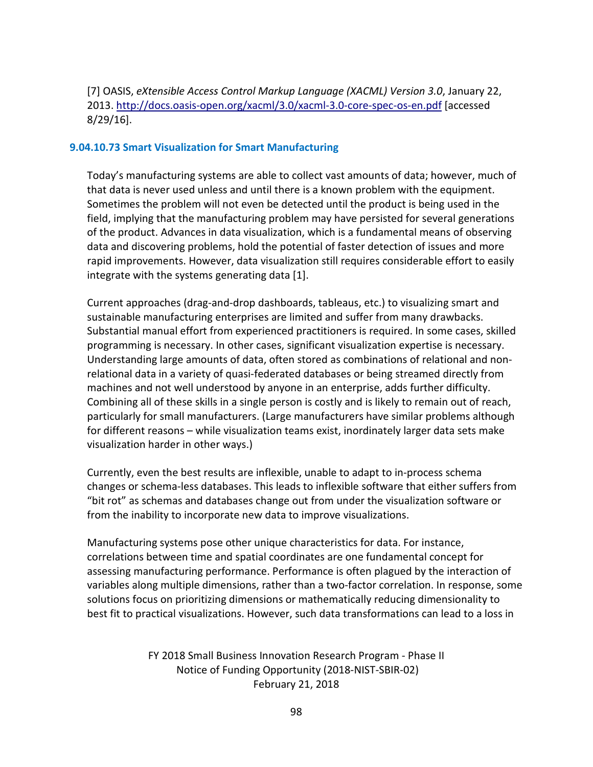[7] OASIS, *eXtensible Access Control Markup Language (XACML) Version 3.0*, January 22, 2013.<http://docs.oasis-open.org/xacml/3.0/xacml-3.0-core-spec-os-en.pdf> [accessed 8/29/16].

### **9.04.10.73 Smart Visualization for Smart Manufacturing**

Today's manufacturing systems are able to collect vast amounts of data; however, much of that data is never used unless and until there is a known problem with the equipment. Sometimes the problem will not even be detected until the product is being used in the field, implying that the manufacturing problem may have persisted for several generations of the product. Advances in data visualization, which is a fundamental means of observing data and discovering problems, hold the potential of faster detection of issues and more rapid improvements. However, data visualization still requires considerable effort to easily integrate with the systems generating data [1].

Current approaches (drag-and-drop dashboards, tableaus, etc.) to visualizing smart and sustainable manufacturing enterprises are limited and suffer from many drawbacks. Substantial manual effort from experienced practitioners is required. In some cases, skilled programming is necessary. In other cases, significant visualization expertise is necessary. Understanding large amounts of data, often stored as combinations of relational and nonrelational data in a variety of quasi-federated databases or being streamed directly from machines and not well understood by anyone in an enterprise, adds further difficulty. Combining all of these skills in a single person is costly and is likely to remain out of reach, particularly for small manufacturers. (Large manufacturers have similar problems although for different reasons – while visualization teams exist, inordinately larger data sets make visualization harder in other ways.)

Currently, even the best results are inflexible, unable to adapt to in-process schema changes or schema-less databases. This leads to inflexible software that either suffers from "bit rot" as schemas and databases change out from under the visualization software or from the inability to incorporate new data to improve visualizations.

Manufacturing systems pose other unique characteristics for data. For instance, correlations between time and spatial coordinates are one fundamental concept for assessing manufacturing performance. Performance is often plagued by the interaction of variables along multiple dimensions, rather than a two-factor correlation. In response, some solutions focus on prioritizing dimensions or mathematically reducing dimensionality to best fit to practical visualizations. However, such data transformations can lead to a loss in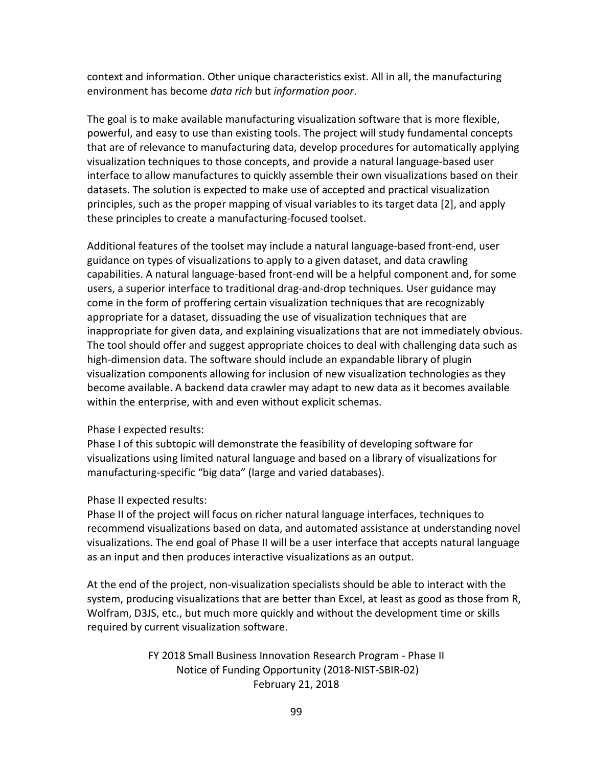context and information. Other unique characteristics exist. All in all, the manufacturing environment has become *data rich* but *information poor*.

The goal is to make available manufacturing visualization software that is more flexible, powerful, and easy to use than existing tools. The project will study fundamental concepts that are of relevance to manufacturing data, develop procedures for automatically applying visualization techniques to those concepts, and provide a natural language-based user interface to allow manufactures to quickly assemble their own visualizations based on their datasets. The solution is expected to make use of accepted and practical visualization principles, such as the proper mapping of visual variables to its target data [2], and apply these principles to create a manufacturing-focused toolset.

Additional features of the toolset may include a natural language-based front-end, user guidance on types of visualizations to apply to a given dataset, and data crawling capabilities. A natural language-based front-end will be a helpful component and, for some users, a superior interface to traditional drag-and-drop techniques. User guidance may come in the form of proffering certain visualization techniques that are recognizably appropriate for a dataset, dissuading the use of visualization techniques that are inappropriate for given data, and explaining visualizations that are not immediately obvious. The tool should offer and suggest appropriate choices to deal with challenging data such as high-dimension data. The software should include an expandable library of plugin visualization components allowing for inclusion of new visualization technologies as they become available. A backend data crawler may adapt to new data as it becomes available within the enterprise, with and even without explicit schemas.

### Phase I expected results:

Phase I of this subtopic will demonstrate the feasibility of developing software for visualizations using limited natural language and based on a library of visualizations for manufacturing-specific "big data" (large and varied databases).

#### Phase II expected results:

Phase II of the project will focus on richer natural language interfaces, techniques to recommend visualizations based on data, and automated assistance at understanding novel visualizations. The end goal of Phase II will be a user interface that accepts natural language as an input and then produces interactive visualizations as an output.

At the end of the project, non-visualization specialists should be able to interact with the system, producing visualizations that are better than Excel, at least as good as those from R, Wolfram, D3JS, etc., but much more quickly and without the development time or skills required by current visualization software.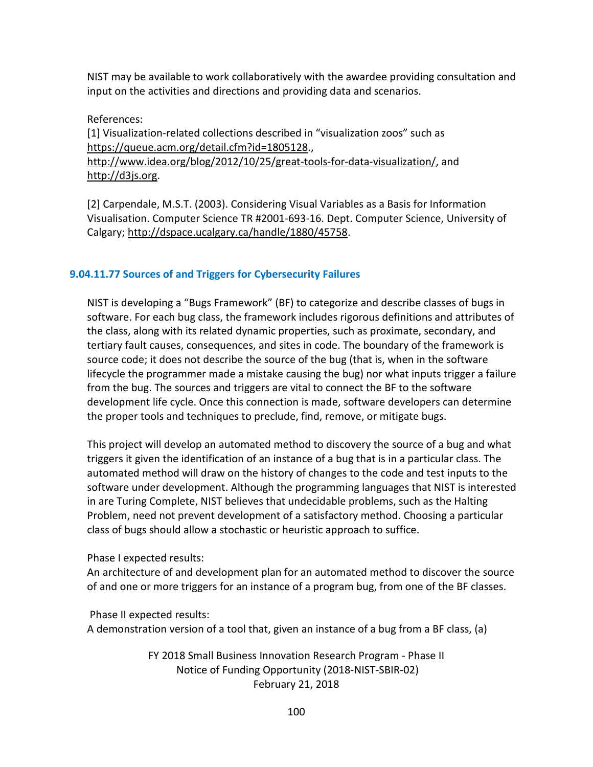NIST may be available to work collaboratively with the awardee providing consultation and input on the activities and directions and providing data and scenarios.

References: [1] Visualization-related collections described in "visualization zoos" such as [https://queue.acm.org/detail.cfm?id=1805128.](https://queue.acm.org/detail.cfm?id=1805128), [http://www.idea.org/blog/2012/10/25/great-tools-for-data-visualization/,](http://www.idea.org/blog/2012/10/25/great-tools-for-data-visualization/) and [http://d3js.org.](http://d3js.org/)

[2] Carpendale, M.S.T. (2003). Considering Visual Variables as a Basis for Information Visualisation. Computer Science TR #2001-693-16. Dept. Computer Science, University of Calgary; [http://dspace.ucalgary.ca/handle/1880/45758.](http://dspace.ucalgary.ca/handle/1880/45758)

# **9.04.11.77 Sources of and Triggers for Cybersecurity Failures**

NIST is developing a "Bugs Framework" (BF) to categorize and describe classes of bugs in software. For each bug class, the framework includes rigorous definitions and attributes of the class, along with its related dynamic properties, such as proximate, secondary, and tertiary fault causes, consequences, and sites in code. The boundary of the framework is source code; it does not describe the source of the bug (that is, when in the software lifecycle the programmer made a mistake causing the bug) nor what inputs trigger a failure from the bug. The sources and triggers are vital to connect the BF to the software development life cycle. Once this connection is made, software developers can determine the proper tools and techniques to preclude, find, remove, or mitigate bugs.

This project will develop an automated method to discovery the source of a bug and what triggers it given the identification of an instance of a bug that is in a particular class. The automated method will draw on the history of changes to the code and test inputs to the software under development. Although the programming languages that NIST is interested in are Turing Complete, NIST believes that undecidable problems, such as the Halting Problem, need not prevent development of a satisfactory method. Choosing a particular class of bugs should allow a stochastic or heuristic approach to suffice.

## Phase I expected results:

An architecture of and development plan for an automated method to discover the source of and one or more triggers for an instance of a program bug, from one of the BF classes.

Phase II expected results:

A demonstration version of a tool that, given an instance of a bug from a BF class, (a)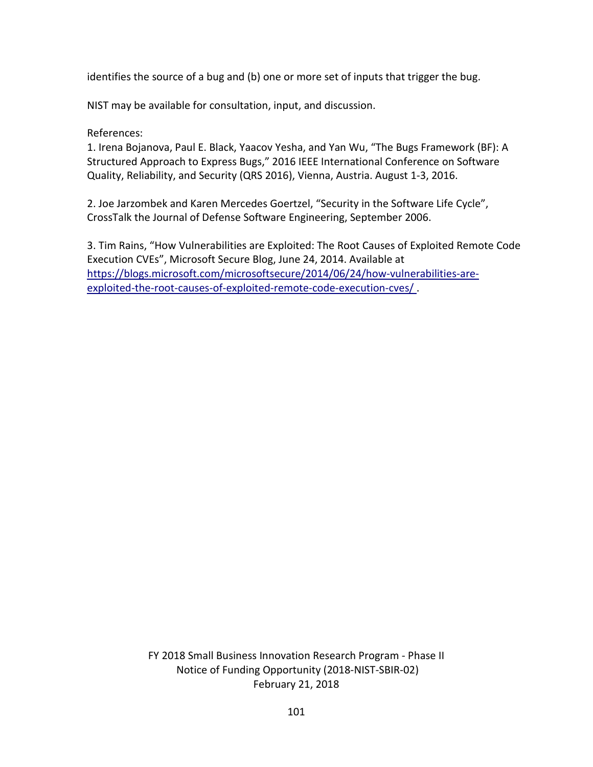identifies the source of a bug and (b) one or more set of inputs that trigger the bug.

NIST may be available for consultation, input, and discussion.

References:

1. Irena Bojanova, Paul E. Black, Yaacov Yesha, and Yan Wu, "The Bugs Framework (BF): A Structured Approach to Express Bugs," 2016 IEEE International Conference on Software Quality, Reliability, and Security (QRS 2016), Vienna, Austria. August 1-3, 2016.

2. Joe Jarzombek and Karen Mercedes Goertzel, "Security in the Software Life Cycle", CrossTalk the Journal of Defense Software Engineering, September 2006.

3. Tim Rains, "How Vulnerabilities are Exploited: The Root Causes of Exploited Remote Code Execution CVEs", Microsoft Secure Blog, June 24, 2014. Available at [https://blogs.microsoft.com/microsoftsecure/2014/06/24/how-vulnerabilities-are](https://blogs.microsoft.com/microsoftsecure/2014/06/24/how-vulnerabilities-are-exploited-the-root-causes-of-exploited-remote-code-execution-cves/)[exploited-the-root-causes-of-exploited-remote-code-execution-cves/](https://blogs.microsoft.com/microsoftsecure/2014/06/24/how-vulnerabilities-are-exploited-the-root-causes-of-exploited-remote-code-execution-cves/) .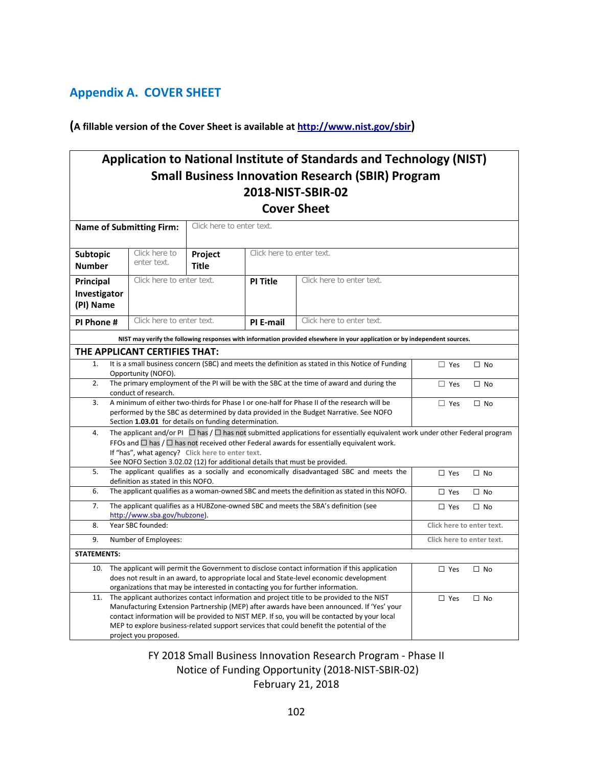# <span id="page-101-0"></span>**Appendix A. COVER SHEET**

**(A fillable version of the Cover Sheet is available at [http://www.nist.gov/sbir\)](http://www.nist.gov/sbir)**

| Application to National Institute of Standards and Technology (NIST) |                                                                                                                                                                                                                                                                                                                                                                                                                                           |                           |                                              |                                                                                                                            |                           |           |  |  |
|----------------------------------------------------------------------|-------------------------------------------------------------------------------------------------------------------------------------------------------------------------------------------------------------------------------------------------------------------------------------------------------------------------------------------------------------------------------------------------------------------------------------------|---------------------------|----------------------------------------------|----------------------------------------------------------------------------------------------------------------------------|---------------------------|-----------|--|--|
|                                                                      |                                                                                                                                                                                                                                                                                                                                                                                                                                           |                           |                                              | <b>Small Business Innovation Research (SBIR) Program</b>                                                                   |                           |           |  |  |
|                                                                      |                                                                                                                                                                                                                                                                                                                                                                                                                                           |                           |                                              | 2018-NIST-SBIR-02                                                                                                          |                           |           |  |  |
| <b>Cover Sheet</b>                                                   |                                                                                                                                                                                                                                                                                                                                                                                                                                           |                           |                                              |                                                                                                                            |                           |           |  |  |
| <b>Name of Submitting Firm:</b>                                      |                                                                                                                                                                                                                                                                                                                                                                                                                                           | Click here to enter text. |                                              |                                                                                                                            |                           |           |  |  |
| Subtopic<br><b>Number</b>                                            | Click here to<br>enter text.                                                                                                                                                                                                                                                                                                                                                                                                              | Project<br><b>Title</b>   | Click here to enter text.                    |                                                                                                                            |                           |           |  |  |
| Principal<br>Investigator<br>(PI) Name                               | Click here to enter text.                                                                                                                                                                                                                                                                                                                                                                                                                 |                           | Click here to enter text.<br><b>PI Title</b> |                                                                                                                            |                           |           |  |  |
| PI Phone #                                                           | Click here to enter text.                                                                                                                                                                                                                                                                                                                                                                                                                 |                           | PI E-mail                                    | Click here to enter text.                                                                                                  |                           |           |  |  |
|                                                                      |                                                                                                                                                                                                                                                                                                                                                                                                                                           |                           |                                              | NIST may verify the following responses with information provided elsewhere in your application or by independent sources. |                           |           |  |  |
|                                                                      | THE APPLICANT CERTIFIES THAT:                                                                                                                                                                                                                                                                                                                                                                                                             |                           |                                              |                                                                                                                            |                           |           |  |  |
| 1.                                                                   | It is a small business concern (SBC) and meets the definition as stated in this Notice of Funding<br>Opportunity (NOFO).                                                                                                                                                                                                                                                                                                                  |                           |                                              |                                                                                                                            |                           | $\Box$ No |  |  |
| 2.                                                                   | The primary employment of the PI will be with the SBC at the time of award and during the<br>$\Box$ Yes<br>$\Box$ No<br>conduct of research.                                                                                                                                                                                                                                                                                              |                           |                                              |                                                                                                                            |                           |           |  |  |
| 3.                                                                   | A minimum of either two-thirds for Phase I or one-half for Phase II of the research will be<br>$\Box$ Yes<br>$\Box$ No<br>performed by the SBC as determined by data provided in the Budget Narrative. See NOFO<br>Section 1.03.01 for details on funding determination.                                                                                                                                                                  |                           |                                              |                                                                                                                            |                           |           |  |  |
| 4.                                                                   | The applicant and/or PI $\Box$ has / $\Box$ has not submitted applications for essentially equivalent work under other Federal program<br>FFOs and $\Box$ has / $\Box$ has not received other Federal awards for essentially equivalent work.<br>If "has", what agency? Click here to enter text.<br>See NOFO Section 3.02.02 (12) for additional details that must be provided.                                                          |                           |                                              |                                                                                                                            |                           |           |  |  |
| 5.                                                                   | The applicant qualifies as a socially and economically disadvantaged SBC and meets the<br>$\Box$ Yes<br>$\Box$ No<br>definition as stated in this NOFO.                                                                                                                                                                                                                                                                                   |                           |                                              |                                                                                                                            |                           |           |  |  |
| 6.                                                                   | The applicant qualifies as a woman-owned SBC and meets the definition as stated in this NOFO.                                                                                                                                                                                                                                                                                                                                             |                           |                                              |                                                                                                                            | $\Box$ Yes                | $\Box$ No |  |  |
| 7.                                                                   | The applicant qualifies as a HUBZone-owned SBC and meets the SBA's definition (see<br>$\Box$ Yes<br>$\Box$ No<br>http://www.sba.gov/hubzone).                                                                                                                                                                                                                                                                                             |                           |                                              |                                                                                                                            |                           |           |  |  |
| 8.                                                                   | Year SBC founded:                                                                                                                                                                                                                                                                                                                                                                                                                         |                           |                                              |                                                                                                                            | Click here to enter text. |           |  |  |
| Number of Employees:<br>9.                                           |                                                                                                                                                                                                                                                                                                                                                                                                                                           |                           |                                              |                                                                                                                            | Click here to enter text. |           |  |  |
| <b>STATEMENTS:</b>                                                   |                                                                                                                                                                                                                                                                                                                                                                                                                                           |                           |                                              |                                                                                                                            |                           |           |  |  |
| 10.                                                                  | The applicant will permit the Government to disclose contact information if this application<br>$\Box$ Yes<br>$\Box$ No<br>does not result in an award, to appropriate local and State-level economic development<br>organizations that may be interested in contacting you for further information.                                                                                                                                      |                           |                                              |                                                                                                                            |                           |           |  |  |
| 11.                                                                  | The applicant authorizes contact information and project title to be provided to the NIST<br>$\Box$ Yes<br>$\square$ No<br>Manufacturing Extension Partnership (MEP) after awards have been announced. If 'Yes' your<br>contact information will be provided to NIST MEP. If so, you will be contacted by your local<br>MEP to explore business-related support services that could benefit the potential of the<br>project you proposed. |                           |                                              |                                                                                                                            |                           |           |  |  |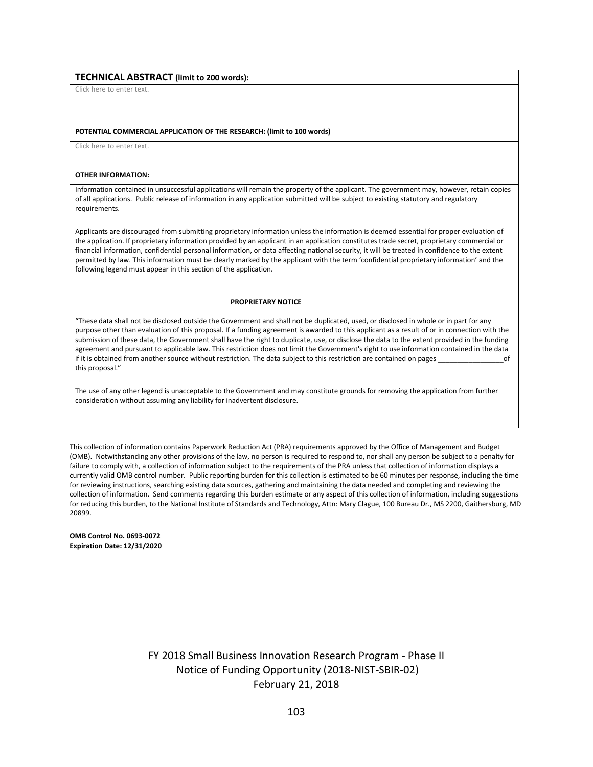#### **TECHNICAL ABSTRACT (limit to 200 words):**

Click here to enter text.

#### **POTENTIAL COMMERCIAL APPLICATION OF THE RESEARCH: (limit to 100 words)**

Click here to enter text.

#### **OTHER INFORMATION:**

Information contained in unsuccessful applications will remain the property of the applicant. The government may, however, retain copies of all applications. Public release of information in any application submitted will be subject to existing statutory and regulatory requirements.

Applicants are discouraged from submitting proprietary information unless the information is deemed essential for proper evaluation of the application. If proprietary information provided by an applicant in an application constitutes trade secret, proprietary commercial or financial information, confidential personal information, or data affecting national security, it will be treated in confidence to the extent permitted by law. This information must be clearly marked by the applicant with the term 'confidential proprietary information' and the following legend must appear in this section of the application.

#### **PROPRIETARY NOTICE**

"These data shall not be disclosed outside the Government and shall not be duplicated, used, or disclosed in whole or in part for any purpose other than evaluation of this proposal. If a funding agreement is awarded to this applicant as a result of or in connection with the submission of these data, the Government shall have the right to duplicate, use, or disclose the data to the extent provided in the funding agreement and pursuant to applicable law. This restriction does not limit the Government's right to use information contained in the data if it is obtained from another source without restriction. The data subject to this restriction are contained on pages of of this proposal."

The use of any other legend is unacceptable to the Government and may constitute grounds for removing the application from further consideration without assuming any liability for inadvertent disclosure.

This collection of information contains Paperwork Reduction Act (PRA) requirements approved by the Office of Management and Budget (OMB). Notwithstanding any other provisions of the law, no person is required to respond to, nor shall any person be subject to a penalty for failure to comply with, a collection of information subject to the requirements of the PRA unless that collection of information displays a currently valid OMB control number. Public reporting burden for this collection is estimated to be 60 minutes per response, including the time for reviewing instructions, searching existing data sources, gathering and maintaining the data needed and completing and reviewing the collection of information. Send comments regarding this burden estimate or any aspect of this collection of information, including suggestions for reducing this burden, to the National Institute of Standards and Technology, Attn: Mary Clague, 100 Bureau Dr., MS 2200, Gaithersburg, MD 20899.

**OMB Control No. 0693-0072 Expiration Date: 12/31/2020**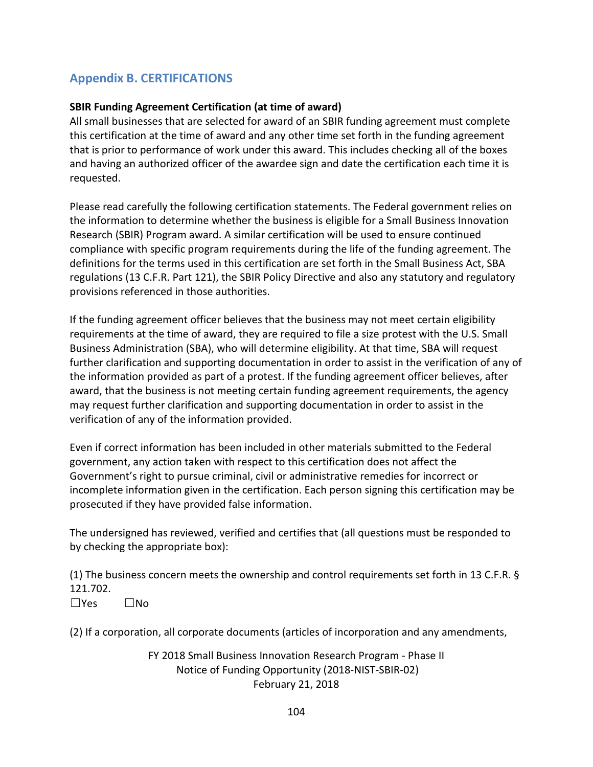# **Appendix B. CERTIFICATIONS**

## **SBIR Funding Agreement Certification (at time of award)**

All small businesses that are selected for award of an SBIR funding agreement must complete this certification at the time of award and any other time set forth in the funding agreement that is prior to performance of work under this award. This includes checking all of the boxes and having an authorized officer of the awardee sign and date the certification each time it is requested.

Please read carefully the following certification statements. The Federal government relies on the information to determine whether the business is eligible for a Small Business Innovation Research (SBIR) Program award. A similar certification will be used to ensure continued compliance with specific program requirements during the life of the funding agreement. The definitions for the terms used in this certification are set forth in the Small Business Act, SBA regulations (13 C.F.R. Part 121), the SBIR Policy Directive and also any statutory and regulatory provisions referenced in those authorities.

If the funding agreement officer believes that the business may not meet certain eligibility requirements at the time of award, they are required to file a size protest with the U.S. Small Business Administration (SBA), who will determine eligibility. At that time, SBA will request further clarification and supporting documentation in order to assist in the verification of any of the information provided as part of a protest. If the funding agreement officer believes, after award, that the business is not meeting certain funding agreement requirements, the agency may request further clarification and supporting documentation in order to assist in the verification of any of the information provided.

Even if correct information has been included in other materials submitted to the Federal government, any action taken with respect to this certification does not affect the Government's right to pursue criminal, civil or administrative remedies for incorrect or incomplete information given in the certification. Each person signing this certification may be prosecuted if they have provided false information.

The undersigned has reviewed, verified and certifies that (all questions must be responded to by checking the appropriate box):

(1) The business concern meets the ownership and control requirements set forth in 13 C.F.R. § 121.702. ☐Yes ☐No

(2) If a corporation, all corporate documents (articles of incorporation and any amendments,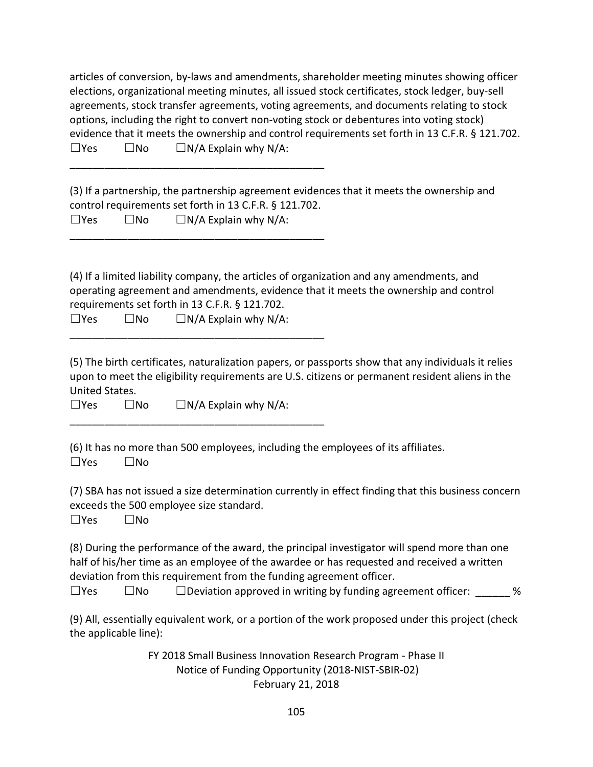|               |           | articles of conversion, by-laws and amendments, shareholder meeting minutes showing officer      |
|---------------|-----------|--------------------------------------------------------------------------------------------------|
|               |           | elections, organizational meeting minutes, all issued stock certificates, stock ledger, buy-sell |
|               |           | agreements, stock transfer agreements, voting agreements, and documents relating to stock        |
|               |           | options, including the right to convert non-voting stock or debentures into voting stock)        |
|               |           | evidence that it meets the ownership and control requirements set forth in 13 C.F.R. § 121.702.  |
| $\square$ Yes | $\Box$ No | $\Box$ N/A Explain why N/A:                                                                      |

(3) If a partnership, the partnership agreement evidences that it meets the ownership and control requirements set forth in 13 C.F.R. § 121.702.

 $\square$ Yes  $\square$ No  $\square$ N/A Explain why N/A:

\_\_\_\_\_\_\_\_\_\_\_\_\_\_\_\_\_\_\_\_\_\_\_\_\_\_\_\_\_\_\_\_\_\_\_\_\_\_\_\_\_\_\_\_

\_\_\_\_\_\_\_\_\_\_\_\_\_\_\_\_\_\_\_\_\_\_\_\_\_\_\_\_\_\_\_\_\_\_\_\_\_\_\_\_\_\_\_\_

(4) If a limited liability company, the articles of organization and any amendments, and operating agreement and amendments, evidence that it meets the ownership and control requirements set forth in 13 C.F.R. § 121.702.

 $\square$ Yes  $\square$ No  $\square$  N/A Explain why N/A:

\_\_\_\_\_\_\_\_\_\_\_\_\_\_\_\_\_\_\_\_\_\_\_\_\_\_\_\_\_\_\_\_\_\_\_\_\_\_\_\_\_\_\_\_

\_\_\_\_\_\_\_\_\_\_\_\_\_\_\_\_\_\_\_\_\_\_\_\_\_\_\_\_\_\_\_\_\_\_\_\_\_\_\_\_\_\_\_\_

(5) The birth certificates, naturalization papers, or passports show that any individuals it relies upon to meet the eligibility requirements are U.S. citizens or permanent resident aliens in the United States.

 $\square$ Yes  $\square$ No  $\square$  N/A Explain why N/A:

(6) It has no more than 500 employees, including the employees of its affiliates.

☐Yes ☐No

(7) SBA has not issued a size determination currently in effect finding that this business concern exceeds the 500 employee size standard.

 $\Box$ Yes  $\Box$ No

(8) During the performance of the award, the principal investigator will spend more than one half of his/her time as an employee of the awardee or has requested and received a written deviation from this requirement from the funding agreement officer.

 $\square$ Yes  $\square$ No  $\square$  Deviation approved in writing by funding agreement officer:  $\%$ 

(9) All, essentially equivalent work, or a portion of the work proposed under this project (check the applicable line):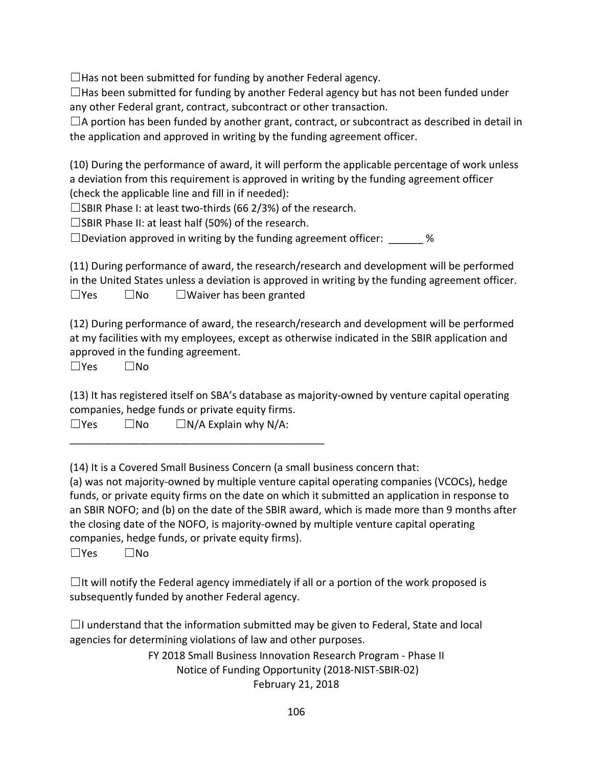$\Box$  Has not been submitted for funding by another Federal agency.

 $\Box$ Has been submitted for funding by another Federal agency but has not been funded under any other Federal grant, contract, subcontract or other transaction.

 $\Box$ A portion has been funded by another grant, contract, or subcontract as described in detail in the application and approved in writing by the funding agreement officer.

(10) During the performance of award, it will perform the applicable percentage of work unless a deviation from this requirement is approved in writing by the funding agreement officer (check the applicable line and fill in if needed):

□SBIR Phase I: at least two-thirds (66 2/3%) of the research.

☐SBIR Phase II: at least half (50%) of the research.

 $\Box$ Deviation approved in writing by the funding agreement officer:  $\%$ 

(11) During performance of award, the research/research and development will be performed in the United States unless a deviation is approved in writing by the funding agreement officer. ☐Yes ☐No ☐Waiver has been granted

(12) During performance of award, the research/research and development will be performed at my facilities with my employees, except as otherwise indicated in the SBIR application and approved in the funding agreement.

☐Yes ☐No

(13) It has registered itself on SBA's database as majority-owned by venture capital operating companies, hedge funds or private equity firms.

☐Yes ☐No ☐N/A Explain why N/A:

\_\_\_\_\_\_\_\_\_\_\_\_\_\_\_\_\_\_\_\_\_\_\_\_\_\_\_\_\_\_\_\_\_\_\_\_\_\_\_\_\_\_\_\_

(14) It is a Covered Small Business Concern (a small business concern that:

(a) was not majority-owned by multiple venture capital operating companies (VCOCs), hedge funds, or private equity firms on the date on which it submitted an application in response to an SBIR NOFO; and (b) on the date of the SBIR award, which is made more than 9 months after the closing date of the NOFO, is majority-owned by multiple venture capital operating companies, hedge funds, or private equity firms).

☐Yes ☐No

 $\Box$ It will notify the Federal agency immediately if all or a portion of the work proposed is subsequently funded by another Federal agency.

 $\Box$ I understand that the information submitted may be given to Federal, State and local agencies for determining violations of law and other purposes.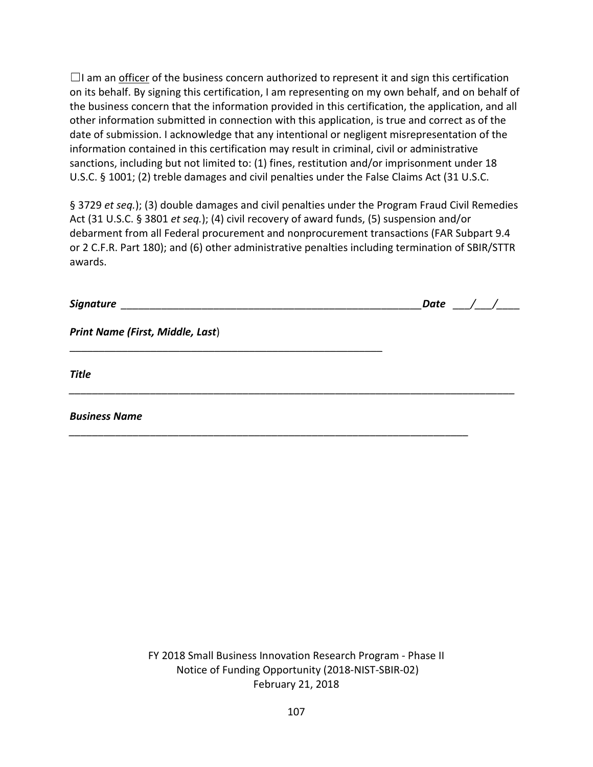$\Box$ I am an <u>officer</u> of the business concern authorized to represent it and sign this certification on its behalf. By signing this certification, I am representing on my own behalf, and on behalf of the business concern that the information provided in this certification, the application, and all other information submitted in connection with this application, is true and correct as of the date of submission. I acknowledge that any intentional or negligent misrepresentation of the information contained in this certification may result in criminal, civil or administrative sanctions, including but not limited to: (1) fines, restitution and/or imprisonment under 18 U.S.C. § 1001; (2) treble damages and civil penalties under the False Claims Act (31 U.S.C.

§ 3729 *et seq.*); (3) double damages and civil penalties under the Program Fraud Civil Remedies Act (31 U.S.C. § 3801 *et seq.*); (4) civil recovery of award funds, (5) suspension and/or debarment from all Federal procurement and nonprocurement transactions (FAR Subpart 9.4 or 2 C.F.R. Part 180); and (6) other administrative penalties including termination of SBIR/STTR awards.

| <b>Signature</b>                 | Date |  |
|----------------------------------|------|--|
|                                  |      |  |
| Print Name (First, Middle, Last) |      |  |

*\_\_\_\_\_\_\_\_\_\_\_\_\_\_\_\_\_\_\_\_\_\_\_\_\_\_\_\_\_\_\_\_\_\_\_\_\_\_\_\_\_\_\_\_\_\_\_\_\_\_\_\_\_\_\_\_\_\_\_\_\_\_\_\_\_\_\_\_\_\_\_\_\_\_\_\_\_*

*\_\_\_\_\_\_\_\_\_\_\_\_\_\_\_\_\_\_\_\_\_\_\_\_\_\_\_\_\_\_\_\_\_\_\_\_\_\_\_\_\_\_\_\_\_\_\_\_\_\_\_\_\_\_\_\_\_\_\_\_\_\_\_\_\_\_\_\_\_*

 $\mathcal{L}_\text{max}$  , and the contract of the contract of the contract of the contract of the contract of the contract of the contract of the contract of the contract of the contract of the contract of the contract of the contr

*Title* 

*Business Name*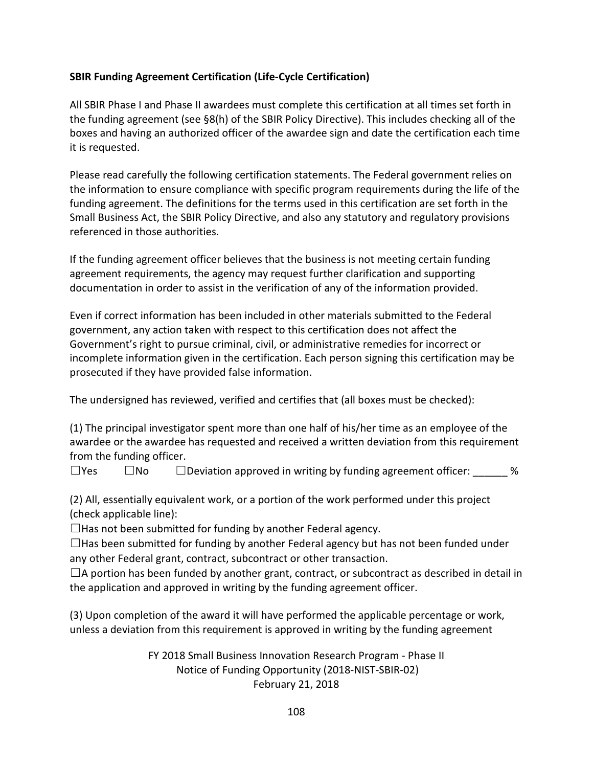## **SBIR Funding Agreement Certification (Life-Cycle Certification)**

All SBIR Phase I and Phase II awardees must complete this certification at all times set forth in the funding agreement (see §8(h) of the SBIR Policy Directive). This includes checking all of the boxes and having an authorized officer of the awardee sign and date the certification each time it is requested.

Please read carefully the following certification statements. The Federal government relies on the information to ensure compliance with specific program requirements during the life of the funding agreement. The definitions for the terms used in this certification are set forth in the Small Business Act, the SBIR Policy Directive, and also any statutory and regulatory provisions referenced in those authorities.

If the funding agreement officer believes that the business is not meeting certain funding agreement requirements, the agency may request further clarification and supporting documentation in order to assist in the verification of any of the information provided.

Even if correct information has been included in other materials submitted to the Federal government, any action taken with respect to this certification does not affect the Government's right to pursue criminal, civil, or administrative remedies for incorrect or incomplete information given in the certification. Each person signing this certification may be prosecuted if they have provided false information.

The undersigned has reviewed, verified and certifies that (all boxes must be checked):

(1) The principal investigator spent more than one half of his/her time as an employee of the awardee or the awardee has requested and received a written deviation from this requirement from the funding officer.

 $\square$ Yes  $\square$ No  $\square$ Deviation approved in writing by funding agreement officer:  $\%$ 

(2) All, essentially equivalent work, or a portion of the work performed under this project (check applicable line):

 $\Box$  Has not been submitted for funding by another Federal agency.

 $\Box$ Has been submitted for funding by another Federal agency but has not been funded under any other Federal grant, contract, subcontract or other transaction.

 $\Box$ A portion has been funded by another grant, contract, or subcontract as described in detail in the application and approved in writing by the funding agreement officer.

(3) Upon completion of the award it will have performed the applicable percentage or work, unless a deviation from this requirement is approved in writing by the funding agreement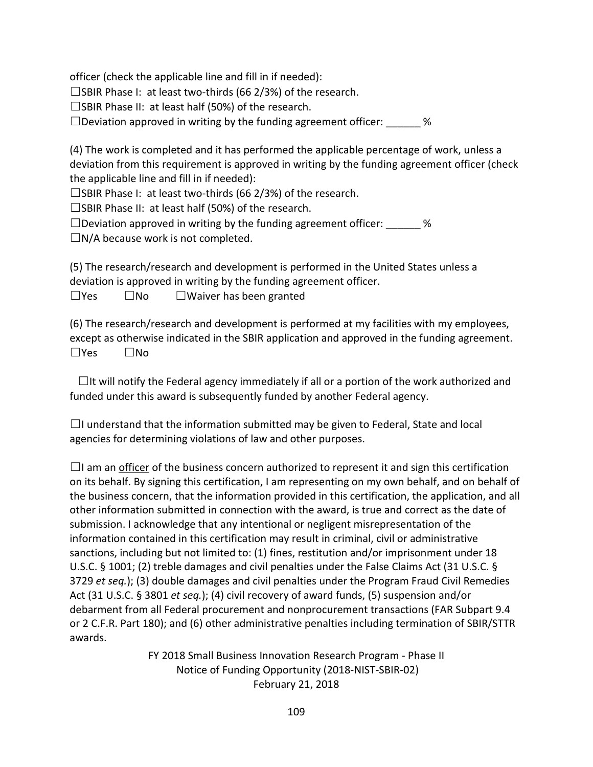officer (check the applicable line and fill in if needed):

□SBIR Phase I: at least two-thirds (66 2/3%) of the research.

☐SBIR Phase II: at least half (50%) of the research.

 $\square$  Deviation approved in writing by the funding agreement officer:  $\%$ 

(4) The work is completed and it has performed the applicable percentage of work, unless a deviation from this requirement is approved in writing by the funding agreement officer (check the applicable line and fill in if needed):

□SBIR Phase I: at least two-thirds (66 2/3%) of the research.

☐SBIR Phase II: at least half (50%) of the research.

 $\square$  Deviation approved in writing by the funding agreement officer: \_\_\_\_\_\_ %

 $\square$ N/A because work is not completed.

(5) The research/research and development is performed in the United States unless a deviation is approved in writing by the funding agreement officer.

☐Yes ☐No ☐Waiver has been granted

(6) The research/research and development is performed at my facilities with my employees, except as otherwise indicated in the SBIR application and approved in the funding agreement. ☐Yes ☐No

 $\Box$ It will notify the Federal agency immediately if all or a portion of the work authorized and funded under this award is subsequently funded by another Federal agency.

 $\Box$ I understand that the information submitted may be given to Federal, State and local agencies for determining violations of law and other purposes.

 $\Box$ I am an officer of the business concern authorized to represent it and sign this certification on its behalf. By signing this certification, I am representing on my own behalf, and on behalf of the business concern, that the information provided in this certification, the application, and all other information submitted in connection with the award, is true and correct as the date of submission. I acknowledge that any intentional or negligent misrepresentation of the information contained in this certification may result in criminal, civil or administrative sanctions, including but not limited to: (1) fines, restitution and/or imprisonment under 18 U.S.C. § 1001; (2) treble damages and civil penalties under the False Claims Act (31 U.S.C. § 3729 *et seq.*); (3) double damages and civil penalties under the Program Fraud Civil Remedies Act (31 U.S.C. § 3801 *et seq.*); (4) civil recovery of award funds, (5) suspension and/or debarment from all Federal procurement and nonprocurement transactions (FAR Subpart 9.4 or 2 C.F.R. Part 180); and (6) other administrative penalties including termination of SBIR/STTR awards.

> FY 2018 Small Business Innovation Research Program - Phase II Notice of Funding Opportunity (2018-NIST-SBIR-02) February 21, 2018